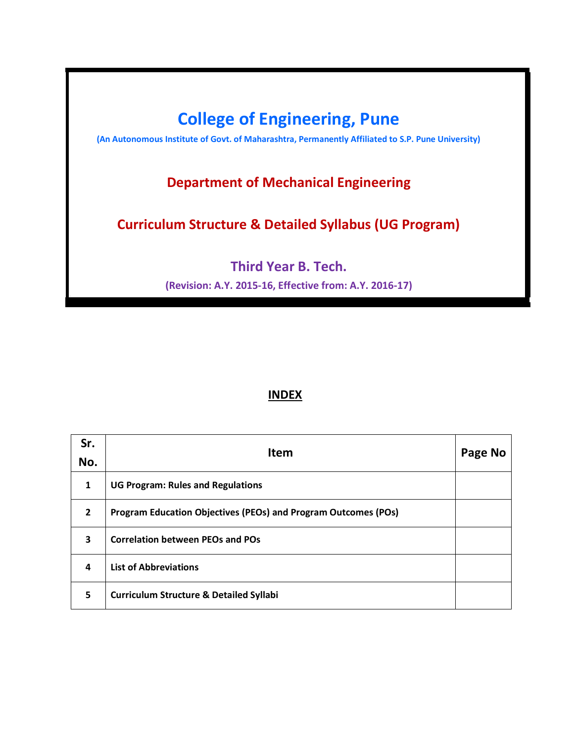

# **INDEX**

| Sr.<br>No.              | <b>Item</b>                                                    | Page No |
|-------------------------|----------------------------------------------------------------|---------|
| $\mathbf{1}$            | <b>UG Program: Rules and Regulations</b>                       |         |
| $\overline{2}$          | Program Education Objectives (PEOs) and Program Outcomes (POs) |         |
| $\overline{\mathbf{3}}$ | <b>Correlation between PEOs and POs</b>                        |         |
| 4                       | <b>List of Abbreviations</b>                                   |         |
| 5                       | <b>Curriculum Structure &amp; Detailed Syllabi</b>             |         |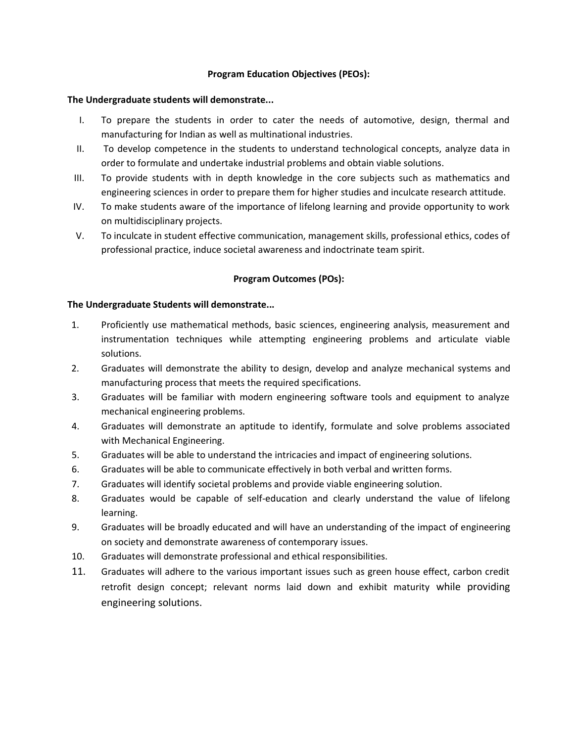### **Program Education Objectives (PEOs):**

### **The Undergraduate students will demonstrate...**

- I. To prepare the students in order to cater the needs of automotive, design, thermal and manufacturing for Indian as well as multinational industries.
- II. To develop competence in the students to understand technological concepts, analyze data in order to formulate and undertake industrial problems and obtain viable solutions.
- III. To provide students with in depth knowledge in the core subjects such as mathematics and engineering sciences in order to prepare them for higher studies and inculcate research attitude.
- IV. To make students aware of the importance of lifelong learning and provide opportunity to work on multidisciplinary projects.
- V. To inculcate in student effective communication, management skills, professional ethics, codes of professional practice, induce societal awareness and indoctrinate team spirit.

### **Program Outcomes (POs):**

### **The Undergraduate Students will demonstrate...**

- 1. Proficiently use mathematical methods, basic sciences, engineering analysis, measurement and instrumentation techniques while attempting engineering problems and articulate viable solutions.
- 2. Graduates will demonstrate the ability to design, develop and analyze mechanical systems and manufacturing process that meets the required specifications.
- 3. Graduates will be familiar with modern engineering software tools and equipment to analyze mechanical engineering problems.
- 4. Graduates will demonstrate an aptitude to identify, formulate and solve problems associated with Mechanical Engineering.
- 5. Graduates will be able to understand the intricacies and impact of engineering solutions.
- 6. Graduates will be able to communicate effectively in both verbal and written forms.
- 7. Graduates will identify societal problems and provide viable engineering solution.
- 8. Graduates would be capable of self-education and clearly understand the value of lifelong learning.
- 9. Graduates will be broadly educated and will have an understanding of the impact of engineering on society and demonstrate awareness of contemporary issues.
- 10. Graduates will demonstrate professional and ethical responsibilities.
- 11. Graduates will adhere to the various important issues such as green house effect, carbon credit retrofit design concept; relevant norms laid down and exhibit maturity while providing engineering solutions.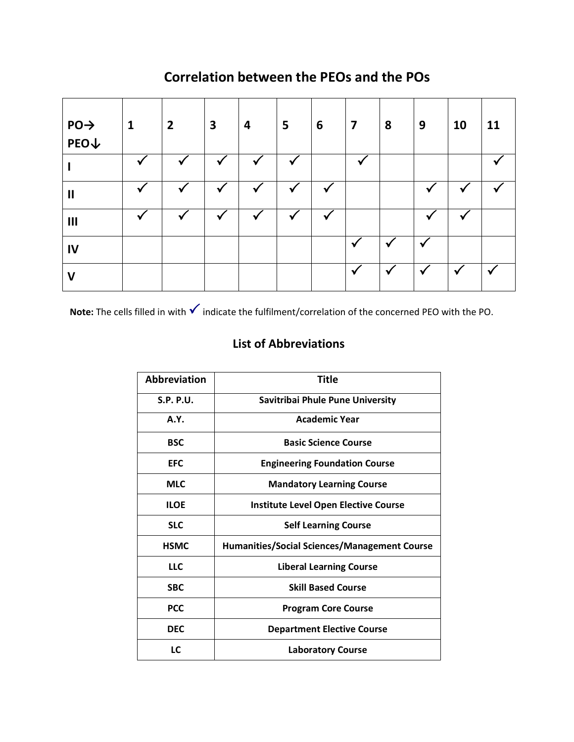# **Correlation between the PEOs and the POs**

| $PO \rightarrow$<br>$PEO\downarrow$ | $\mathbf{1}$ | $\overline{2}$ | $\overline{\mathbf{3}}$ | 4            | 5            | 6            | $\overline{\mathbf{z}}$ | 8            | 9                          | 10 | 11           |
|-------------------------------------|--------------|----------------|-------------------------|--------------|--------------|--------------|-------------------------|--------------|----------------------------|----|--------------|
|                                     | v            | $\checkmark$   | $\checkmark$            | $\checkmark$ | $\checkmark$ |              |                         |              |                            |    |              |
| $\mathbf{I}$                        |              | $\checkmark$   | $\checkmark$            | $\checkmark$ | $\checkmark$ | $\checkmark$ |                         |              | $\boldsymbol{\mathcal{U}}$ |    |              |
| III                                 |              | √              | $\checkmark$            | $\checkmark$ | ✓            | $\checkmark$ |                         |              |                            |    |              |
| IV                                  |              |                |                         |              |              |              |                         | $\checkmark$ | $\overline{\phantom{a}}$   |    |              |
| $\mathsf{V}$                        |              |                |                         |              |              |              | $\checkmark$            |              |                            |    | $\checkmark$ |

**Note:** The cells filled in with **√** indicate the fulfilment/correlation of the concerned PEO with the PO.

# **List of Abbreviations**

| Abbreviation | Title                                               |
|--------------|-----------------------------------------------------|
| S.P. P.U.    | Savitribai Phule Pune University                    |
| <b>A.Y.</b>  | <b>Academic Year</b>                                |
| <b>BSC</b>   | <b>Basic Science Course</b>                         |
| <b>EFC</b>   | <b>Engineering Foundation Course</b>                |
| <b>MLC</b>   | <b>Mandatory Learning Course</b>                    |
| <b>ILOE</b>  | <b>Institute Level Open Elective Course</b>         |
| <b>SLC</b>   | <b>Self Learning Course</b>                         |
| <b>HSMC</b>  | <b>Humanities/Social Sciences/Management Course</b> |
| <b>LLC</b>   | <b>Liberal Learning Course</b>                      |
| <b>SBC</b>   | <b>Skill Based Course</b>                           |
| <b>PCC</b>   | <b>Program Core Course</b>                          |
| <b>DEC</b>   | <b>Department Elective Course</b>                   |
| LC           | <b>Laboratory Course</b>                            |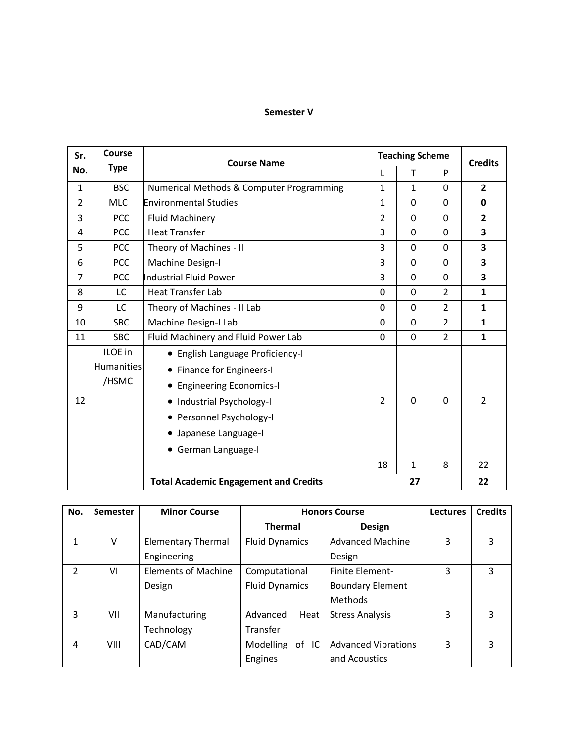### **Semester V**

| Sr.            | Course      | <b>Course Name</b>                           |                | <b>Teaching Scheme</b> |                | <b>Credits</b> |
|----------------|-------------|----------------------------------------------|----------------|------------------------|----------------|----------------|
| No.            | <b>Type</b> |                                              |                | $\mathsf{T}$           | P              |                |
| $\mathbf{1}$   | <b>BSC</b>  | Numerical Methods & Computer Programming     | $\mathbf{1}$   | $\mathbf{1}$           | 0              | $\overline{2}$ |
| $\overline{2}$ | <b>MLC</b>  | <b>Environmental Studies</b>                 | $\mathbf{1}$   | $\mathbf 0$            | 0              | 0              |
| 3              | PCC         | <b>Fluid Machinery</b>                       | $\overline{2}$ | 0                      | 0              | $\mathbf{2}$   |
| 4              | <b>PCC</b>  | <b>Heat Transfer</b>                         | 3              | 0                      | 0              | 3              |
| 5              | <b>PCC</b>  | Theory of Machines - II                      | 3              | 0                      | 0              | 3              |
| 6              | <b>PCC</b>  | Machine Design-I                             | 3              | $\mathbf 0$            | 0              | 3              |
| $\overline{7}$ | PCC         | <b>Industrial Fluid Power</b>                | 3              | $\Omega$               | 0              | 3              |
| 8              | LC          | <b>Heat Transfer Lab</b>                     | 0              | $\mathbf 0$            | $\overline{2}$ | $\mathbf{1}$   |
| 9              | LC          | Theory of Machines - II Lab                  | 0              | $\Omega$               | $\overline{2}$ | $\mathbf{1}$   |
| 10             | <b>SBC</b>  | Machine Design-I Lab                         | 0              | 0                      | $\overline{2}$ | $\mathbf{1}$   |
| 11             | <b>SBC</b>  | Fluid Machinery and Fluid Power Lab          | 0              | 0                      | $\overline{2}$ | $\mathbf{1}$   |
|                | ILOE in     | • English Language Proficiency-I             |                |                        |                |                |
|                | Humanities  | <b>Finance for Engineers-I</b><br>$\bullet$  |                |                        |                |                |
|                | /HSMC       | • Engineering Economics-I                    |                |                        |                |                |
| 12             |             | • Industrial Psychology-I                    | $\overline{2}$ | $\Omega$               | 0              | $\mathcal{P}$  |
|                |             | • Personnel Psychology-I                     |                |                        |                |                |
|                |             | • Japanese Language-I                        |                |                        |                |                |
|                |             | • German Language-I                          |                |                        |                |                |
|                |             |                                              | 18             | $\mathbf{1}$           | 8              | 22             |
|                |             | <b>Total Academic Engagement and Credits</b> |                | 27                     |                | 22             |

| No.           | <b>Semester</b> | <b>Minor Course</b>        |                       | <b>Honors Course</b>       | <b>Lectures</b> | <b>Credits</b> |
|---------------|-----------------|----------------------------|-----------------------|----------------------------|-----------------|----------------|
|               |                 |                            | <b>Thermal</b>        | <b>Design</b>              |                 |                |
| 1             | V               | <b>Elementary Thermal</b>  | <b>Fluid Dynamics</b> | <b>Advanced Machine</b>    | 3               | 3              |
|               |                 | Engineering                |                       | Design                     |                 |                |
| $\mathcal{P}$ | VI              | <b>Elements of Machine</b> | Computational         | Finite Element-            | 3               | 3              |
|               |                 | Design                     | <b>Fluid Dynamics</b> | <b>Boundary Element</b>    |                 |                |
|               |                 |                            |                       | Methods                    |                 |                |
| 3             | VII             | Manufacturing              | Advanced<br>Heat      | <b>Stress Analysis</b>     | 3               | 3              |
|               |                 | Technology                 | Transfer              |                            |                 |                |
| 4             | VIII            | CAD/CAM                    | Modelling<br>of IC    | <b>Advanced Vibrations</b> | 3               | 3              |
|               |                 |                            | Engines               | and Acoustics              |                 |                |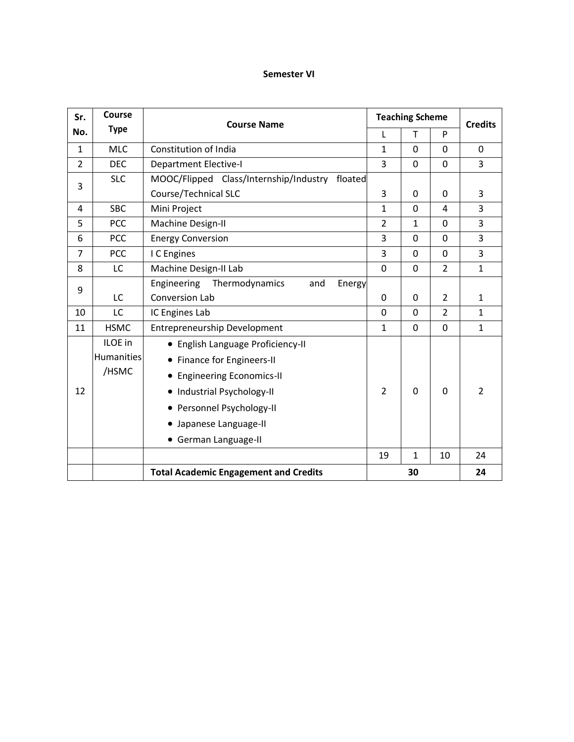### **Semester VI**

| Sr.            | Course            | <b>Course Name</b>                                |                | <b>Teaching Scheme</b> |                | <b>Credits</b> |
|----------------|-------------------|---------------------------------------------------|----------------|------------------------|----------------|----------------|
| No.            | <b>Type</b>       |                                                   | L              | T.                     | P              |                |
| $\mathbf{1}$   | <b>MLC</b>        | Constitution of India                             | $\mathbf{1}$   | 0                      | 0              | $\mathbf 0$    |
| $\overline{2}$ | <b>DEC</b>        | <b>Department Elective-I</b>                      | 3              | 0                      | 0              | 3              |
| 3              | <b>SLC</b>        | MOOC/Flipped Class/Internship/Industry<br>floated |                |                        |                |                |
|                |                   | <b>Course/Technical SLC</b>                       | 3              | 0                      | 0              | 3              |
| 4              | <b>SBC</b>        | Mini Project                                      | 1              | $\Omega$               | 4              | 3              |
| 5              | <b>PCC</b>        | Machine Design-II                                 | $\overline{2}$ | 1                      | 0              | 3              |
| 6              | <b>PCC</b>        | <b>Energy Conversion</b>                          | 3              | 0                      | 0              | 3              |
| $\overline{7}$ | PCC               | I C Engines                                       | 3              | 0                      | $\Omega$       | $\overline{3}$ |
| 8              | LC                | Machine Design-II Lab                             | 0              | 0                      | $\overline{2}$ | $\mathbf{1}$   |
| 9              |                   | Engineering<br>Thermodynamics<br>and<br>Energy    |                |                        |                |                |
|                | LC                | <b>Conversion Lab</b>                             | 0              | 0                      | $\overline{2}$ | $\mathbf{1}$   |
| 10             | LC                | IC Engines Lab                                    | 0              | 0                      | $\overline{2}$ | $\mathbf{1}$   |
| 11             | <b>HSMC</b>       | <b>Entrepreneurship Development</b>               | $\mathbf{1}$   | 0                      | 0              | $\mathbf{1}$   |
|                | ILOE in           | • English Language Proficiency-II                 |                |                        |                |                |
|                | <b>Humanities</b> | Finance for Engineers-II<br>$\bullet$             |                |                        |                |                |
|                | /HSMC             | • Engineering Economics-II                        |                |                        |                |                |
| 12             |                   | • Industrial Psychology-II                        | $\overline{2}$ | 0                      | 0              | $\overline{2}$ |
|                |                   | • Personnel Psychology-II                         |                |                        |                |                |
|                |                   | Japanese Language-II<br>$\bullet$                 |                |                        |                |                |
|                |                   | • German Language-II                              |                |                        |                |                |
|                |                   |                                                   | 19             | $\mathbf{1}$           | 10             | 24             |
|                |                   | <b>Total Academic Engagement and Credits</b>      |                | 30                     |                | 24             |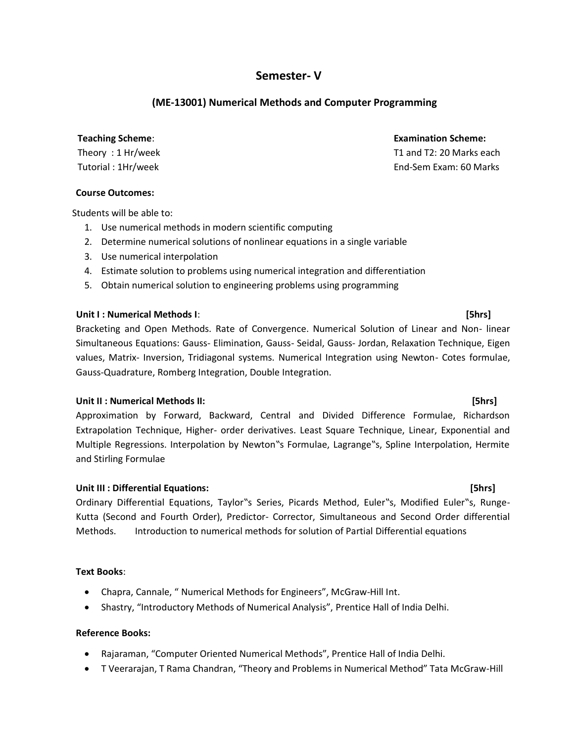# **Semester- V**

# **(ME-13001) Numerical Methods and Computer Programming**

Theory : 1 Hr/week Tutorial : 1Hr/week

### **Course Outcomes:**

Students will be able to:

- 1. Use numerical methods in modern scientific computing
- 2. Determine numerical solutions of nonlinear equations in a single variable
- 3. Use numerical interpolation
- 4. Estimate solution to problems using numerical integration and differentiation
- 5. Obtain numerical solution to engineering problems using programming

### **Unit I : Numerical Methods I**: **[5hrs]**

Bracketing and Open Methods. Rate of Convergence. Numerical Solution of Linear and Non- linear Simultaneous Equations: Gauss- Elimination, Gauss- Seidal, Gauss- Jordan, Relaxation Technique, Eigen values, Matrix- Inversion, Tridiagonal systems. Numerical Integration using Newton- Cotes formulae, Gauss-Quadrature, Romberg Integration, Double Integration.

### **Unit II : Numerical Methods II: [5hrs]**

Approximation by Forward, Backward, Central and Divided Difference Formulae, Richardson Extrapolation Technique, Higher- order derivatives. Least Square Technique, Linear, Exponential and Multiple Regressions. Interpolation by Newton"s Formulae, Lagrange"s, Spline Interpolation, Hermite and Stirling Formulae

### **Unit III : Differential Equations: [5hrs]**

Ordinary Differential Equations, Taylor"s Series, Picards Method, Euler"s, Modified Euler"s, Runge-Kutta (Second and Fourth Order), Predictor- Corrector, Simultaneous and Second Order differential Methods. Introduction to numerical methods for solution of Partial Differential equations

### **Text Books**:

- Chapra, Cannale, " Numerical Methods for Engineers", McGraw-Hill Int.
- Shastry, "Introductory Methods of Numerical Analysis", Prentice Hall of India Delhi.

### **Reference Books:**

- Rajaraman, "Computer Oriented Numerical Methods", Prentice Hall of India Delhi.
- T Veerarajan, T Rama Chandran, "Theory and Problems in Numerical Method" Tata McGraw-Hill

### **Teaching Scheme**: **Examination Scheme:**

 T1 and T2: 20 Marks each End-Sem Exam: 60 Marks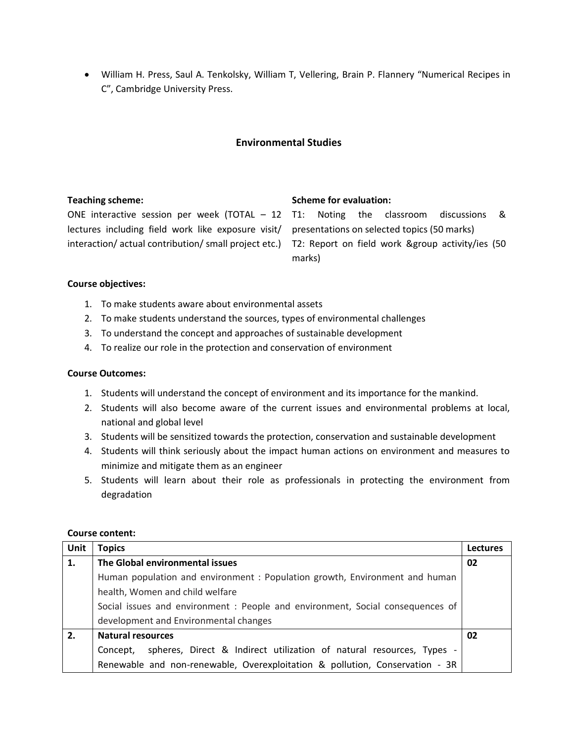• William H. Press, Saul A. Tenkolsky, William T, Vellering, Brain P. Flannery "Numerical Recipes in C", Cambridge University Press.

### **Environmental Studies**

| <b>Teaching scheme:</b>                                                                              | <b>Scheme for evaluation:</b> |
|------------------------------------------------------------------------------------------------------|-------------------------------|
| ONE interactive session per week (TOTAL $-12$ T1: Noting the classroom discussions &                 |                               |
| lectures including field work like exposure visit/ presentations on selected topics (50 marks)       |                               |
| interaction/actual contribution/small project etc.) T2: Report on field work &group activity/ies (50 | marks)                        |

### **Course objectives:**

- 1. To make students aware about environmental assets
- 2. To make students understand the sources, types of environmental challenges
- 3. To understand the concept and approaches of sustainable development
- 4. To realize our role in the protection and conservation of environment

### **Course Outcomes:**

- 1. Students will understand the concept of environment and its importance for the mankind.
- 2. Students will also become aware of the current issues and environmental problems at local, national and global level
- 3. Students will be sensitized towards the protection, conservation and sustainable development
- 4. Students will think seriously about the impact human actions on environment and measures to minimize and mitigate them as an engineer
- 5. Students will learn about their role as professionals in protecting the environment from degradation

### **Course content:**

| Unit | <b>Topics</b>                                                                    | <b>Lectures</b> |  |  |  |
|------|----------------------------------------------------------------------------------|-----------------|--|--|--|
| 1.   | The Global environmental issues                                                  | 02              |  |  |  |
|      | Human population and environment : Population growth, Environment and human      |                 |  |  |  |
|      | health, Women and child welfare                                                  |                 |  |  |  |
|      | Social issues and environment : People and environment, Social consequences of   |                 |  |  |  |
|      | development and Environmental changes                                            |                 |  |  |  |
| 2.   | <b>Natural resources</b>                                                         | 02              |  |  |  |
|      | spheres, Direct & Indirect utilization of natural resources, Types -<br>Concept, |                 |  |  |  |
|      | Renewable and non-renewable, Overexploitation & pollution, Conservation - 3R     |                 |  |  |  |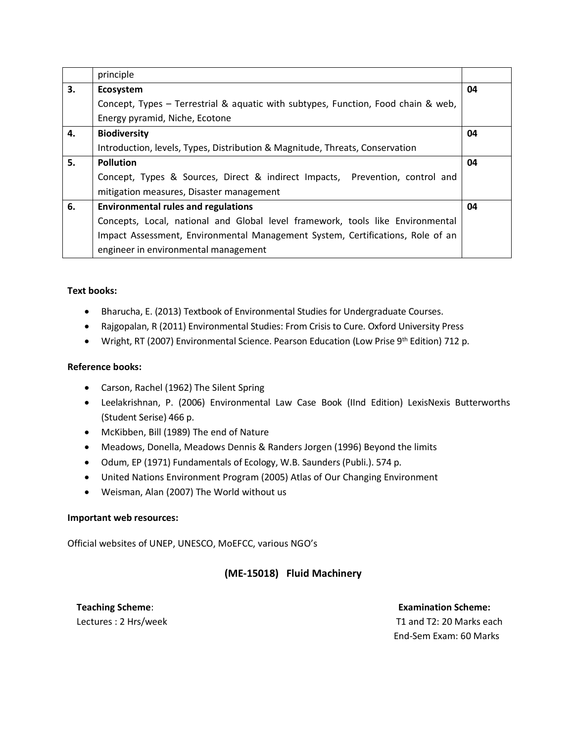|    | principle                                                                         |    |  |  |  |
|----|-----------------------------------------------------------------------------------|----|--|--|--|
| 3. | Ecosystem                                                                         | 04 |  |  |  |
|    | Concept, Types – Terrestrial & aquatic with subtypes, Function, Food chain & web, |    |  |  |  |
|    | Energy pyramid, Niche, Ecotone                                                    |    |  |  |  |
| 4. | <b>Biodiversity</b>                                                               | 04 |  |  |  |
|    | Introduction, levels, Types, Distribution & Magnitude, Threats, Conservation      |    |  |  |  |
| 5. | <b>Pollution</b>                                                                  | 04 |  |  |  |
|    | Concept, Types & Sources, Direct & indirect Impacts, Prevention, control and      |    |  |  |  |
|    | mitigation measures, Disaster management                                          |    |  |  |  |
| 6. | <b>Environmental rules and regulations</b>                                        | 04 |  |  |  |
|    | Concepts, Local, national and Global level framework, tools like Environmental    |    |  |  |  |
|    | Impact Assessment, Environmental Management System, Certifications, Role of an    |    |  |  |  |
|    | engineer in environmental management                                              |    |  |  |  |

### **Text books:**

- Bharucha, E. (2013) Textbook of Environmental Studies for Undergraduate Courses.
- Rajgopalan, R (2011) Environmental Studies: From Crisis to Cure. Oxford University Press
- Wright, RT (2007) Environmental Science. Pearson Education (Low Prise 9<sup>th</sup> Edition) 712 p.

### **Reference books:**

- Carson, Rachel (1962) The Silent Spring
- Leelakrishnan, P. (2006) Environmental Law Case Book (IInd Edition) LexisNexis Butterworths (Student Serise) 466 p.
- McKibben, Bill (1989) The end of Nature
- Meadows, Donella, Meadows Dennis & Randers Jorgen (1996) Beyond the limits
- Odum, EP (1971) Fundamentals of Ecology, W.B. Saunders (Publi.). 574 p.
- United Nations Environment Program (2005) Atlas of Our Changing Environment
- Weisman, Alan (2007) The World without us

### **Important web resources:**

Official websites of UNEP, UNESCO, MoEFCC, various NGO's

# **(ME-15018) Fluid Machinery**

**Teaching Scheme**: **Examination Scheme:**  Lectures : 2 Hrs/week T1 and T2: 20 Marks each End-Sem Exam: 60 Marks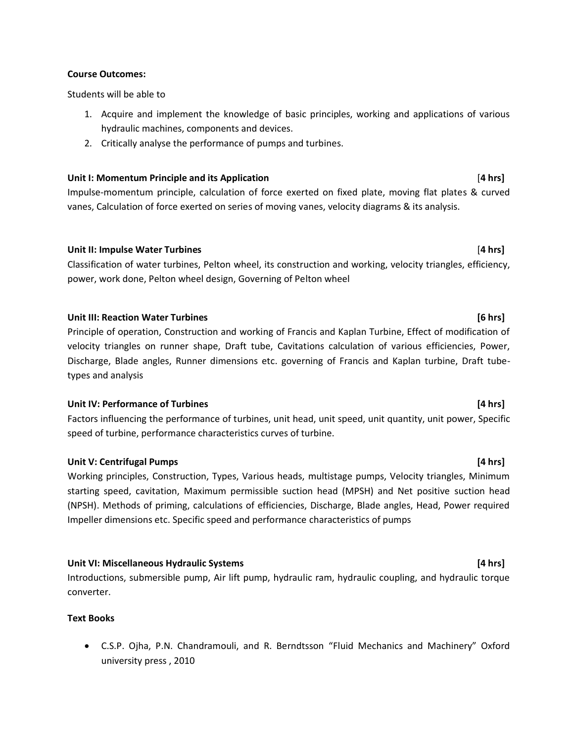### **Course Outcomes:**

Students will be able to

- 1. Acquire and implement the knowledge of basic principles, working and applications of various hydraulic machines, components and devices.
- 2. Critically analyse the performance of pumps and turbines.

### **Unit I: Momentum Principle and its Application** [**4 hrs]**

Impulse-momentum principle, calculation of force exerted on fixed plate, moving flat plates & curved vanes, Calculation of force exerted on series of moving vanes, velocity diagrams & its analysis.

### **Unit II: Impulse Water Turbines** [**4 hrs]**

Classification of water turbines, Pelton wheel, its construction and working, velocity triangles, efficiency, power, work done, Pelton wheel design, Governing of Pelton wheel

### **Unit III: Reaction Water Turbines [6 hrs]**

Principle of operation, Construction and working of Francis and Kaplan Turbine, Effect of modification of velocity triangles on runner shape, Draft tube, Cavitations calculation of various efficiencies, Power, Discharge, Blade angles, Runner dimensions etc. governing of Francis and Kaplan turbine, Draft tubetypes and analysis

### Unit IV: Performance of Turbines *Mathemance of Turbines Mathemance of Turbines Mathemance of Turbines Mathemance of Turbines* **<b>***Mathemance of Turbines Mathemance of Turbines Mathemance of Turbines*

Factors influencing the performance of turbines, unit head, unit speed, unit quantity, unit power, Specific speed of turbine, performance characteristics curves of turbine.

### **Unit V: Centrifugal Pumps [4 hrs]**

Working principles, Construction, Types, Various heads, multistage pumps, Velocity triangles, Minimum starting speed, cavitation, Maximum permissible suction head (MPSH) and Net positive suction head (NPSH). Methods of priming, calculations of efficiencies, Discharge, Blade angles, Head, Power required Impeller dimensions etc. Specific speed and performance characteristics of pumps

### **Unit VI: Miscellaneous Hydraulic Systems [4 hrs]**

Introductions, submersible pump, Air lift pump, hydraulic ram, hydraulic coupling, and hydraulic torque converter.

### **Text Books**

• C.S.P. Ojha, P.N. Chandramouli, and R. Berndtsson "Fluid Mechanics and Machinery" Oxford university press , 2010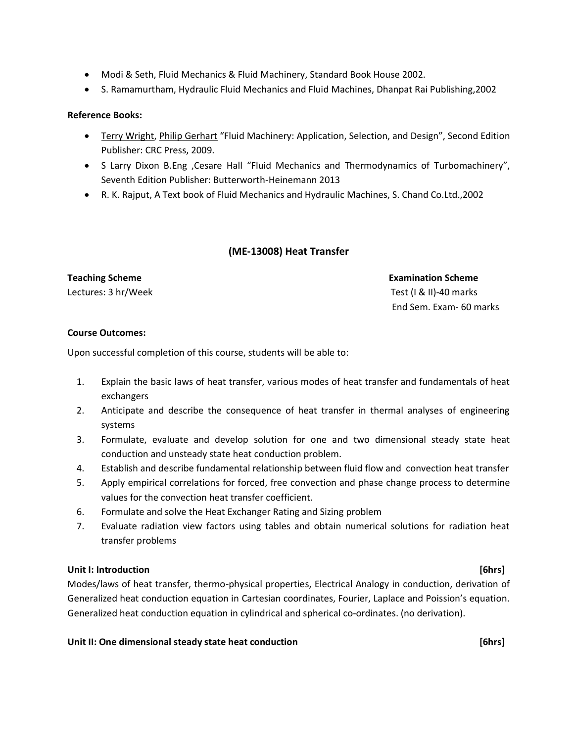- Modi & Seth, Fluid Mechanics & Fluid Machinery, Standard Book House 2002.
- S. Ramamurtham, Hydraulic Fluid Mechanics and Fluid Machines, Dhanpat Rai Publishing,2002

### **Reference Books:**

- [Terry Wright,](https://www.amazon.com/Terry-Wright/e/B001KIGVGS/ref=dp_byline_cont_book_1) [Philip Gerhart](https://www.amazon.com/s/ref=dp_byline_sr_book_2?ie=UTF8&text=Philip+Gerhart&search-alias=books&field-author=Philip+Gerhart&sort=relevancerank) "Fluid Machinery: Application, Selection, and Design", Second Edition Publisher: CRC Press, 2009.
- S Larry Dixon B.Eng ,Cesare Hall "Fluid Mechanics and Thermodynamics of Turbomachinery", Seventh Edition Publisher: Butterworth-Heinemann 2013
- R. K. Rajput, A Text book of Fluid Mechanics and Hydraulic Machines, S. Chand Co.Ltd.,2002

### **(ME-13008) Heat Transfer**

# **Teaching Scheme Examination Scheme** Lectures: 3 hr/Week Test (I & II)-40 marks End Sem. Exam- 60 marks

### **Course Outcomes:**

Upon successful completion of this course, students will be able to:

- 1. Explain the basic laws of heat transfer, various modes of heat transfer and fundamentals of heat exchangers
- 2. Anticipate and describe the consequence of heat transfer in thermal analyses of engineering systems
- 3. Formulate, evaluate and develop solution for one and two dimensional steady state heat conduction and unsteady state heat conduction problem.
- 4. Establish and describe fundamental relationship between fluid flow and convection heat transfer
- 5. Apply empirical correlations for forced, free convection and phase change process to determine values for the convection heat transfer coefficient.
- 6. Formulate and solve the Heat Exchanger Rating and Sizing problem
- 7. Evaluate radiation view factors using tables and obtain numerical solutions for radiation heat transfer problems

### **Unit I: Introduction [6hrs]**

Modes/laws of heat transfer, thermo-physical properties, Electrical Analogy in conduction, derivation of Generalized heat conduction equation in Cartesian coordinates, Fourier, Laplace and Poission's equation. Generalized heat conduction equation in cylindrical and spherical co-ordinates. (no derivation).

### **Unit II: One dimensional steady state heat conduction [6hrs]**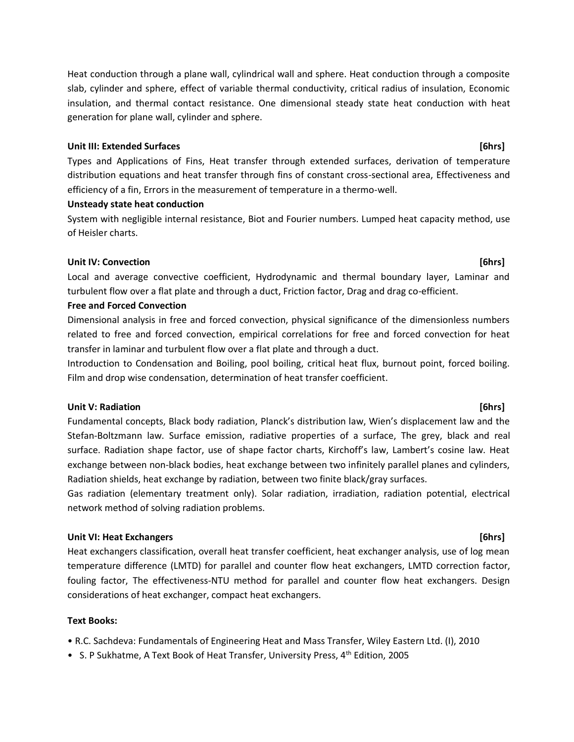Heat conduction through a plane wall, cylindrical wall and sphere. Heat conduction through a composite slab, cylinder and sphere, effect of variable thermal conductivity, critical radius of insulation, Economic insulation, and thermal contact resistance. One dimensional steady state heat conduction with heat generation for plane wall, cylinder and sphere.

## **Unit III: Extended Surfaces [6hrs]**

Types and Applications of Fins, Heat transfer through extended surfaces, derivation of temperature distribution equations and heat transfer through fins of constant cross-sectional area, Effectiveness and efficiency of a fin, Errors in the measurement of temperature in a thermo-well.

# **Unsteady state heat conduction**

System with negligible internal resistance, Biot and Fourier numbers. Lumped heat capacity method, use of Heisler charts.

# **Unit IV: Convection [6hrs]** *Convertion Convertion*

Local and average convective coefficient, Hydrodynamic and thermal boundary layer, Laminar and turbulent flow over a flat plate and through a duct, Friction factor, Drag and drag co-efficient.

# **Free and Forced Convection**

Dimensional analysis in free and forced convection, physical significance of the dimensionless numbers related to free and forced convection, empirical correlations for free and forced convection for heat transfer in laminar and turbulent flow over a flat plate and through a duct.

Introduction to Condensation and Boiling, pool boiling, critical heat flux, burnout point, forced boiling. Film and drop wise condensation, determination of heat transfer coefficient.

# **Unit V: Radiation [6hrs]**

Fundamental concepts, Black body radiation, Planck's distribution law, Wien's displacement law and the Stefan-Boltzmann law. Surface emission, radiative properties of a surface, The grey, black and real surface. Radiation shape factor, use of shape factor charts, Kirchoff's law, Lambert's cosine law. Heat exchange between non-black bodies, heat exchange between two infinitely parallel planes and cylinders, Radiation shields, heat exchange by radiation, between two finite black/gray surfaces.

Gas radiation (elementary treatment only). Solar radiation, irradiation, radiation potential, electrical network method of solving radiation problems.

# **Unit VI: Heat Exchangers [6hrs]**

Heat exchangers classification, overall heat transfer coefficient, heat exchanger analysis, use of log mean temperature difference (LMTD) for parallel and counter flow heat exchangers, LMTD correction factor, fouling factor, The effectiveness-NTU method for parallel and counter flow heat exchangers. Design considerations of heat exchanger, compact heat exchangers.

# **Text Books:**

• R.C. Sachdeva: Fundamentals of Engineering Heat and Mass Transfer, Wiley Eastern Ltd. (I), 2010

• S. P Sukhatme, A Text Book of Heat Transfer, University Press, 4<sup>th</sup> Edition, 2005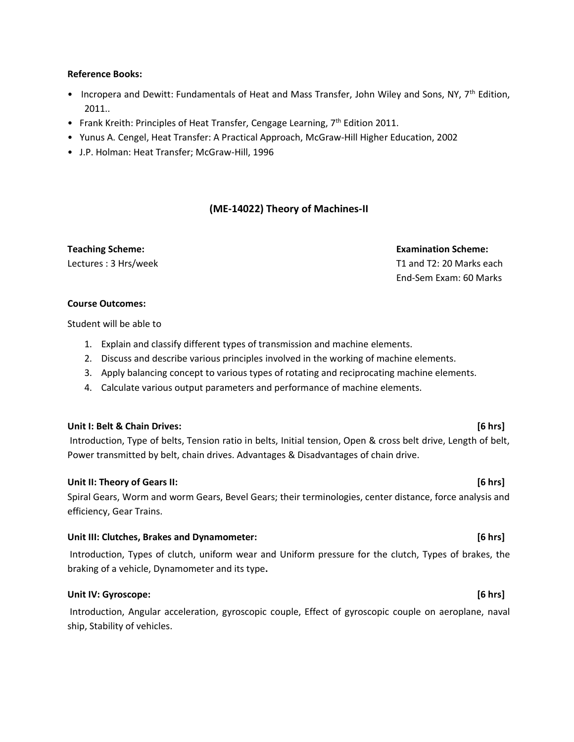### **Reference Books:**

- Incropera and Dewitt: Fundamentals of Heat and Mass Transfer, John Wiley and Sons, NY, 7<sup>th</sup> Edition, 2011..
- Frank Kreith: Principles of Heat Transfer, Cengage Learning, 7<sup>th</sup> Edition 2011.
- [Yunus A. Cengel,](http://www.amazon.in/s/ref=dp_byline_sr_book_1?ie=UTF8&field-author=Yunus+A.+Cengel&search-alias=stripbooks) Heat Transfer: A Practical Approach, McGraw-Hill Higher Education, 2002
- J.P. Holman: Heat Transfer; McGraw-Hill, 1996

### **(ME-14022) Theory of Machines-II**

**Teaching Scheme: Examination Scheme:**  Lectures : 3 Hrs/week T1 and T2: 20 Marks each End-Sem Exam: 60 Marks

### **Course Outcomes:**

Student will be able to

- 1. Explain and classify different types of transmission and machine elements.
- 2. Discuss and describe various principles involved in the working of machine elements.
- 3. Apply balancing concept to various types of rotating and reciprocating machine elements.
- 4. Calculate various output parameters and performance of machine elements.

### **Unit I: Belt & Chain Drives: [6 hrs]**

Introduction, Type of belts, Tension ratio in belts, Initial tension, Open & cross belt drive, Length of belt, Power transmitted by belt, chain drives. Advantages & Disadvantages of chain drive.

### **Unit II: Theory of Gears II: [6 hrs]**

Spiral Gears, Worm and worm Gears, Bevel Gears; their terminologies, center distance, force analysis and efficiency, Gear Trains.

### **Unit III: Clutches, Brakes and Dynamometer: [6 hrs]**

Introduction, Types of clutch, uniform wear and Uniform pressure for the clutch, Types of brakes, the braking of a vehicle, Dynamometer and its type**.** 

### **Unit IV: Gyroscope: [6 hrs]**

Introduction, Angular acceleration, gyroscopic couple, Effect of gyroscopic couple on aeroplane, naval ship, Stability of vehicles.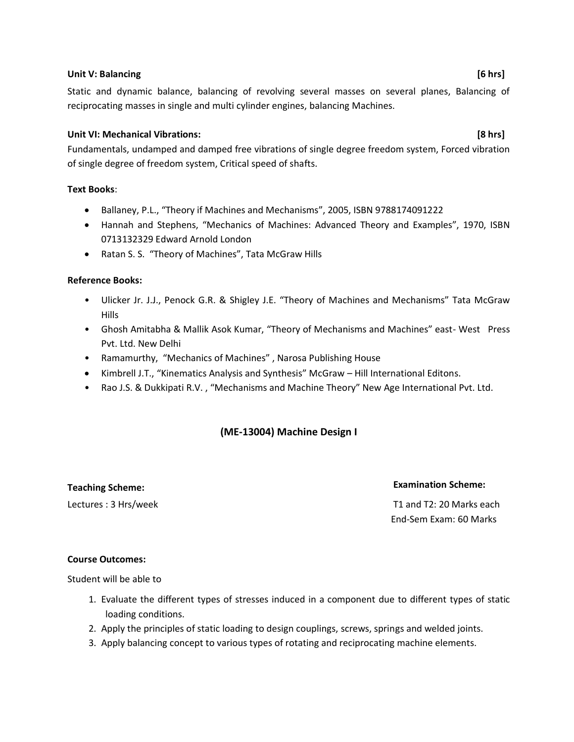### **Unit V: Balancing [6 hrs]**

Static and dynamic balance, balancing of revolving several masses on several planes, Balancing of reciprocating masses in single and multi cylinder engines, balancing Machines.

### **Unit VI: Mechanical Vibrations: [8 hrs]**

Fundamentals, undamped and damped free vibrations of single degree freedom system, Forced vibration of single degree of freedom system, Critical speed of shafts.

### **Text Books**:

- Ballaney, P.L., "Theory if Machines and Mechanisms", 2005, ISBN 9788174091222
- Hannah and Stephens, "Mechanics of Machines: Advanced Theory and Examples", 1970, ISBN 0713132329 Edward Arnold London
- Ratan S. S. "Theory of Machines", Tata McGraw Hills

### **Reference Books:**

- Ulicker Jr. J.J., Penock G.R. & Shigley J.E. "Theory of Machines and Mechanisms" Tata McGraw Hills
- Ghosh Amitabha & Mallik Asok Kumar, "Theory of Mechanisms and Machines" east- West Press Pvt. Ltd. New Delhi
- Ramamurthy, "Mechanics of Machines" , Narosa Publishing House
- Kimbrell J.T., "Kinematics Analysis and Synthesis" McGraw Hill International Editons.
- Rao J.S. & Dukkipati R.V. , "Mechanisms and Machine Theory" New Age International Pvt. Ltd.

### **(ME-13004) Machine Design I**

# **Teaching Scheme: Examination Scheme:**

Lectures : 3 Hrs/week T1 and T2: 20 Marks each End-Sem Exam: 60 Marks

### **Course Outcomes:**

Student will be able to

- 1. Evaluate the different types of stresses induced in a component due to different types of static loading conditions.
- 2. Apply the principles of static loading to design couplings, screws, springs and welded joints.
- 3. Apply balancing concept to various types of rotating and reciprocating machine elements.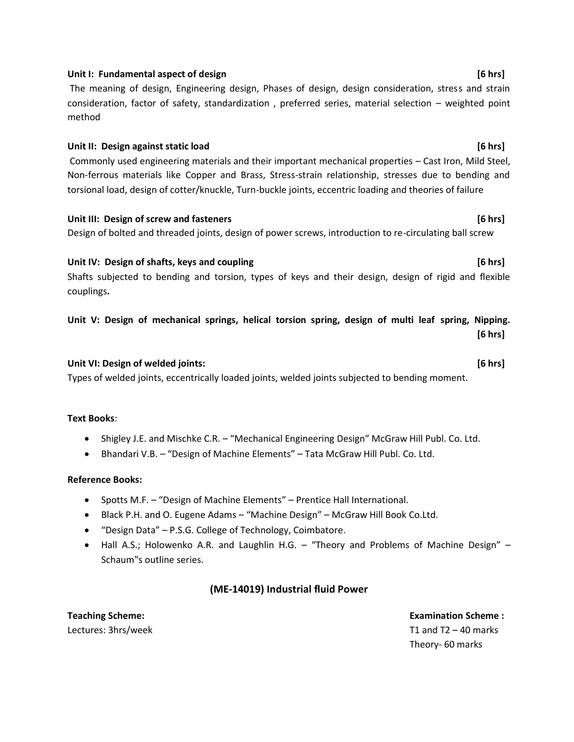### Unit I: Fundamental aspect of design **by the set of the set of the set of the set of the set of the set of the set of the set of the set of the set of the set of the set of the set of the set of the set of the set of the s**

The meaning of design, Engineering design, Phases of design, design consideration, stress and strain consideration, factor of safety, standardization , preferred series, material selection – weighted point method

# **Unit II: Design against static load [6 hrs]** Commonly used engineering materials and their important mechanical properties – Cast Iron, Mild Steel, Non-ferrous materials like Copper and Brass, Stress-strain relationship, stresses due to bending and torsional load, design of cotter/knuckle, Turn-buckle joints, eccentric loading and theories of failure

**Unit III: Design of screw and fasteners [6 hrs]** Design of bolted and threaded joints, design of power screws, introduction to re-circulating ball screw

Unit IV: Design of shafts, keys and coupling **by the set of the set of the set of the set of the set of the set o** Shafts subjected to bending and torsion, types of keys and their design, design of rigid and flexible couplings**.** 

**Unit V: Design of mechanical springs, helical torsion spring, design of multi leaf spring, Nipping. [6 hrs]** 

### **Unit VI: Design of welded joints: [6 hrs]**

Types of welded joints, eccentrically loaded joints, welded joints subjected to bending moment.

### **Text Books**:

- Shigley J.E. and Mischke C.R. "Mechanical Engineering Design" McGraw Hill Publ. Co. Ltd.
- Bhandari V.B. "Design of Machine Elements" Tata McGraw Hill Publ. Co. Ltd.

### **Reference Books:**

- Spotts M.F. "Design of Machine Elements" Prentice Hall International.
- Black P.H. and O. Eugene Adams "Machine Design" McGraw Hill Book Co.Ltd.
- "Design Data" P.S.G. College of Technology, Coimbatore.
- Hall A.S.; Holowenko A.R. and Laughlin H.G. "Theory and Problems of Machine Design" Schaum"s outline series.

### **(ME-14019) Industrial fluid Power**

**Teaching Scheme:**  Lectures: 3hrs/week  **Examination Scheme :**  T1 and  $T2 - 40$  marks Theory- 60 marks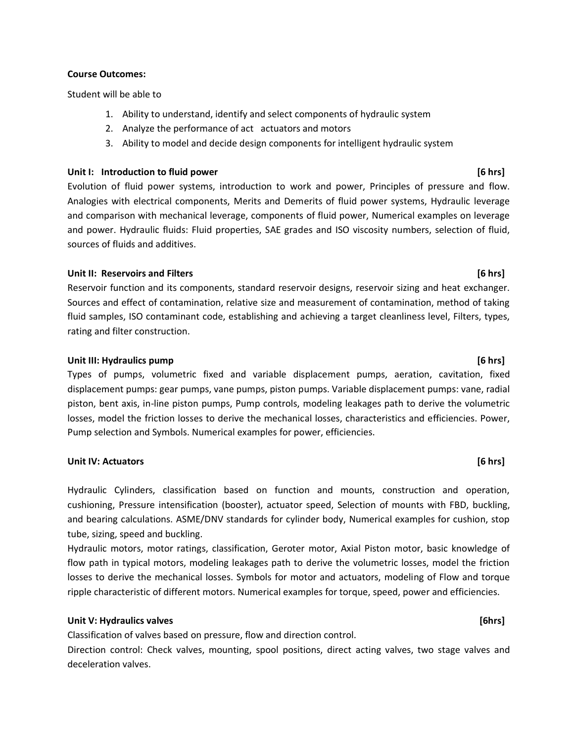### **Course Outcomes:**

Student will be able to

- 1. Ability to understand, identify and select components of hydraulic system
- 2. Analyze the performance of act actuators and motors
- 3. Ability to model and decide design components for intelligent hydraulic system

### **Unit I: Introduction to fluid power [6 hrs]**

Evolution of fluid power systems, introduction to work and power, Principles of pressure and flow. Analogies with electrical components, Merits and Demerits of fluid power systems, Hydraulic leverage and comparison with mechanical leverage, components of fluid power, Numerical examples on leverage and power. Hydraulic fluids: Fluid properties, SAE grades and ISO viscosity numbers, selection of fluid, sources of fluids and additives.

### **Unit II: Reservoirs and Filters [6 hrs]**

Reservoir function and its components, standard reservoir designs, reservoir sizing and heat exchanger. Sources and effect of contamination, relative size and measurement of contamination, method of taking fluid samples, ISO contaminant code, establishing and achieving a target cleanliness level, Filters, types, rating and filter construction.

### **Unit III: Hydraulics pump [6 hrs]**

Types of pumps, volumetric fixed and variable displacement pumps, aeration, cavitation, fixed displacement pumps: gear pumps, vane pumps, piston pumps. Variable displacement pumps: vane, radial piston, bent axis, in-line piston pumps, Pump controls, modeling leakages path to derive the volumetric losses, model the friction losses to derive the mechanical losses, characteristics and efficiencies. Power, Pump selection and Symbols. Numerical examples for power, efficiencies.

### **Unit IV: Actuators [6 hrs]**

Hydraulic Cylinders, classification based on function and mounts, construction and operation, cushioning, Pressure intensification (booster), actuator speed, Selection of mounts with FBD, buckling, and bearing calculations. ASME/DNV standards for cylinder body, Numerical examples for cushion, stop tube, sizing, speed and buckling.

Hydraulic motors, motor ratings, classification, Geroter motor, Axial Piston motor, basic knowledge of flow path in typical motors, modeling leakages path to derive the volumetric losses, model the friction losses to derive the mechanical losses. Symbols for motor and actuators, modeling of Flow and torque ripple characteristic of different motors. Numerical examples for torque, speed, power and efficiencies.

### Unit V: Hydraulics valves **and the set of the set of the set of the set of the set of the set of the set of the set of the set of the set of the set of the set of the set of the set of the set of the set of the set of the**

Classification of valves based on pressure, flow and direction control.

Direction control: Check valves, mounting, spool positions, direct acting valves, two stage valves and deceleration valves.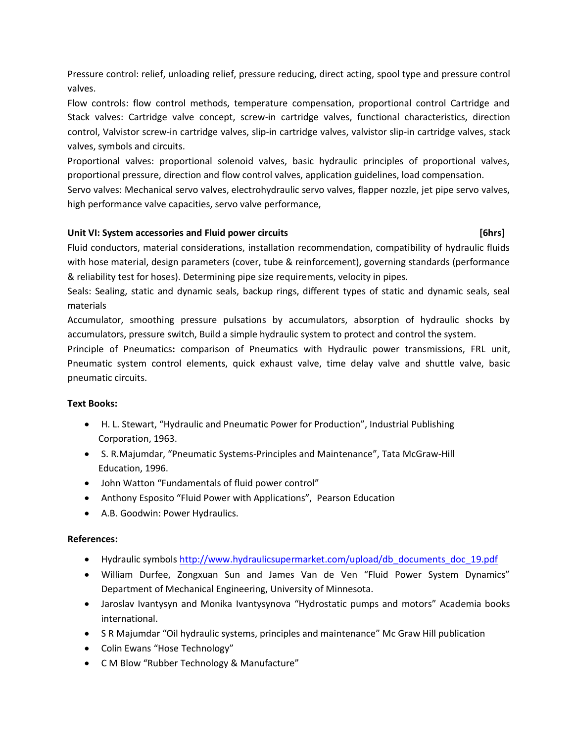Pressure control: relief, unloading relief, pressure reducing, direct acting, spool type and pressure control valves.

Flow controls: flow control methods, temperature compensation, proportional control Cartridge and Stack valves: Cartridge valve concept, screw-in cartridge valves, functional characteristics, direction control, Valvistor screw-in cartridge valves, slip-in cartridge valves, valvistor slip-in cartridge valves, stack valves, symbols and circuits.

Proportional valves: proportional solenoid valves, basic hydraulic principles of proportional valves, proportional pressure, direction and flow control valves, application guidelines, load compensation.

Servo valves: Mechanical servo valves, electrohydraulic servo valves, flapper nozzle, jet pipe servo valves, high performance valve capacities, servo valve performance,

### Unit VI: System accessories and Fluid power circuits *Unit VI: System accessories and Fluid power circuits*

Fluid conductors, material considerations, installation recommendation, compatibility of hydraulic fluids with hose material, design parameters (cover, tube & reinforcement), governing standards (performance & reliability test for hoses). Determining pipe size requirements, velocity in pipes.

Seals: Sealing, static and dynamic seals, backup rings, different types of static and dynamic seals, seal materials

Accumulator, smoothing pressure pulsations by accumulators, absorption of hydraulic shocks by accumulators, pressure switch, Build a simple hydraulic system to protect and control the system.

Principle of Pneumatics**:** comparison of Pneumatics with Hydraulic power transmissions, FRL unit, Pneumatic system control elements, quick exhaust valve, time delay valve and shuttle valve, basic pneumatic circuits.

### **Text Books:**

- H. L. Stewart, "Hydraulic and Pneumatic Power for Production", Industrial Publishing Corporation, 1963.
- S. R.Majumdar, "Pneumatic Systems-Principles and Maintenance", Tata McGraw-Hill Education, 1996.
- John Watton "Fundamentals of fluid power control"
- Anthony Esposito "Fluid Power with Applications", Pearson Education
- A.B. Goodwin: Power Hydraulics.

### **References:**

- Hydraulic symbol[s http://www.hydraulicsupermarket.com/upload/db\\_documents\\_doc\\_19.pdf](http://www.hydraulicsupermarket.com/upload/db_documents_doc_19.pdf)
- William Durfee, Zongxuan Sun and James Van de Ven "Fluid Power System Dynamics" Department of Mechanical Engineering, University of Minnesota.
- Jaroslav Ivantysyn and Monika Ivantysynova "Hydrostatic pumps and motors" Academia books international.
- S R Majumdar "Oil hydraulic systems, principles and maintenance" Mc Graw Hill publication
- Colin Ewans "Hose Technology"
- C M Blow "Rubber Technology & Manufacture"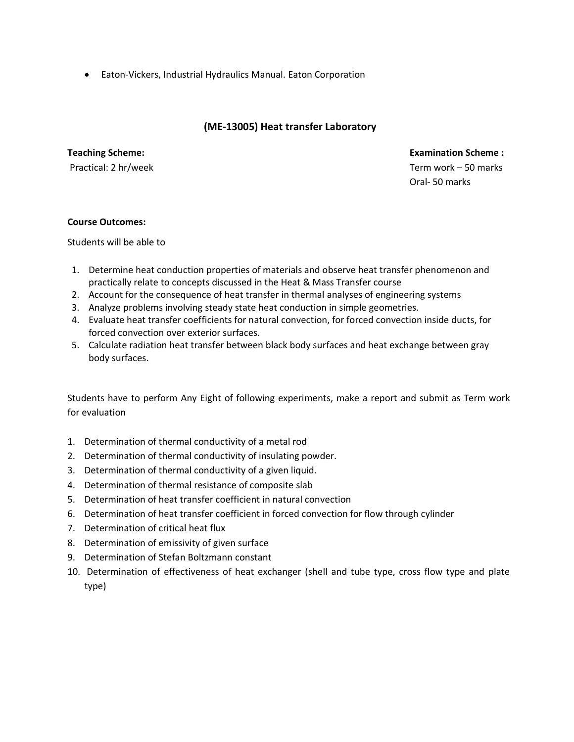• Eaton-Vickers, Industrial Hydraulics Manual. Eaton Corporation

# **(ME-13005) Heat transfer Laboratory**

### **Teaching Scheme:**

Practical: 2 hr/week

 **Examination Scheme :** Term work – 50 marks Oral- 50 marks

### **Course Outcomes:**

Students will be able to

- 1. Determine heat conduction properties of materials and observe heat transfer phenomenon and practically relate to concepts discussed in the Heat & Mass Transfer course
- 2. Account for the consequence of heat transfer in thermal analyses of engineering systems
- 3. Analyze problems involving steady state heat conduction in simple geometries.
- 4. Evaluate heat transfer coefficients for natural convection, for forced convection inside ducts, for forced convection over exterior surfaces.
- 5. Calculate radiation heat transfer between black body surfaces and heat exchange between gray body surfaces.

Students have to perform Any Eight of following experiments, make a report and submit as Term work for evaluation

- 1. Determination of thermal conductivity of a metal rod
- 2. Determination of thermal conductivity of insulating powder.
- 3. Determination of thermal conductivity of a given liquid.
- 4. Determination of thermal resistance of composite slab
- 5. Determination of heat transfer coefficient in natural convection
- 6. Determination of heat transfer coefficient in forced convection for flow through cylinder
- 7. Determination of critical heat flux
- 8. Determination of emissivity of given surface
- 9. Determination of Stefan Boltzmann constant
- 10. Determination of effectiveness of heat exchanger (shell and tube type, cross flow type and plate type)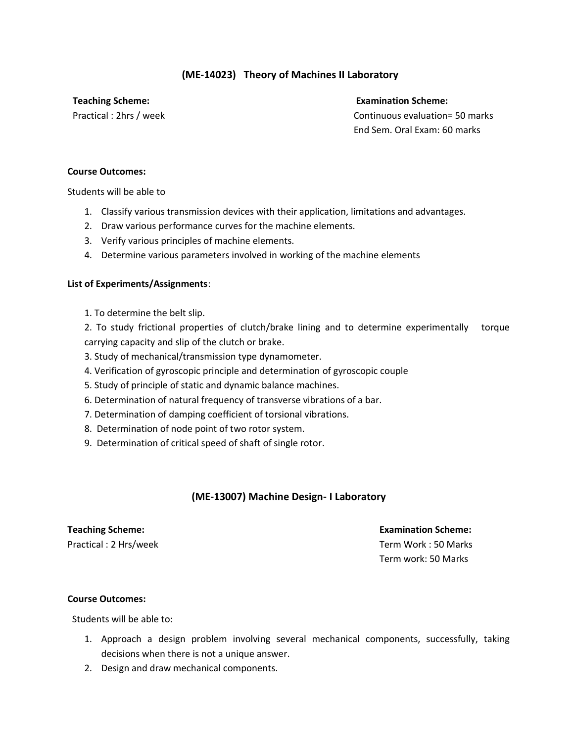# **(ME-14023) Theory of Machines II Laboratory**

**Teaching Scheme: Examination Scheme:**

Practical : 2hrs / week Continuous evaluation= 50 marks End Sem. Oral Exam: 60 marks

### **Course Outcomes:**

Students will be able to

- 1. Classify various transmission devices with their application, limitations and advantages.
- 2. Draw various performance curves for the machine elements.
- 3. Verify various principles of machine elements.
- 4. Determine various parameters involved in working of the machine elements

### **List of Experiments/Assignments**:

1. To determine the belt slip.

2. To study frictional properties of clutch/brake lining and to determine experimentally torque carrying capacity and slip of the clutch or brake.

- 3. Study of mechanical/transmission type dynamometer.
- 4. Verification of gyroscopic principle and determination of gyroscopic couple
- 5. Study of principle of static and dynamic balance machines.
- 6. Determination of natural frequency of transverse vibrations of a bar.
- 7. Determination of damping coefficient of torsional vibrations.
- 8. Determination of node point of two rotor system.
- 9. Determination of critical speed of shaft of single rotor.

# **(ME-13007) Machine Design- I Laboratory**

# **Teaching Scheme: Examination Scheme:**

Practical : 2 Hrs/week Term Work : 50 Marks Term work: 50 Marks

### **Course Outcomes:**

Students will be able to:

- 1. Approach a design problem involving several mechanical components, successfully, taking decisions when there is not a unique answer.
- 2. Design and draw mechanical components.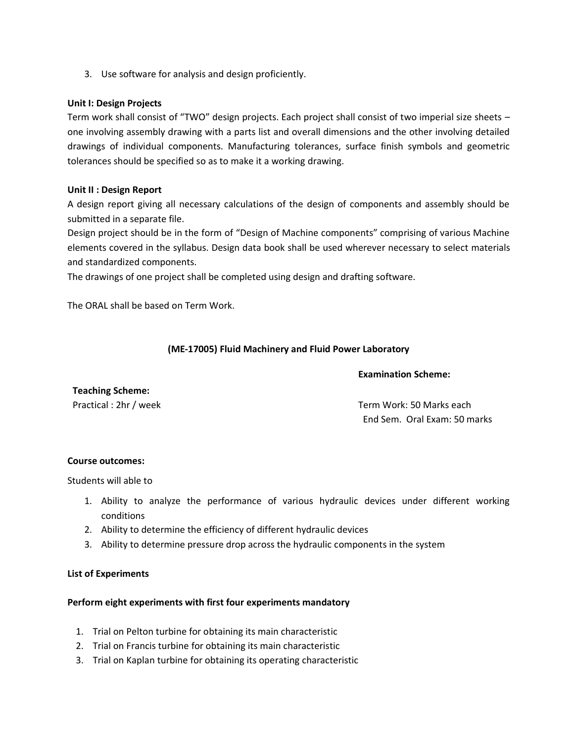3. Use software for analysis and design proficiently.

### **Unit I: Design Projects**

Term work shall consist of "TWO" design projects. Each project shall consist of two imperial size sheets – one involving assembly drawing with a parts list and overall dimensions and the other involving detailed drawings of individual components. Manufacturing tolerances, surface finish symbols and geometric tolerances should be specified so as to make it a working drawing.

### **Unit II : Design Report**

A design report giving all necessary calculations of the design of components and assembly should be submitted in a separate file.

Design project should be in the form of "Design of Machine components" comprising of various Machine elements covered in the syllabus. Design data book shall be used wherever necessary to select materials and standardized components.

The drawings of one project shall be completed using design and drafting software.

The ORAL shall be based on Term Work.

### **(ME-17005) Fluid Machinery and Fluid Power Laboratory**

### **Examination Scheme:**

**Teaching Scheme:** 

Practical : 2hr / week Term Work: 50 Marks each End Sem. Oral Exam: 50 marks

### **Course outcomes:**

Students will able to

- 1. Ability to analyze the performance of various hydraulic devices under different working conditions
- 2. Ability to determine the efficiency of different hydraulic devices
- 3. Ability to determine pressure drop across the hydraulic components in the system

### **List of Experiments**

### **Perform eight experiments with first four experiments mandatory**

- 1. Trial on Pelton turbine for obtaining its main characteristic
- 2. Trial on Francis turbine for obtaining its main characteristic
- 3. Trial on Kaplan turbine for obtaining its operating characteristic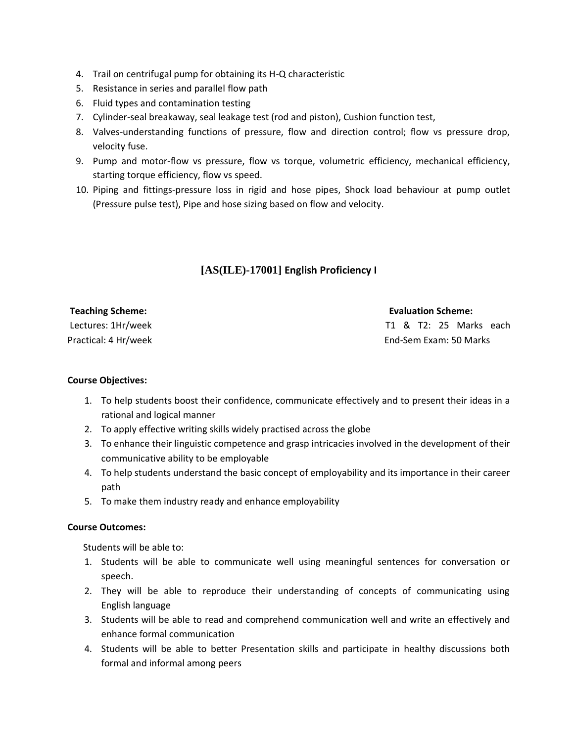- 4. Trail on centrifugal pump for obtaining its H-Q characteristic
- 5. Resistance in series and parallel flow path
- 6. Fluid types and contamination testing
- 7. Cylinder-seal breakaway, seal leakage test (rod and piston), Cushion function test,
- 8. Valves-understanding functions of pressure, flow and direction control; flow vs pressure drop, velocity fuse.
- 9. Pump and motor-flow vs pressure, flow vs torque, volumetric efficiency, mechanical efficiency, starting torque efficiency, flow vs speed.
- 10. Piping and fittings-pressure loss in rigid and hose pipes, Shock load behaviour at pump outlet (Pressure pulse test), Pipe and hose sizing based on flow and velocity.

# **[AS(ILE)-17001] English Proficiency I**

| <b>Teaching Scheme:</b> | <b>Evaluation Scheme:</b> |
|-------------------------|---------------------------|
| Lectures: 1Hr/week      | T1 & T2: 25 Marks each    |
| Practical: 4 Hr/week    | End-Sem Exam: 50 Marks    |

### **Course Objectives:**

- 1. To help students boost their confidence, communicate effectively and to present their ideas in a rational and logical manner
- 2. To apply effective writing skills widely practised across the globe
- 3. To enhance their linguistic competence and grasp intricacies involved in the development of their communicative ability to be employable
- 4. To help students understand the basic concept of employability and its importance in their career path
- 5. To make them industry ready and enhance employability

### **Course Outcomes:**

Students will be able to:

- 1. Students will be able to communicate well using meaningful sentences for conversation or speech.
- 2. They will be able to reproduce their understanding of concepts of communicating using English language
- 3. Students will be able to read and comprehend communication well and write an effectively and enhance formal communication
- 4. Students will be able to better Presentation skills and participate in healthy discussions both formal and informal among peers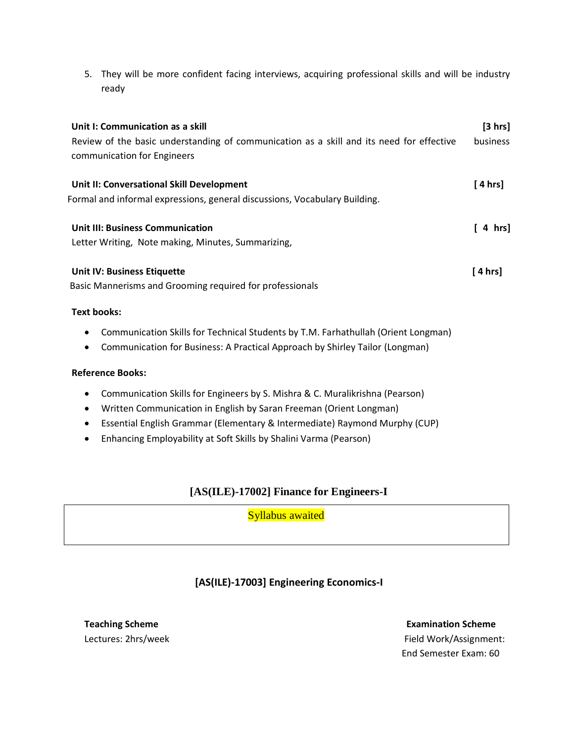5. They will be more confident facing interviews, acquiring professional skills and will be industry ready

| Unit I: Communication as a skill<br>Review of the basic understanding of communication as a skill and its need for effective<br>communication for Engineers | [3 hrs]<br><b>business</b> |
|-------------------------------------------------------------------------------------------------------------------------------------------------------------|----------------------------|
| Unit II: Conversational Skill Development<br>Formal and informal expressions, general discussions, Vocabulary Building.                                     | [ 4 hrs]                   |
| <b>Unit III: Business Communication</b><br>Letter Writing, Note making, Minutes, Summarizing,                                                               | [ 4 hrs]                   |
| <b>Unit IV: Business Etiquette</b><br>Basic Mannerisms and Grooming required for professionals                                                              | [4 hrs]                    |
| <b>Text books:</b><br>Communication Skills for Technical Students by T.M. Farhathullah (Orient Longman)                                                     |                            |

• Communication for Business: A Practical Approach by Shirley Tailor (Longman)

### **Reference Books:**

- Communication Skills for Engineers by S. Mishra & C. Muralikrishna (Pearson)
- Written Communication in English by Saran Freeman (Orient Longman)
- Essential English Grammar (Elementary & Intermediate) Raymond Murphy (CUP)
- Enhancing Employability at Soft Skills by Shalini Varma (Pearson)

# **[AS(ILE)-17002] Finance for Engineers-I**

Syllabus awaited

# **[AS(ILE)-17003] Engineering Economics-I**

**Teaching Scheme Examination Scheme Examination Scheme** Lectures: 2hrs/weekField Work/Assignment: End Semester Exam: 60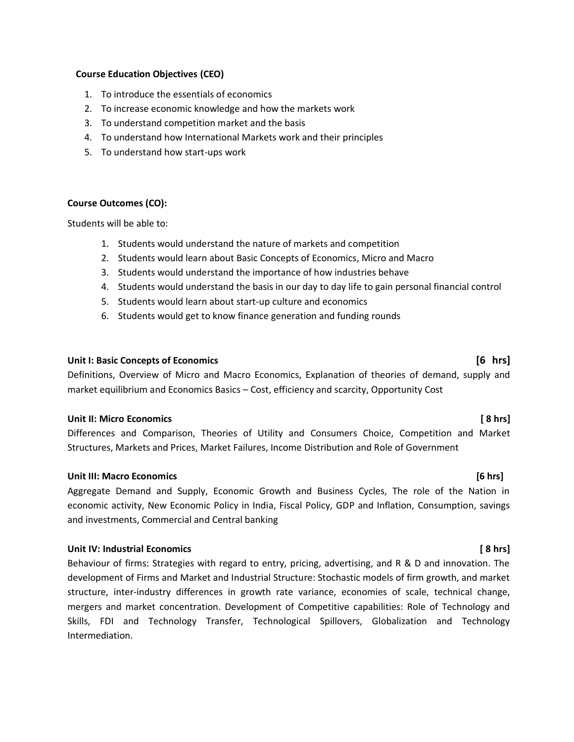### **Course Education Objectives (CEO)**

- 1. To introduce the essentials of economics
- 2. To increase economic knowledge and how the markets work
- 3. To understand competition market and the basis
- 4. To understand how International Markets work and their principles
- 5. To understand how start-ups work

### **Course Outcomes (CO):**

Students will be able to:

- 1. Students would understand the nature of markets and competition
- 2. Students would learn about Basic Concepts of Economics, Micro and Macro
- 3. Students would understand the importance of how industries behave
- 4. Students would understand the basis in our day to day life to gain personal financial control
- 5. Students would learn about start-up culture and economics
- 6. Students would get to know finance generation and funding rounds

### **Unit I: Basic Concepts of Economics [6 hrs]**

Definitions, Overview of Micro and Macro Economics, Explanation of theories of demand, supply and market equilibrium and Economics Basics – Cost, efficiency and scarcity, Opportunity Cost

### **Unit II: Micro Economics [ 8 hrs]**

Differences and Comparison, Theories of Utility and Consumers Choice, Competition and Market Structures, Markets and Prices, Market Failures, Income Distribution and Role of Government

### **Unit III: Macro Economics [6 hrs]**

Aggregate Demand and Supply, Economic Growth and Business Cycles, The role of the Nation in economic activity, New Economic Policy in India, Fiscal Policy, GDP and Inflation, Consumption, savings and investments, Commercial and Central banking

### **Unit IV: Industrial Economics [ 8 hrs]**

Behaviour of firms: Strategies with regard to entry, pricing, advertising, and R & D and innovation. The development of Firms and Market and Industrial Structure: Stochastic models of firm growth, and market structure, inter-industry differences in growth rate variance, economies of scale, technical change, mergers and market concentration. Development of Competitive capabilities: Role of Technology and Skills, FDI and Technology Transfer, Technological Spillovers, Globalization and Technology Intermediation.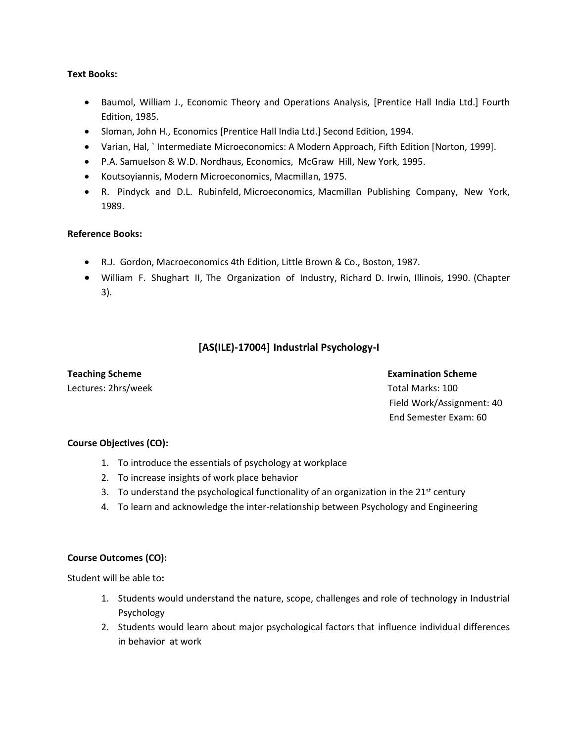### **Text Books:**

- Baumol, William J., Economic Theory and Operations Analysis, [Prentice Hall India Ltd.] Fourth Edition, 1985.
- Sloman, John H., Economics [Prentice Hall India Ltd.] Second Edition, 1994.
- Varian, Hal, ` Intermediate Microeconomics: A Modern Approach, Fifth Edition [Norton, 1999].
- P.A. Samuelson & W.D. Nordhaus, Economics, McGraw Hill, New York, 1995.
- Koutsoyiannis, Modern Microeconomics, Macmillan, 1975.
- R. Pindyck and D.L. Rubinfeld, Microeconomics, Macmillan Publishing Company, New York, 1989.

### **Reference Books:**

- R.J. Gordon, Macroeconomics 4th Edition, Little Brown & Co., Boston, 1987.
- William F. Shughart II, The Organization of Industry, Richard D. Irwin, Illinois, 1990. (Chapter 3).

### **[AS(ILE)-17004] Industrial Psychology-I**

Lectures: 2hrs/weekTotal Marks: 100

**Teaching Scheme Examination Scheme** Examination Scheme Examination Scheme Examination Scheme Field Work/Assignment: 40 End Semester Exam: 60

### **Course Objectives (CO):**

- 1. To introduce the essentials of psychology at workplace
- 2. To increase insights of work place behavior
- 3. To understand the psychological functionality of an organization in the  $21^{st}$  century
- 4. To learn and acknowledge the inter-relationship between Psychology and Engineering

### **Course Outcomes (CO):**

Student will be able to**:**

- 1. Students would understand the nature, scope, challenges and role of technology in Industrial Psychology
- 2. Students would learn about major psychological factors that influence individual differences in behavior at work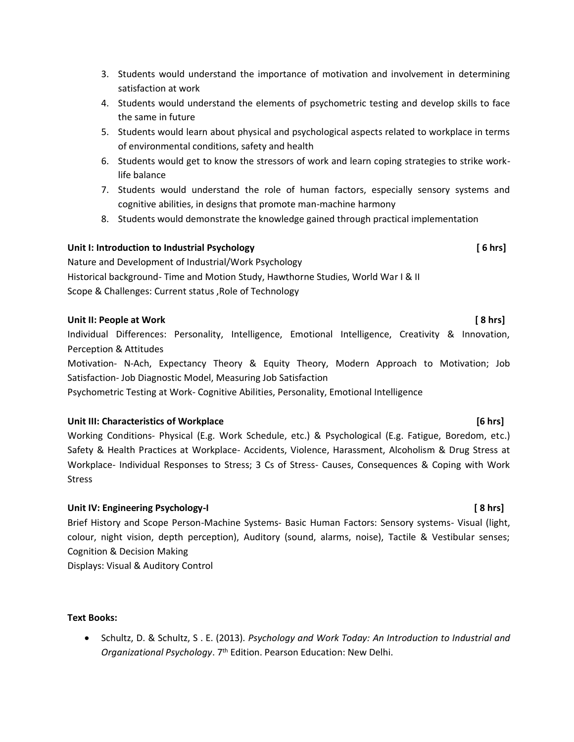- 3. Students would understand the importance of motivation and involvement in determining satisfaction at work
- 4. Students would understand the elements of psychometric testing and develop skills to face the same in future
- 5. Students would learn about physical and psychological aspects related to workplace in terms of environmental conditions, safety and health
- 6. Students would get to know the stressors of work and learn coping strategies to strike worklife balance
- 7. Students would understand the role of human factors, especially sensory systems and cognitive abilities, in designs that promote man-machine harmony
- 8. Students would demonstrate the knowledge gained through practical implementation

### **Unit I: Introduction to Industrial Psychology [ 6 hrs]**

Nature and Development of Industrial/Work Psychology Historical background- Time and Motion Study, Hawthorne Studies, World War I & II Scope & Challenges: Current status ,Role of Technology

### **Unit II: People at Work [ 8 hrs]**

Individual Differences: Personality, Intelligence, Emotional Intelligence, Creativity & Innovation, Perception & Attitudes

Motivation- N-Ach, Expectancy Theory & Equity Theory, Modern Approach to Motivation; Job Satisfaction- Job Diagnostic Model, Measuring Job Satisfaction

Psychometric Testing at Work- Cognitive Abilities, Personality, Emotional Intelligence

### **Unit III: Characteristics of Workplace [6 hrs]**

Working Conditions- Physical (E.g. Work Schedule, etc.) & Psychological (E.g. Fatigue, Boredom, etc.) Safety & Health Practices at Workplace- Accidents, Violence, Harassment, Alcoholism & Drug Stress at Workplace- Individual Responses to Stress; 3 Cs of Stress- Causes, Consequences & Coping with Work Stress

### **Unit IV: Engineering Psychology-I [ 8 hrs]**

Brief History and Scope Person-Machine Systems- Basic Human Factors: Sensory systems- Visual (light, colour, night vision, depth perception), Auditory (sound, alarms, noise), Tactile & Vestibular senses; Cognition & Decision Making

Displays: Visual & Auditory Control

### **Text Books:**

• Schultz, D. & Schultz, S . E. (2013). *Psychology and Work Today: An Introduction to Industrial and Organizational Psychology*. 7th Edition. Pearson Education: New Delhi.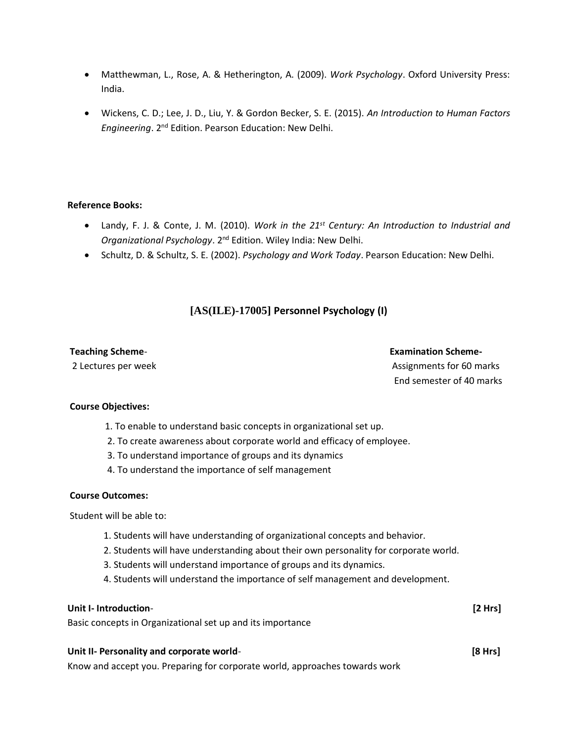- Matthewman, L., Rose, A. & Hetherington, A. (2009). *Work Psychology*. Oxford University Press: India.
- Wickens, C. D.; Lee, J. D., Liu, Y. & Gordon Becker, S. E. (2015). *An Introduction to Human Factors Engineering*. 2nd Edition. Pearson Education: New Delhi.

### **Reference Books:**

- Landy, F. J. & Conte, J. M. (2010). *Work in the 21st Century: An Introduction to Industrial and Organizational Psychology*. 2nd Edition. Wiley India: New Delhi.
- Schultz, D. & Schultz, S. E. (2002). *Psychology and Work Today*. Pearson Education: New Delhi.

# **[AS(ILE)-17005] Personnel Psychology (I)**

### **Teaching Scheme**- **Examination Scheme-**

# 2 Lectures per week Assignments for 60 marks End semester of 40 marks

### **Course Objectives:**

- 1. To enable to understand basic concepts in organizational set up.
- 2. To create awareness about corporate world and efficacy of employee.
- 3. To understand importance of groups and its dynamics
- 4. To understand the importance of self management

### **Course Outcomes:**

Student will be able to:

- 1. Students will have understanding of organizational concepts and behavior.
- 2. Students will have understanding about their own personality for corporate world.
- 3. Students will understand importance of groups and its dynamics.
- 4. Students will understand the importance of self management and development.

# **Unit I- Introduction**- **[2 Hrs]** Basic concepts in Organizational set up and its importance

### **Unit II- Personality and corporate world**- **[8 Hrs]**

Know and accept you. Preparing for corporate world, approaches towards work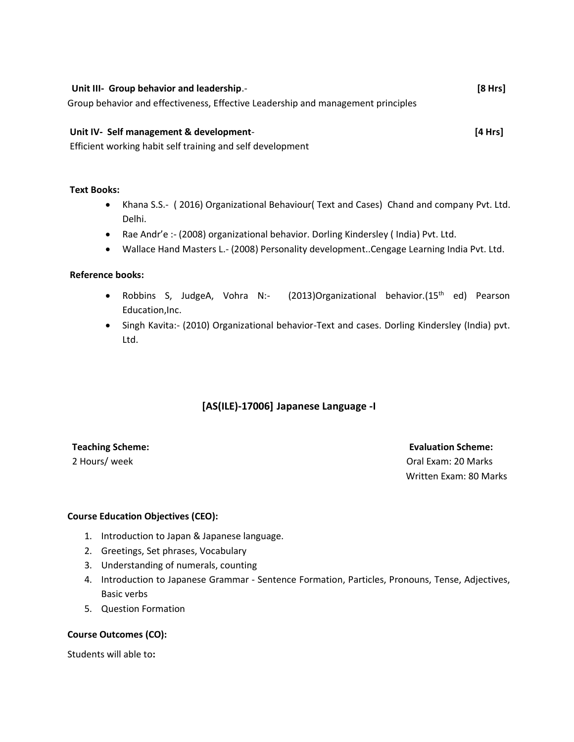| Unit III- Group behavior and leadership.-                                        |         |  |
|----------------------------------------------------------------------------------|---------|--|
| Group behavior and effectiveness, Effective Leadership and management principles |         |  |
| Unit IV- Self management & development-                                          | [4 Hrs] |  |

Efficient working habit self training and self development

### **Text Books:**

- Khana S.S.- ( 2016) Organizational Behaviour( Text and Cases) Chand and company Pvt. Ltd. Delhi.
- Rae Andr'e :- (2008) organizational behavior. Dorling Kindersley ( India) Pvt. Ltd.
- Wallace Hand Masters L.- (2008) Personality development..Cengage Learning India Pvt. Ltd.

### **Reference books:**

- Robbins S, JudgeA, Vohra N:- (2013)Organizational behavior.(15<sup>th</sup> ed) Pearson Education,Inc.
- Singh Kavita:- (2010) Organizational behavior-Text and cases. Dorling Kindersley (India) pvt. Ltd.

### **[AS(ILE)-17006] Japanese Language -I**

**Teaching Scheme: Evaluation Scheme: Evaluation Scheme: Evaluation Scheme: Evaluation Scheme: Evaluation Scheme: Evaluation Scheme: Evaluation Scheme: Evaluation Scheme: Evaluation Scheme: Evaluation Sc** 2 Hours/ week Oral Exam: 20 Marks Written Exam: 80 Marks

### **Course Education Objectives (CEO):**

- 1. Introduction to Japan & Japanese language.
- 2. Greetings, Set phrases, Vocabulary
- 3. Understanding of numerals, counting
- 4. Introduction to Japanese Grammar Sentence Formation, Particles, Pronouns, Tense, Adjectives, Basic verbs
- 5. Question Formation

### **Course Outcomes (CO):**

Students will able to**:**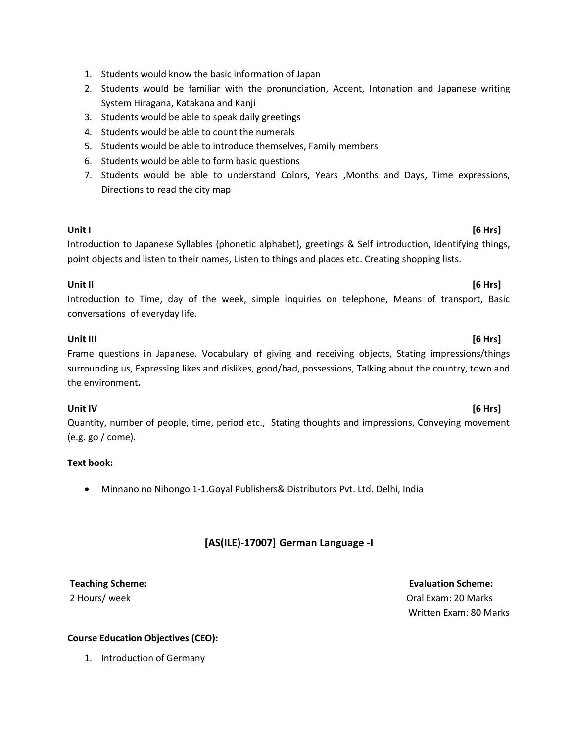- 1. Students would know the basic information of Japan
- 2. Students would be familiar with the pronunciation, Accent, Intonation and Japanese writing System Hiragana, Katakana and Kanji
- 3. Students would be able to speak daily greetings
- 4. Students would be able to count the numerals
- 5. Students would be able to introduce themselves, Family members
- 6. Students would be able to form basic questions
- 7. Students would be able to understand Colors, Years ,Months and Days, Time expressions, Directions to read the city map

# **Unit I [6 Hrs]**

Introduction to Japanese Syllables (phonetic alphabet), greetings & Self introduction, Identifying things, point objects and listen to their names, Listen to things and places etc. Creating shopping lists.

### **Unit II [6 Hrs]**

Introduction to Time, day of the week, simple inquiries on telephone, Means of transport, Basic conversations of everyday life.

### **Unit III [6 Hrs]**

# Frame questions in Japanese. Vocabulary of giving and receiving objects, Stating impressions/things surrounding us, Expressing likes and dislikes, good/bad, possessions, Talking about the country, town and the environment**.**

Quantity, number of people, time, period etc., Stating thoughts and impressions, Conveying movement (e.g. go / come).

### **Text book:**

• Minnano no Nihongo 1-1.Goyal Publishers& Distributors Pvt. Ltd. Delhi, India

# **[AS(ILE)-17007] German Language -I**

Written Exam: 80 Marks

### **Course Education Objectives (CEO):**

1. Introduction of Germany

# **Unit IV [6 Hrs]**

# **Teaching Scheme: Evaluation Scheme:**  2 Hours/ week **Oral Exam: 20 Marks** 20 Marks 20 Marks 20 Marks 20 Marks 20 Marks 20 Marks 20 Marks 20 Marks 20 Marks 20 Marks 20 Marks 20 Marks 20 Marks 20 Marks 20 Marks 20 Marks 20 Marks 20 Marks 20 Marks 20 Marks 20 Mar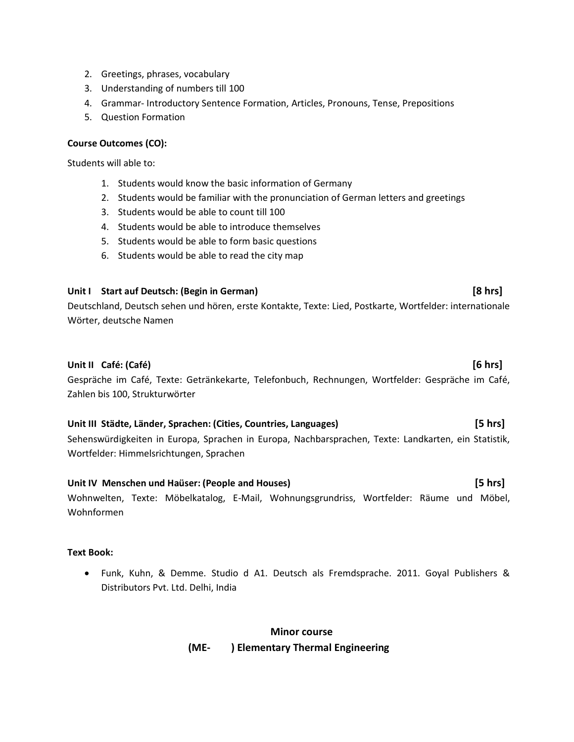- 2. Greetings, phrases, vocabulary
- 3. Understanding of numbers till 100
- 4. Grammar- Introductory Sentence Formation, Articles, Pronouns, Tense, Prepositions
- 5. Question Formation

### **Course Outcomes (CO):**

Students will able to:

- 1. Students would know the basic information of Germany
- 2. Students would be familiar with the pronunciation of German letters and greetings
- 3. Students would be able to count till 100
- 4. Students would be able to introduce themselves
- 5. Students would be able to form basic questions
- 6. Students would be able to read the city map

### **Unit I Start auf Deutsch: (Begin in German) [8 hrs]**

Deutschland, Deutsch sehen und hören, erste Kontakte, Texte: Lied, Postkarte, Wortfelder: internationale Wörter, deutsche Namen

### **Unit II Café: (Café) [6 hrs]**

Gespräche im Café, Texte: Getränkekarte, Telefonbuch, Rechnungen, Wortfelder: Gespräche im Café, Zahlen bis 100, Strukturwörter

### **Unit III Städte, Länder, Sprachen: (Cities, Countries, Languages) [5 hrs]**

Sehenswürdigkeiten in Europa, Sprachen in Europa, Nachbarsprachen, Texte: Landkarten, ein Statistik, Wortfelder: Himmelsrichtungen, Sprachen

### **Unit IV Menschen und Haüser: (People and Houses) [5 hrs]**

Wohnwelten, Texte: Möbelkatalog, E-Mail, Wohnungsgrundriss, Wortfelder: Räume und Möbel, Wohnformen

### **Text Book:**

• Funk, Kuhn, & Demme. Studio d A1. Deutsch als Fremdsprache. 2011. Goyal Publishers & Distributors Pvt. Ltd. Delhi, India

# **Minor course (ME- ) Elementary Thermal Engineering**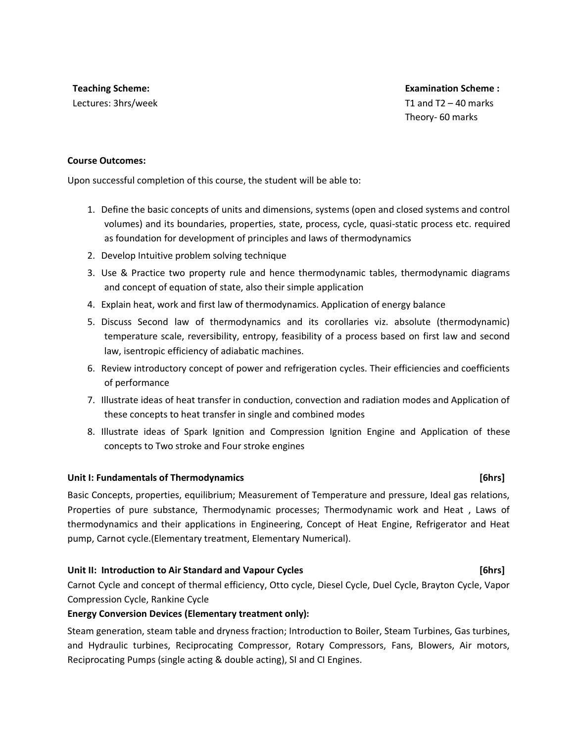**Teaching Scheme:**  Lectures: 3hrs/week

 **Examination Scheme :**  T1 and  $T2 - 40$  marks Theory- 60 marks

### **Course Outcomes:**

Upon successful completion of this course, the student will be able to:

- 1. Define the basic concepts of units and dimensions, systems (open and closed systems and control volumes) and its boundaries, properties, state, process, cycle, quasi-static process etc. required as foundation for development of principles and laws of thermodynamics
- 2. Develop Intuitive problem solving technique
- 3. Use & Practice two property rule and hence thermodynamic tables, thermodynamic diagrams and concept of equation of state, also their simple application
- 4. Explain heat, work and first law of thermodynamics. Application of energy balance
- 5. Discuss Second law of thermodynamics and its corollaries viz. absolute (thermodynamic) temperature scale, reversibility, entropy, feasibility of a process based on first law and second law, isentropic efficiency of adiabatic machines.
- 6. Review introductory concept of power and refrigeration cycles. Their efficiencies and coefficients of performance
- 7. Illustrate ideas of heat transfer in conduction, convection and radiation modes and Application of these concepts to heat transfer in single and combined modes
- 8. Illustrate ideas of Spark Ignition and Compression Ignition Engine and Application of these concepts to Two stroke and Four stroke engines

### **Unit I: Fundamentals of Thermodynamics [6hrs]**

Basic Concepts, properties, equilibrium; Measurement of Temperature and pressure, Ideal gas relations, Properties of pure substance, Thermodynamic processes; Thermodynamic work and Heat , Laws of thermodynamics and their applications in Engineering, Concept of Heat Engine, Refrigerator and Heat pump, Carnot cycle.(Elementary treatment, Elementary Numerical).

### **Unit II: Introduction to Air Standard and Vapour Cycles [6hrs]**

Carnot Cycle and concept of thermal efficiency, Otto cycle, Diesel Cycle, Duel Cycle, Brayton Cycle, Vapor Compression Cycle, Rankine Cycle

### **Energy Conversion Devices (Elementary treatment only):**

Steam generation, steam table and dryness fraction; Introduction to Boiler, Steam Turbines, Gas turbines, and Hydraulic turbines, Reciprocating Compressor, Rotary Compressors, Fans, Blowers, Air motors, Reciprocating Pumps (single acting & double acting), SI and CI Engines.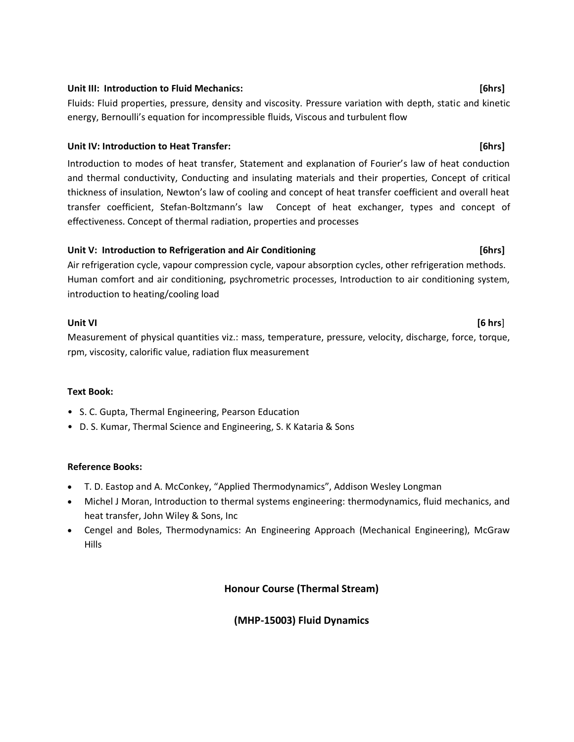### **Unit III: Introduction to Fluid Mechanics: [6hrs]**

Fluids: Fluid properties, pressure, density and viscosity. Pressure variation with depth, static and kinetic energy, Bernoulli's equation for incompressible fluids, Viscous and turbulent flow

### **Unit IV: Introduction to Heat Transfer: [6hrs]**

Introduction to modes of heat transfer, Statement and explanation of Fourier's law of heat conduction and thermal conductivity, Conducting and insulating materials and their properties, Concept of critical thickness of insulation, Newton's law of cooling and concept of heat transfer coefficient and overall heat transfer coefficient, Stefan-Boltzmann's law Concept of heat exchanger, types and concept of effectiveness. Concept of thermal radiation, properties and processes

### **Unit V: Introduction to Refrigeration and Air Conditioning [6hrs]**

Air refrigeration cycle, vapour compression cycle, vapour absorption cycles, other refrigeration methods. Human comfort and air conditioning, psychrometric processes, Introduction to air conditioning system, introduction to heating/cooling load

### **Unit VI [6 hrs**]

Measurement of physical quantities viz.: mass, temperature, pressure, velocity, discharge, force, torque, rpm, viscosity, calorific value, radiation flux measurement

### **Text Book:**

- S. C. Gupta, Thermal Engineering, Pearson Education
- D. S. Kumar, Thermal Science and Engineering, S. K Kataria & Sons

### **Reference Books:**

- T. D. Eastop and A. McConkey, "Applied Thermodynamics", Addison Wesley Longman
- Michel J Moran, Introduction to thermal systems engineering: thermodynamics, fluid mechanics, and heat transfer, John Wiley & Sons, Inc
- Cengel and Boles, Thermodynamics: An Engineering Approach (Mechanical Engineering), McGraw Hills

**Honour Course (Thermal Stream)**

### **(MHP-15003) Fluid Dynamics**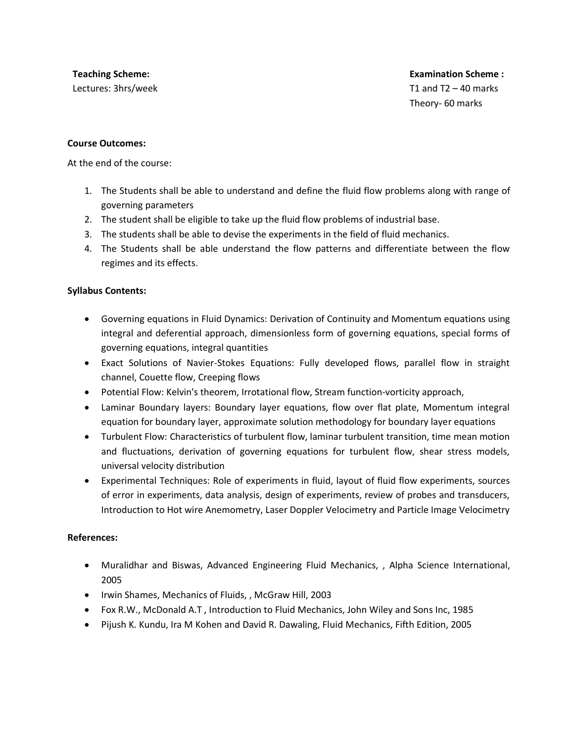**Teaching Scheme:**  Lectures: 3hrs/week

T1 and  $T2 - 40$  marks Theory- 60 marks

### **Course Outcomes:**

At the end of the course:

- 1. The Students shall be able to understand and define the fluid flow problems along with range of governing parameters
- 2. The student shall be eligible to take up the fluid flow problems of industrial base.
- 3. The students shall be able to devise the experiments in the field of fluid mechanics.
- 4. The Students shall be able understand the flow patterns and differentiate between the flow regimes and its effects.

### **Syllabus Contents:**

- Governing equations in Fluid Dynamics: Derivation of Continuity and Momentum equations using integral and deferential approach, dimensionless form of governing equations, special forms of governing equations, integral quantities
- Exact Solutions of Navier-Stokes Equations: Fully developed flows, parallel flow in straight channel, Couette flow, Creeping flows
- Potential Flow: Kelvin's theorem, Irrotational flow, Stream function-vorticity approach,
- Laminar Boundary layers: Boundary layer equations, flow over flat plate, Momentum integral equation for boundary layer, approximate solution methodology for boundary layer equations
- Turbulent Flow: Characteristics of turbulent flow, laminar turbulent transition, time mean motion and fluctuations, derivation of governing equations for turbulent flow, shear stress models, universal velocity distribution
- Experimental Techniques: Role of experiments in fluid, layout of fluid flow experiments, sources of error in experiments, data analysis, design of experiments, review of probes and transducers, Introduction to Hot wire Anemometry, Laser Doppler Velocimetry and Particle Image Velocimetry

### **References:**

- Muralidhar and Biswas, Advanced Engineering Fluid Mechanics, , Alpha Science International, 2005
- Irwin Shames, Mechanics of Fluids, , McGraw Hill, 2003
- Fox R.W., McDonald A.T , Introduction to Fluid Mechanics, John Wiley and Sons Inc, 1985
- Pijush K. Kundu, Ira M Kohen and David R. Dawaling, Fluid Mechanics, Fifth Edition, 2005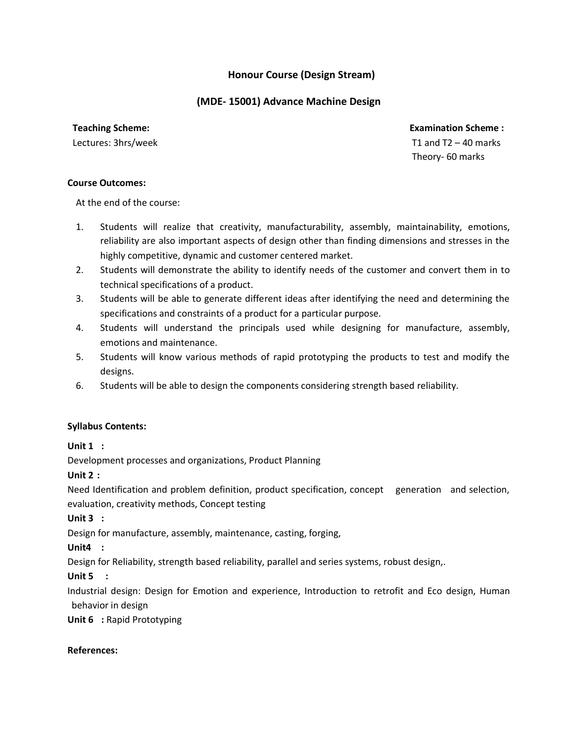# **Honour Course (Design Stream)**

### **(MDE- 15001) Advance Machine Design**

**Teaching Scheme:** 

Lectures: 3hrs/week

 **Examination Scheme :**  T1 and  $T2 - 40$  marks Theory- 60 marks

### **Course Outcomes:**

At the end of the course:

- 1. Students will realize that creativity, manufacturability, assembly, maintainability, emotions, reliability are also important aspects of design other than finding dimensions and stresses in the highly competitive, dynamic and customer centered market.
- 2. Students will demonstrate the ability to identify needs of the customer and convert them in to technical specifications of a product.
- 3. Students will be able to generate different ideas after identifying the need and determining the specifications and constraints of a product for a particular purpose.
- 4. Students will understand the principals used while designing for manufacture, assembly, emotions and maintenance.
- 5. Students will know various methods of rapid prototyping the products to test and modify the designs.
- 6. Students will be able to design the components considering strength based reliability.

### **Syllabus Contents:**

**Unit 1 :**

Development processes and organizations, Product Planning

### **Unit 2 :**

Need Identification and problem definition, product specification, concept generation and selection, evaluation, creativity methods, Concept testing

**Unit 3 :**

Design for manufacture, assembly, maintenance, casting, forging,

**Unit4 :**

Design for Reliability, strength based reliability, parallel and series systems, robust design,.

**Unit 5 :**

Industrial design: Design for Emotion and experience, Introduction to retrofit and Eco design, Human behavior in design

**Unit 6 :** Rapid Prototyping

**References:**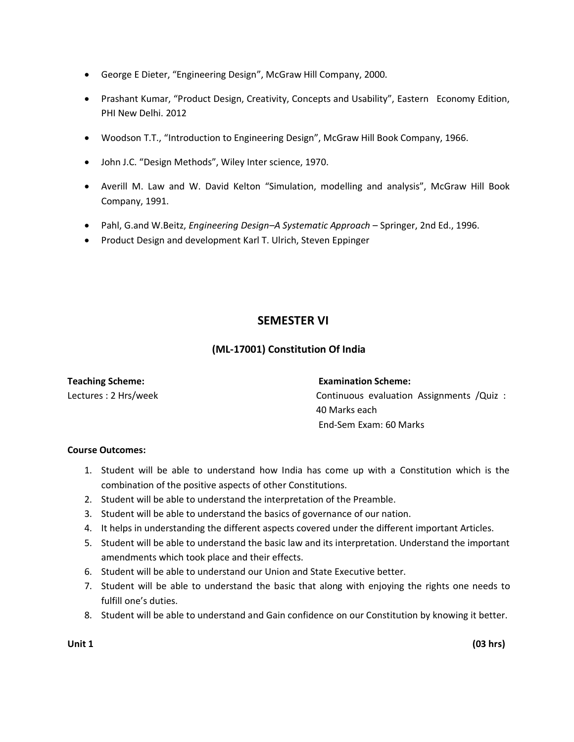- George E Dieter, "Engineering Design", McGraw Hill Company, 2000.
- Prashant Kumar, "Product Design, Creativity, Concepts and Usability", Eastern Economy Edition, PHI New Delhi. 2012
- Woodson T.T., "Introduction to Engineering Design", McGraw Hill Book Company, 1966.
- John J.C. "Design Methods", Wiley Inter science, 1970.
- Averill M. Law and W. David Kelton "Simulation, modelling and analysis", McGraw Hill Book Company, 1991.
- Pahl, G.and W.Beitz, *Engineering Design–A Systematic Approach*  Springer, 2nd Ed., 1996.
- Product Design and development Karl T. Ulrich, Steven Eppinger

# **SEMESTER VI**

### **(ML-17001) Constitution Of India**

Lectures : 2 Hrs/week

### **Teaching Scheme: Examination Scheme:**

Continuous evaluation Assignments /Quiz : 40 Marks each End-Sem Exam: 60 Marks

### **Course Outcomes:**

- 1. Student will be able to understand how India has come up with a Constitution which is the combination of the positive aspects of other Constitutions.
- 2. Student will be able to understand the interpretation of the Preamble.
- 3. Student will be able to understand the basics of governance of our nation.
- 4. It helps in understanding the different aspects covered under the different important Articles.
- 5. Student will be able to understand the basic law and its interpretation. Understand the important amendments which took place and their effects.
- 6. Student will be able to understand our Union and State Executive better.
- 7. Student will be able to understand the basic that along with enjoying the rights one needs to fulfill one's duties.
- 8. Student will be able to understand and Gain confidence on our Constitution by knowing it better.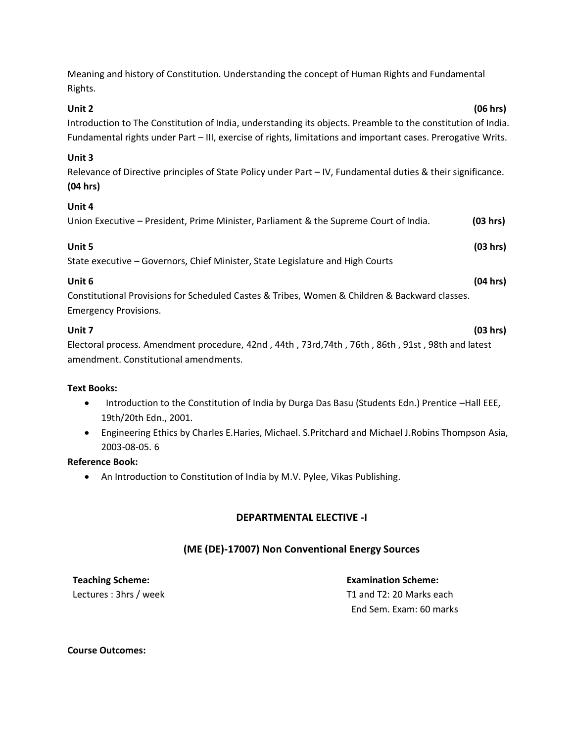Meaning and history of Constitution. Understanding the concept of Human Rights and Fundamental Rights.

### **Unit 2 (06 hrs)**

Introduction to The Constitution of India, understanding its objects. Preamble to the constitution of India. Fundamental rights under Part – III, exercise of rights, limitations and important cases. Prerogative Writs.

### **Unit 3**

Relevance of Directive principles of State Policy under Part – IV, Fundamental duties & their significance. **(04 hrs)**

### **Unit 4**

| Union Executive – President, Prime Minister, Parliament & the Supreme Court of India. |  |  |  |  |  |  | (03 hrs) |
|---------------------------------------------------------------------------------------|--|--|--|--|--|--|----------|
|---------------------------------------------------------------------------------------|--|--|--|--|--|--|----------|

| Unit 5                                                                         | (03 hrs) |
|--------------------------------------------------------------------------------|----------|
| State executive – Governors, Chief Minister, State Legislature and High Courts |          |

## **Unit 6 (04 hrs)**

Constitutional Provisions for Scheduled Castes & Tribes, Women & Children & Backward classes. Emergency Provisions.

### **Unit 7 (03 hrs)**

Electoral process. Amendment procedure, 42nd , 44th , 73rd,74th , 76th , 86th , 91st , 98th and latest amendment. Constitutional amendments.

### **Text Books:**

- Introduction to the Constitution of India by Durga Das Basu (Students Edn.) Prentice –Hall EEE, 19th/20th Edn., 2001.
- Engineering Ethics by Charles E.Haries, Michael. S.Pritchard and Michael J.Robins Thompson Asia, 2003-08-05. 6

### **Reference Book:**

• An Introduction to Constitution of India by M.V. Pylee, Vikas Publishing.

# **DEPARTMENTAL ELECTIVE -I**

# **(ME (DE)-17007) Non Conventional Energy Sources**

**Teaching Scheme: Examination Scheme:**

Lectures : 3hrs / week T1 and T2: 20 Marks each End Sem. Exam: 60 marks

### **Course Outcomes:**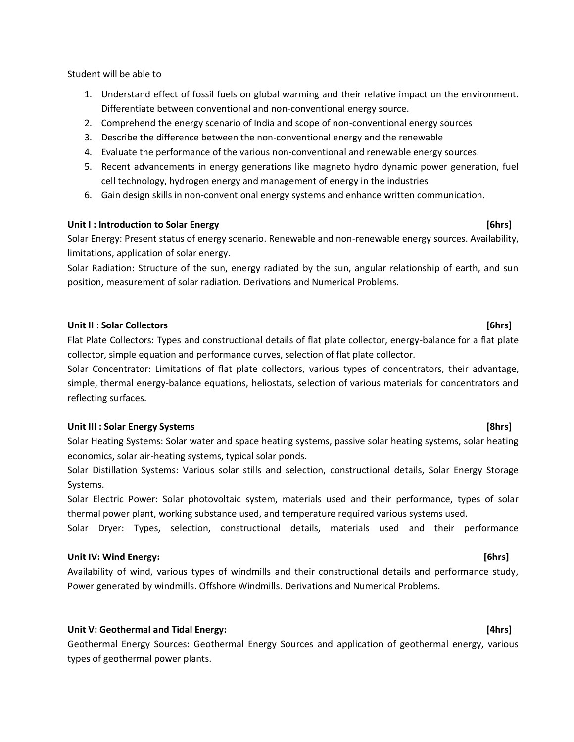Student will be able to

- 1. Understand effect of fossil fuels on global warming and their relative impact on the environment. Differentiate between conventional and non-conventional energy source.
- 2. Comprehend the energy scenario of India and scope of non-conventional energy sources
- 3. Describe the difference between the non-conventional energy and the renewable
- 4. Evaluate the performance of the various non-conventional and renewable energy sources.
- 5. Recent advancements in energy generations like magneto hydro dynamic power generation, fuel cell technology, hydrogen energy and management of energy in the industries
- 6. Gain design skills in non-conventional energy systems and enhance written communication.

### **Unit I : Introduction to Solar Energy [6hrs]**

Solar Energy: Present status of energy scenario. Renewable and non-renewable energy sources. Availability, limitations, application of solar energy.

Solar Radiation: Structure of the sun, energy radiated by the sun, angular relationship of earth, and sun position, measurement of solar radiation. Derivations and Numerical Problems.

### **Unit II : Solar Collectors [6hrs]**

Flat Plate Collectors: Types and constructional details of flat plate collector, energy-balance for a flat plate collector, simple equation and performance curves, selection of flat plate collector.

Solar Concentrator: Limitations of flat plate collectors, various types of concentrators, their advantage, simple, thermal energy-balance equations, heliostats, selection of various materials for concentrators and reflecting surfaces.

### **Unit III : Solar Energy Systems [8hrs]**

Solar Heating Systems: Solar water and space heating systems, passive solar heating systems, solar heating economics, solar air-heating systems, typical solar ponds.

Solar Distillation Systems: Various solar stills and selection, constructional details, Solar Energy Storage Systems.

Solar Electric Power: Solar photovoltaic system, materials used and their performance, types of solar thermal power plant, working substance used, and temperature required various systems used.

Solar Dryer: Types, selection, constructional details, materials used and their performance

### **Unit IV: Wind Energy: [6hrs]**

Availability of wind, various types of windmills and their constructional details and performance study, Power generated by windmills. Offshore Windmills. Derivations and Numerical Problems.

### **Unit V: Geothermal and Tidal Energy: [4hrs]**

Geothermal Energy Sources: Geothermal Energy Sources and application of geothermal energy, various types of geothermal power plants.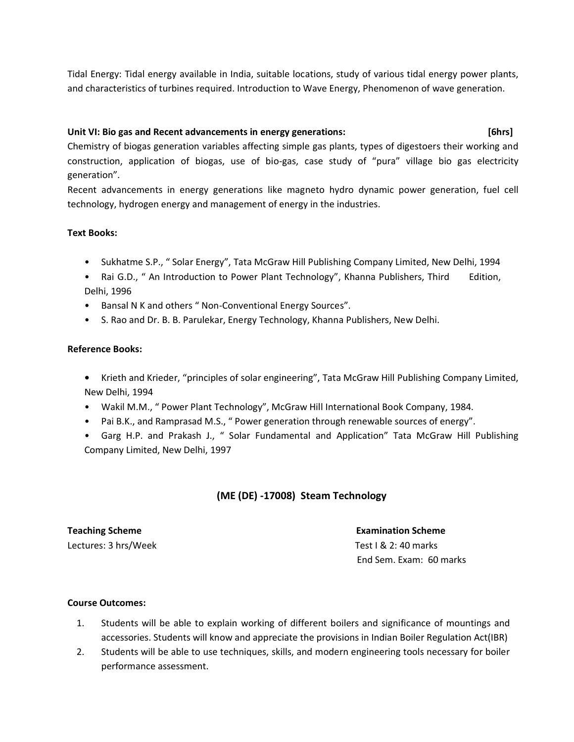Tidal Energy: Tidal energy available in India, suitable locations, study of various tidal energy power plants, and characteristics of turbines required. Introduction to Wave Energy, Phenomenon of wave generation.

### **Unit VI: Bio gas and Recent advancements in energy generations: [6hrs]**

Chemistry of biogas generation variables affecting simple gas plants, types of digestoers their working and construction, application of biogas, use of bio-gas, case study of "pura" village bio gas electricity generation".

Recent advancements in energy generations like magneto hydro dynamic power generation, fuel cell technology, hydrogen energy and management of energy in the industries.

### **Text Books:**

- Sukhatme S.P., " Solar Energy", Tata McGraw Hill Publishing Company Limited, New Delhi, 1994
- Rai G.D., " An Introduction to Power Plant Technology", Khanna Publishers, Third Edition, Delhi, 1996
- Bansal N K and others " Non-Conventional Energy Sources".
- S. Rao and Dr. B. B. Parulekar, Energy Technology, Khanna Publishers, New Delhi.

### **Reference Books:**

- **•** Krieth and Krieder, "principles of solar engineering", Tata McGraw Hill Publishing Company Limited, New Delhi, 1994
- Wakil M.M., " Power Plant Technology", McGraw Hill International Book Company, 1984.
- Pai B.K., and Ramprasad M.S., " Power generation through renewable sources of energy".
- Garg H.P. and Prakash J., " Solar Fundamental and Application" Tata McGraw Hill Publishing Company Limited, New Delhi, 1997

### **(ME (DE) -17008) Steam Technology**

### **Teaching Scheme Examination Scheme** Examination Scheme

Lectures: 3 hrs/Week Test I & 2: 40 marks End Sem. Exam: 60 marks

### **Course Outcomes:**

- 1. Students will be able to explain working of different boilers and significance of mountings and accessories. Students will know and appreciate the provisions in Indian Boiler Regulation Act(IBR)
- 2. Students will be able to use techniques, skills, and modern engineering tools necessary for boiler performance assessment.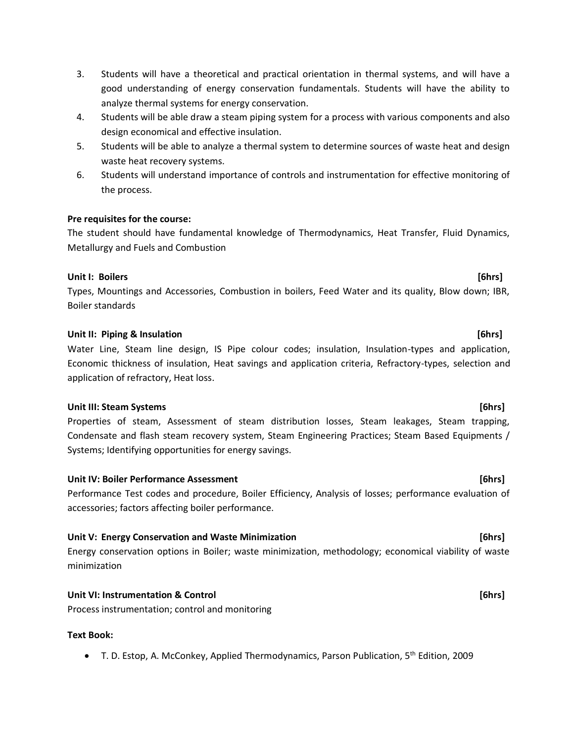- 3. Students will have a theoretical and practical orientation in thermal systems, and will have a good understanding of energy conservation fundamentals. Students will have the ability to analyze thermal systems for energy conservation.
- 4. Students will be able draw a steam piping system for a process with various components and also design economical and effective insulation.
- 5. Students will be able to analyze a thermal system to determine sources of waste heat and design waste heat recovery systems.
- 6. Students will understand importance of controls and instrumentation for effective monitoring of the process.

### **Pre requisites for the course:**

The student should have fundamental knowledge of Thermodynamics, Heat Transfer, Fluid Dynamics, Metallurgy and Fuels and Combustion

### **Unit I: Boilers [6hrs]**

Types, Mountings and Accessories, Combustion in boilers, Feed Water and its quality, Blow down; IBR, Boiler standards

### **Unit II: Piping & Insulation Contract Contract Contract Contract Contract Contract Contract Contract Contract Contract Contract Contract Contract Contract Contract Contract Contract Contract Contract Contract Contract**

Water Line, Steam line design, IS Pipe colour codes; insulation, Insulation-types and application, Economic thickness of insulation, Heat savings and application criteria, Refractory-types, selection and application of refractory, Heat loss.

### **Unit III: Steam Systems [6hrs]**

Properties of steam, Assessment of steam distribution losses, Steam leakages, Steam trapping, Condensate and flash steam recovery system, Steam Engineering Practices; Steam Based Equipments / Systems; Identifying opportunities for energy savings.

### **Unit IV: Boiler Performance Assessment [6hrs]**

Performance Test codes and procedure, Boiler Efficiency, Analysis of losses; performance evaluation of accessories; factors affecting boiler performance.

### **Unit V: Energy Conservation and Waste Minimization [6hrs]**

Energy conservation options in Boiler; waste minimization, methodology; economical viability of waste minimization

### **Unit VI: Instrumentation & Control [6hrs]**

Process instrumentation; control and monitoring

### **Text Book:**

• T. D. Estop, A. McConkey, Applied Thermodynamics, Parson Publication, 5<sup>th</sup> Edition, 2009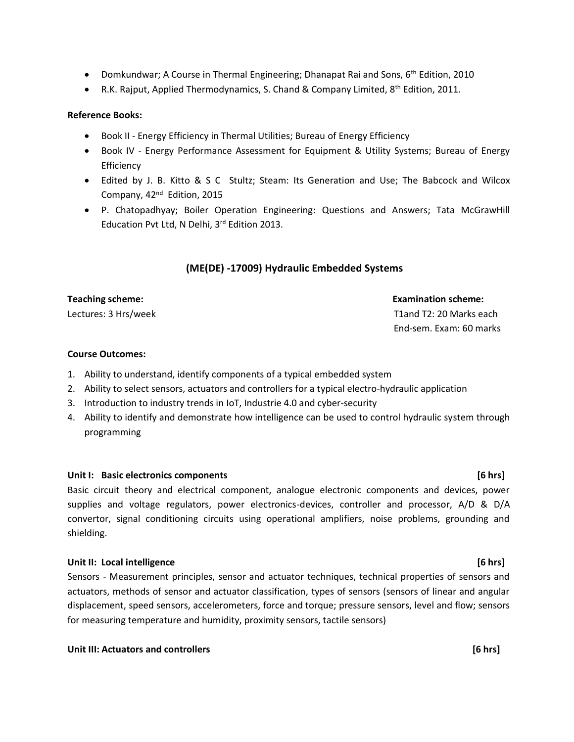- Domkundwar; A Course in Thermal Engineering; Dhanapat Rai and Sons, 6<sup>th</sup> Edition, 2010
- [R.K. Rajput,](http://www.google.com/search?tbo=p&tbm=bks&q=inauthor:%22R.K.+Rajput%22) Applied Thermodynamics, S. Chand & Company Limited,  $8<sup>th</sup>$  Edition, 2011.

### **Reference Books:**

- Book II Energy Efficiency in Thermal Utilities; Bureau of Energy Efficiency
- Book IV Energy Performance Assessment for Equipment & Utility Systems; Bureau of Energy Efficiency
- Edited by J. B. Kitto & S C Stultz; Steam: Its Generation and Use; The Babcock and Wilcox Company, 42<sup>nd</sup> Edition, 2015
- P. Chatopadhyay; Boiler Operation Engineering: Questions and Answers; Tata McGrawHill Education Pvt Ltd, N Delhi, 3rd Edition 2013.

# **(ME(DE) -17009) Hydraulic Embedded Systems**

Lectures: 3 Hrs/week T1and T2: 20 Marks each

# **Teaching scheme: Examination scheme:**

End-sem. Exam: 60 marks

### **Course Outcomes:**

- 1. Ability to understand, identify components of a typical embedded system
- 2. Ability to select sensors, actuators and controllers for a typical electro-hydraulic application
- 3. Introduction to industry trends in IoT, Industrie 4.0 and cyber-security
- 4. Ability to identify and demonstrate how intelligence can be used to control hydraulic system through programming

### **Unit I:** Basic electronics components **and in the set of the set of the set of the set of the set of the set of the set of the set of the set of the set of the set of the set of the set of the set of the set of the set of**

Basic circuit theory and electrical component, analogue electronic components and devices, power supplies and voltage regulators, power electronics-devices, controller and processor, A/D & D/A convertor, signal conditioning circuits using operational amplifiers, noise problems, grounding and shielding.

### **Unit II: Local intelligence [6 hrs]**

Sensors - Measurement principles, sensor and actuator techniques, technical properties of sensors and actuators, methods of sensor and actuator classification, types of sensors (sensors of linear and angular displacement, speed sensors, accelerometers, force and torque; pressure sensors, level and flow; sensors for measuring temperature and humidity, proximity sensors, tactile sensors)

### **Unit III: Actuators and controllers [6 hrs]**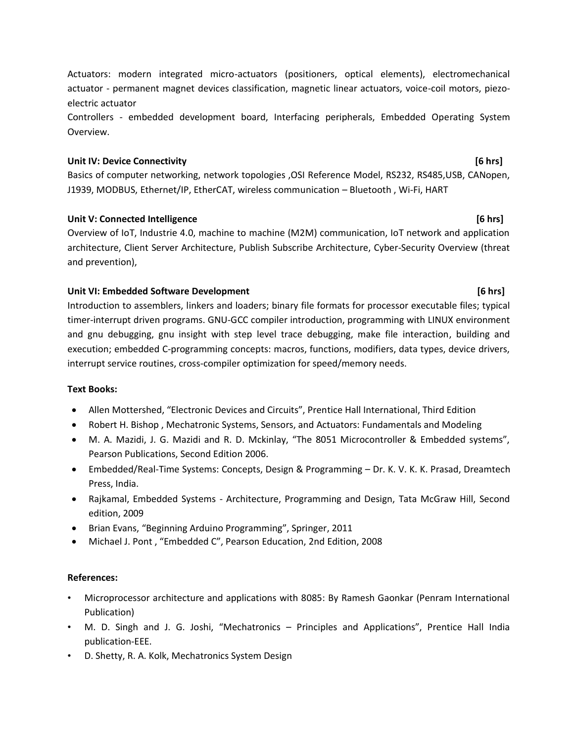Actuators: modern integrated micro-actuators (positioners, optical elements), electromechanical actuator - permanent magnet devices classification, magnetic linear actuators, voice-coil motors, piezoelectric actuator

Controllers - embedded development board, Interfacing peripherals, Embedded Operating System Overview.

# **Unit IV: Device Connectivity [6 hrs]**

Basics of computer networking, network topologies ,OSI Reference Model, RS232, RS485,USB, CANopen, J1939, MODBUS, Ethernet/IP, EtherCAT, wireless communication – Bluetooth , Wi-Fi, HART

# Unit V: Connected Intelligence **and Connected Intelligence and Connected Intelligence [6 hrs]**

Overview of IoT, Industrie 4.0, machine to machine (M2M) communication, IoT network and application architecture, Client Server Architecture, Publish Subscribe Architecture, Cyber-Security Overview (threat and prevention),

# Unit VI: Embedded Software Development **and Container and Container and Container and Container and Container and Container and Container and Container and Container and Container and Container and Container and Container**

Introduction to assemblers, linkers and loaders; binary file formats for processor executable files; typical timer-interrupt driven programs. GNU-GCC compiler introduction, programming with LINUX environment and gnu debugging, gnu insight with step level trace debugging, make file interaction, building and execution; embedded C-programming concepts: macros, functions, modifiers, data types, device drivers, interrupt service routines, cross-compiler optimization for speed/memory needs.

# **Text Books:**

- Allen Mottershed, "Electronic Devices and Circuits", Prentice Hall International, Third Edition
- Robert H. Bishop , Mechatronic Systems, Sensors, and Actuators: Fundamentals and Modeling
- M. A. Mazidi, J. G. Mazidi and R. D. Mckinlay, "The 8051 Microcontroller & Embedded systems", Pearson Publications, Second Edition 2006.
- Embedded/Real-Time Systems: Concepts, Design & Programming Dr. K. V. K. K. Prasad, Dreamtech Press, India.
- Rajkamal, Embedded Systems Architecture, Programming and Design, Tata McGraw Hill, Second edition, 2009
- Brian Evans, "Beginning Arduino Programming", Springer, 2011
- Michael J. Pont , "Embedded C", Pearson Education, 2nd Edition, 2008

# **References:**

- Microprocessor architecture and applications with 8085: By Ramesh Gaonkar (Penram International Publication)
- M. D. Singh and J. G. Joshi, "Mechatronics Principles and Applications", Prentice Hall India publication-EEE.
- D. Shetty, R. A. Kolk, Mechatronics System Design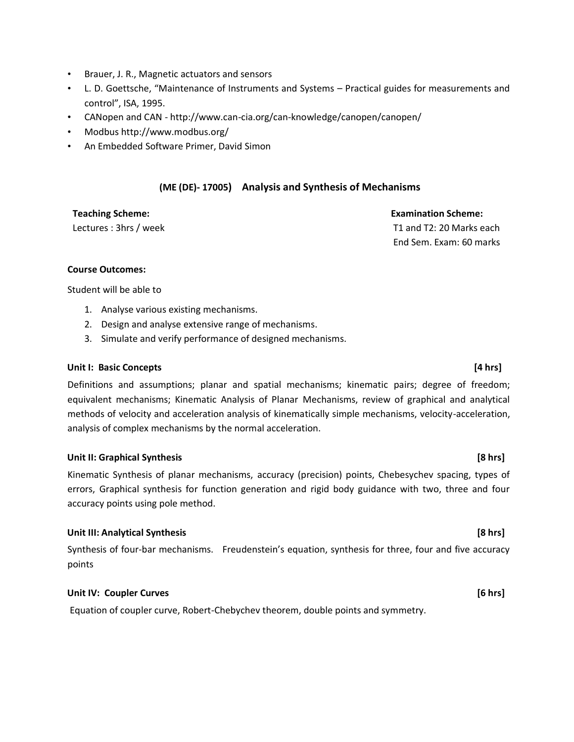- Brauer, J. R., Magnetic actuators and sensors
- L. D. Goettsche, "Maintenance of Instruments and Systems Practical guides for measurements and control", ISA, 1995.
- CANopen and CAN http://www.can-cia.org/can-knowledge/canopen/canopen/
- Modbus http://www.modbus.org/
- An Embedded Software Primer, David Simon

### **(ME (DE)- 17005) Analysis and Synthesis of Mechanisms**

**Teaching Scheme: Examination Scheme:** Lectures : 3hrs / week T1 and T2: 20 Marks each End Sem. Exam: 60 marks

### **Course Outcomes:**

Student will be able to

- 1. Analyse various existing mechanisms.
- 2. Design and analyse extensive range of mechanisms.
- 3. Simulate and verify performance of designed mechanisms.

### **Unit I: Basic Concepts [4 hrs]**

Definitions and assumptions; planar and spatial mechanisms; kinematic pairs; degree of freedom; equivalent mechanisms; Kinematic Analysis of Planar Mechanisms, review of graphical and analytical methods of velocity and acceleration analysis of kinematically simple mechanisms, velocity-acceleration, analysis of complex mechanisms by the normal acceleration.

### **Unit II: Graphical Synthesis [8 hrs]**

Kinematic Synthesis of planar mechanisms, accuracy (precision) points, Chebesychev spacing, types of errors, Graphical synthesis for function generation and rigid body guidance with two, three and four accuracy points using pole method.

### **Unit III: Analytical Synthesis [8 hrs]**

Synthesis of four-bar mechanisms. Freudenstein's equation, synthesis for three, four and five accuracy points

### **Unit IV: Coupler Curves**   $\begin{bmatrix} 6 & hrs \end{bmatrix}$

Equation of coupler curve, Robert-Chebychev theorem, double points and symmetry.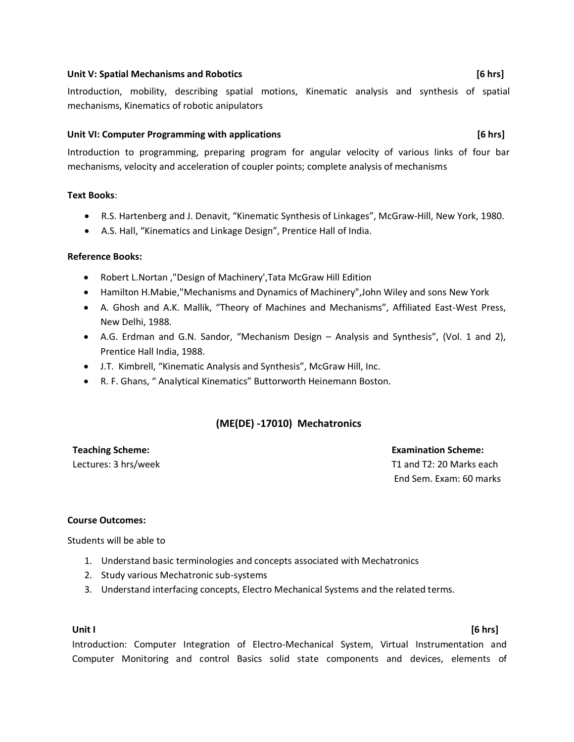### **Unit V: Spatial Mechanisms and Robotics [6 hrs]**

Introduction, mobility, describing spatial motions, Kinematic analysis and synthesis of spatial mechanisms, Kinematics of robotic anipulators

### **Unit VI: Computer Programming with applications [6 hrs]**

Introduction to programming, preparing program for angular velocity of various links of four bar mechanisms, velocity and acceleration of coupler points; complete analysis of mechanisms

### **Text Books**:

- R.S. Hartenberg and J. Denavit, "Kinematic Synthesis of Linkages", McGraw-Hill, New York, 1980.
- A.S. Hall, "Kinematics and Linkage Design", Prentice Hall of India.

### **Reference Books:**

- Robert L.Nortan ,"Design of Machinery',Tata McGraw Hill Edition
- Hamilton H.Mabie,"Mechanisms and Dynamics of Machinery",John Wiley and sons New York
- A. Ghosh and A.K. Mallik, "Theory of Machines and Mechanisms", Affiliated East-West Press, New Delhi, 1988.
- A.G. Erdman and G.N. Sandor, "Mechanism Design Analysis and Synthesis", (Vol. 1 and 2), Prentice Hall India, 1988.
- J.T. Kimbrell, "Kinematic Analysis and Synthesis", McGraw Hill, Inc.
- R. F. Ghans, " Analytical Kinematics" Buttorworth Heinemann Boston.

### **(ME(DE) -17010) Mechatronics**

**Teaching Scheme: Examination Scheme:** Lectures: 3 hrs/week T1 and T2: 20 Marks each End Sem. Exam: 60 marks

### **Course Outcomes:**

Students will be able to

- 1. Understand basic terminologies and concepts associated with Mechatronics
- 2. Study various Mechatronic sub-systems
- 3. Understand interfacing concepts, Electro Mechanical Systems and the related terms.

### **Unit I [6 hrs]**

Introduction: Computer Integration of Electro-Mechanical System, Virtual Instrumentation and Computer Monitoring and control Basics solid state components and devices, elements of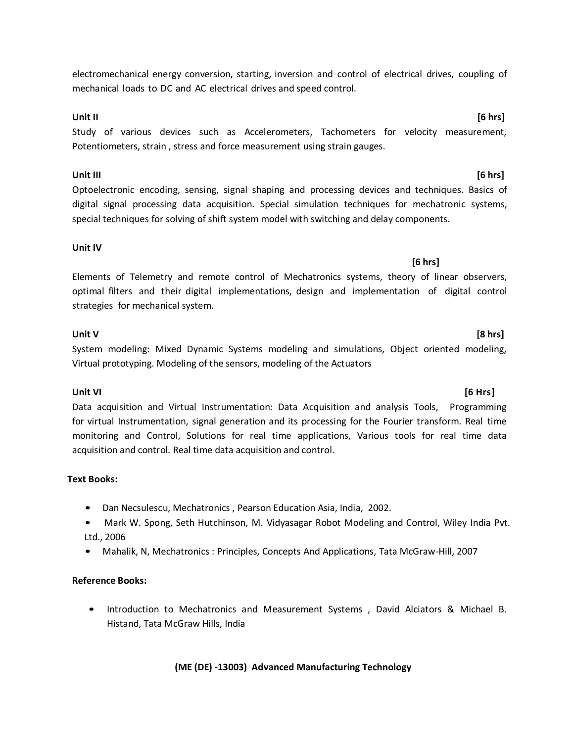electromechanical energy conversion, starting, inversion and control of electrical drives, coupling of mechanical loads to DC and AC electrical drives and speed control.

### **Unit II [6 hrs]**

Study of various devices such as Accelerometers, Tachometers for velocity measurement, Potentiometers, strain , stress and force measurement using strain gauges.

**Unit III [6 hrs]** Optoelectronic encoding, sensing, signal shaping and processing devices and techniques. Basics of digital signal processing data acquisition. Special simulation techniques for mechatronic systems, special techniques for solving of shift system model with switching and delay components.

### **Unit IV**

**[6 hrs]** Elements of Telemetry and remote control of Mechatronics systems, theory of linear observers, optimal filters and their digital implementations, design and implementation of digital control strategies for mechanical system.

### **Unit V [8 hrs]**

System modeling: Mixed Dynamic Systems modeling and simulations, Object oriented modeling, Virtual prototyping. Modeling of the sensors, modeling of the Actuators

Data acquisition and Virtual Instrumentation: Data Acquisition and analysis Tools, Programming for virtual Instrumentation, signal generation and its processing for the Fourier transform. Real time monitoring and Control, Solutions for real time applications, Various tools for real time data acquisition and control. Real time data acquisition and control.

### **Text Books:**

- Dan Necsulescu, Mechatronics , Pearson Education Asia, India, 2002.
- Mark W. Spong, Seth Hutchinson, M. Vidyasagar Robot Modeling and Control, Wiley India Pvt. Ltd., 2006
- Mahalik, N, Mechatronics : Principles, Concepts And Applications, Tata McGraw-Hill, 2007

### **Reference Books:**

• Introduction to Mechatronics and Measurement Systems , David Alciators & Michael B. Histand, Tata McGraw Hills, India

**(ME (DE) -13003) Advanced Manufacturing Technology**

# **Unit VI [6 Hrs]**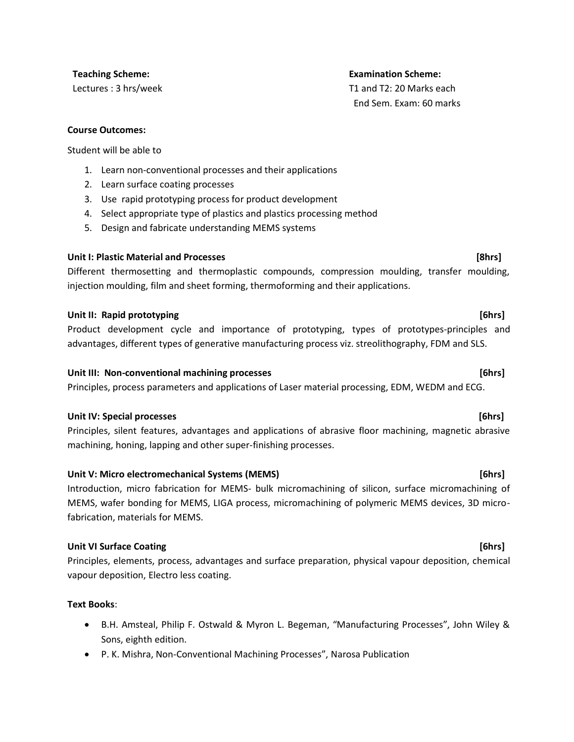### **Course Outcomes:**

Student will be able to

- 1. Learn non-conventional processes and their applications
- 2. Learn surface coating processes
- 3. Use rapid prototyping process for product development
- 4. Select appropriate type of plastics and plastics processing method
- 5. Design and fabricate understanding MEMS systems

### **Unit I: Plastic Material and Processes [8hrs]**

Different thermosetting and thermoplastic compounds, compression moulding, transfer moulding, injection moulding, film and sheet forming, thermoforming and their applications.

### **Unit II: Rapid prototyping [6hrs]**

Product development cycle and importance of prototyping, types of prototypes-principles and advantages, different types of generative manufacturing process viz. streolithography, FDM and SLS.

### **Unit III: Non-conventional machining processes [6hrs]**

Principles, process parameters and applications of Laser material processing, EDM, WEDM and ECG.

### **Unit IV: Special processes [6hrs]**

Principles, silent features, advantages and applications of abrasive floor machining, magnetic abrasive machining, honing, lapping and other super-finishing processes.

### **Unit V: Micro electromechanical Systems (MEMS) [6hrs]**

Introduction, micro fabrication for MEMS- bulk micromachining of silicon, surface micromachining of MEMS, wafer bonding for MEMS, LIGA process, micromachining of polymeric MEMS devices, 3D microfabrication, materials for MEMS.

### **Unit VI Surface Coating 12.1 The set of the set of the set of the set of the set of the set of the set of the set of the set of the set of the set of the set of the set of the set of the set of the set of the set of th**

Principles, elements, process, advantages and surface preparation, physical vapour deposition, chemical vapour deposition, Electro less coating.

### **Text Books**:

- B.H. Amsteal, Philip F. Ostwald & Myron L. Begeman, "Manufacturing Processes", John Wiley & Sons, eighth edition.
- P. K. Mishra, Non-Conventional Machining Processes", Narosa Publication

### **Teaching Scheme: Examination Scheme:**

Lectures : 3 hrs/week T1 and T2: 20 Marks each End Sem. Exam: 60 marks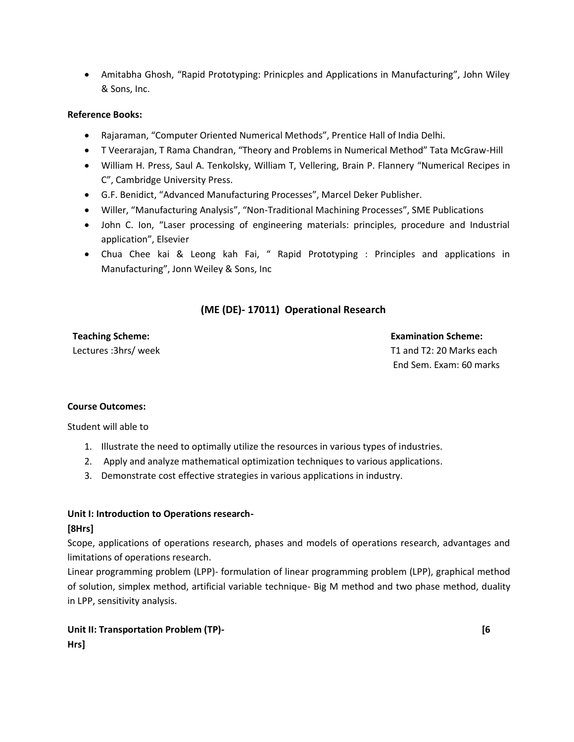• Amitabha Ghosh, "Rapid Prototyping: Prinicples and Applications in Manufacturing", John Wiley & Sons, Inc.

### **Reference Books:**

- Rajaraman, "Computer Oriented Numerical Methods", Prentice Hall of India Delhi.
- T Veerarajan, T Rama Chandran, "Theory and Problems in Numerical Method" Tata McGraw-Hill
- William H. Press, Saul A. Tenkolsky, William T, Vellering, Brain P. Flannery "Numerical Recipes in C", Cambridge University Press.
- G.F. Benidict, "Advanced Manufacturing Processes", Marcel Deker Publisher.
- Willer, "Manufacturing Analysis", "Non-Traditional Machining Processes", SME Publications
- John C. Ion, "Laser processing of engineering materials: principles, procedure and Industrial application", Elsevier
- Chua Chee kai & Leong kah Fai, " Rapid Prototyping : Principles and applications in Manufacturing", Jonn Weiley & Sons, Inc

# **(ME (DE)- 17011) Operational Research**

**Teaching Scheme: Examination Scheme:** Lectures :3hrs/ week T1 and T2: 20 Marks each End Sem. Exam: 60 marks

### **Course Outcomes:**

Student will able to

- 1. Illustrate the need to optimally utilize the resources in various types of industries.
- 2. Apply and analyze mathematical optimization techniques to various applications.
- 3. Demonstrate cost effective strategies in various applications in industry.

### **Unit I: Introduction to Operations research-**

### **[8Hrs]**

Scope, applications of operations research, phases and models of operations research, advantages and limitations of operations research.

Linear programming problem (LPP)- formulation of linear programming problem (LPP), graphical method of solution, simplex method, artificial variable technique- Big M method and two phase method, duality in LPP, sensitivity analysis.

# **Unit II: Transportation Problem (TP)- CONSULTANT CONSULTANT CONSULTANT CONSULTANT CONSULTANT CONSULTANT CONSULTANT CONSULTANT CONSULTANT CONSULTANT CONSULTANT CONSULTANT CONSULTANT CONSULTANT CONSULTANT CONSULTANT CONSU Hrs]**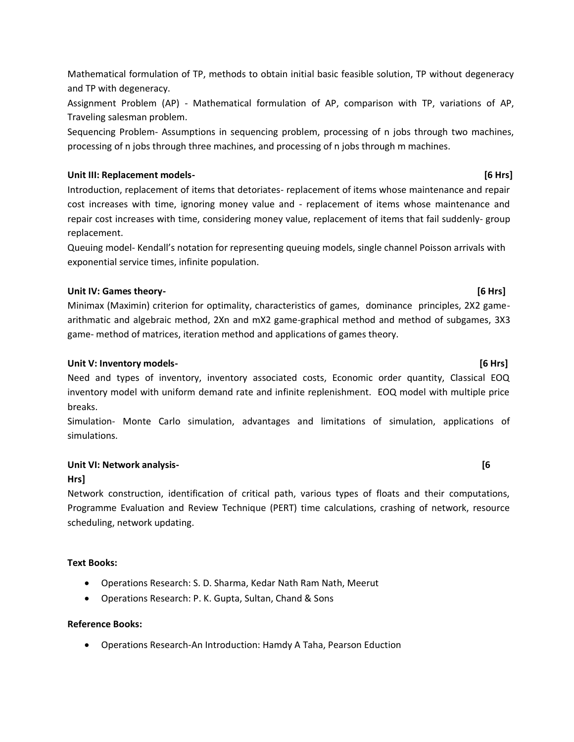Mathematical formulation of TP, methods to obtain initial basic feasible solution, TP without degeneracy and TP with degeneracy.

Assignment Problem (AP) - Mathematical formulation of AP, comparison with TP, variations of AP, Traveling salesman problem.

Sequencing Problem- Assumptions in sequencing problem, processing of n jobs through two machines, processing of n jobs through three machines, and processing of n jobs through m machines.

# **Unit III: Replacement models- [6 Hrs]**

Introduction, replacement of items that detoriates- replacement of items whose maintenance and repair cost increases with time, ignoring money value and - replacement of items whose maintenance and repair cost increases with time, considering money value, replacement of items that fail suddenly- group replacement.

Queuing model- Kendall's notation for representing queuing models, single channel Poisson arrivals with exponential service times, infinite population.

# **Unit IV: Games theory- [6 Hrs]**

Minimax (Maximin) criterion for optimality, characteristics of games, dominance principles, 2X2 gamearithmatic and algebraic method, 2Xn and mX2 game-graphical method and method of subgames, 3X3 game- method of matrices, iteration method and applications of games theory.

# **Unit V: Inventory models- [6 Hrs]**

Need and types of inventory, inventory associated costs, Economic order quantity, Classical EOQ inventory model with uniform demand rate and infinite replenishment. EOQ model with multiple price breaks.

Simulation- Monte Carlo simulation, advantages and limitations of simulation, applications of simulations.

# **Unit VI: Network analysis- [6**

# **Hrs]**

Network construction, identification of critical path, various types of floats and their computations, Programme Evaluation and Review Technique (PERT) time calculations, crashing of network, resource scheduling, network updating.

# **Text Books:**

- Operations Research: S. D. Sharma, Kedar Nath Ram Nath, Meerut
- Operations Research: P. K. Gupta, Sultan, Chand & Sons

# **Reference Books:**

• Operations Research-An Introduction: Hamdy A Taha, Pearson Eduction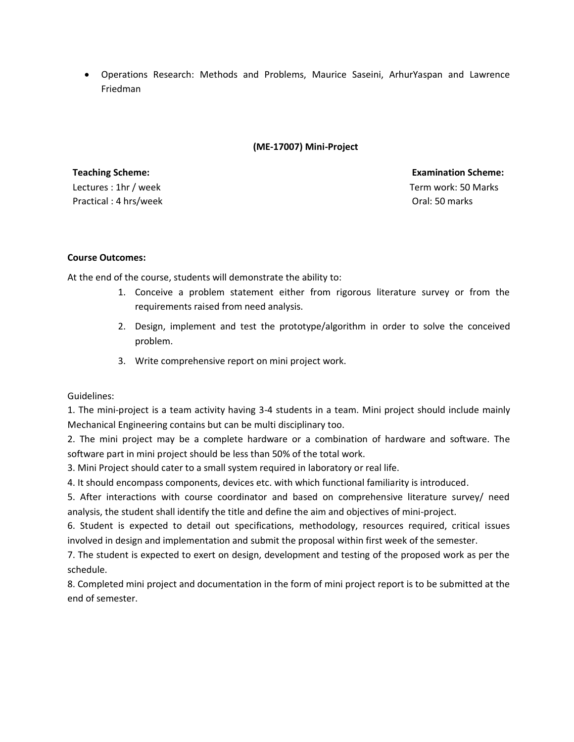• Operations Research: Methods and Problems, Maurice Saseini, ArhurYaspan and Lawrence Friedman

### **(ME-17007) Mini-Project**

Lectures : 1hr / week Practical : 4 hrs/week

**Teaching Scheme: Examination Scheme:** Term work: 50 Marks Oral: 50 marks

### **Course Outcomes:**

At the end of the course, students will demonstrate the ability to:

- 1. Conceive a problem statement either from rigorous literature survey or from the requirements raised from need analysis.
- 2. Design, implement and test the prototype/algorithm in order to solve the conceived problem.
- 3. Write comprehensive report on mini project work.

Guidelines:

1. The mini-project is a team activity having 3-4 students in a team. Mini project should include mainly Mechanical Engineering contains but can be multi disciplinary too.

2. The mini project may be a complete hardware or a combination of hardware and software. The software part in mini project should be less than 50% of the total work.

3. Mini Project should cater to a small system required in laboratory or real life.

4. It should encompass components, devices etc. with which functional familiarity is introduced.

5. After interactions with course coordinator and based on comprehensive literature survey/ need analysis, the student shall identify the title and define the aim and objectives of mini-project.

6. Student is expected to detail out specifications, methodology, resources required, critical issues involved in design and implementation and submit the proposal within first week of the semester.

7. The student is expected to exert on design, development and testing of the proposed work as per the schedule.

8. Completed mini project and documentation in the form of mini project report is to be submitted at the end of semester.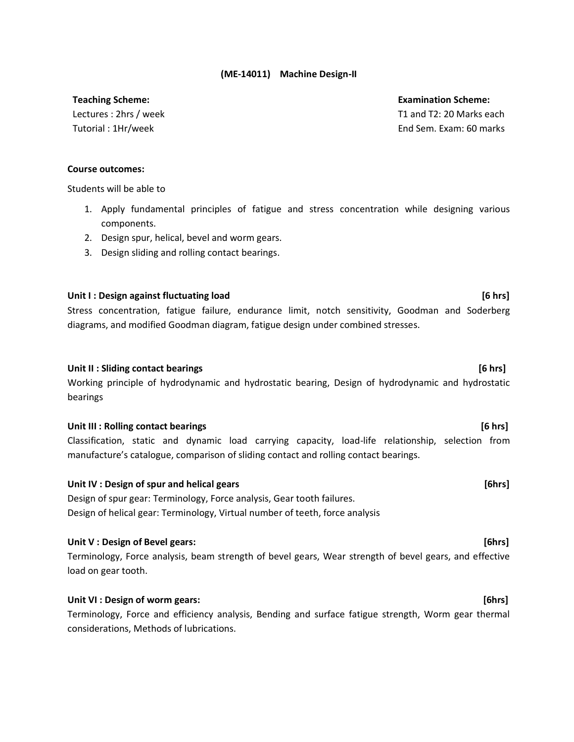### **(ME-14011) Machine Design-II**

Lectures : 2hrs / week Tutorial : 1Hr/week

**Teaching Scheme: Examination Scheme:** T1 and T2: 20 Marks each End Sem. Exam: 60 marks

### **Course outcomes:**

Students will be able to

- 1. Apply fundamental principles of fatigue and stress concentration while designing various components.
- 2. Design spur, helical, bevel and worm gears.
- 3. Design sliding and rolling contact bearings.

### Unit I : Design against fluctuating load **in the set of the set of the set of the set of the set of the set of t**

Stress concentration, fatigue failure, endurance limit, notch sensitivity, Goodman and Soderberg diagrams, and modified Goodman diagram, fatigue design under combined stresses.

### Unit II : Sliding contact bearings **[6 hrs]**

Working principle of hydrodynamic and hydrostatic bearing, Design of hydrodynamic and hydrostatic bearings

### **Unit III : Rolling contact bearings [6 hrs]**

Classification, static and dynamic load carrying capacity, load-life relationship, selection from manufacture's catalogue, comparison of sliding contact and rolling contact bearings.

### **Unit IV : Design of spur and helical gears [6hrs]**

Design of spur gear: Terminology, Force analysis, Gear tooth failures. Design of helical gear: Terminology, Virtual number of teeth, force analysis

### **Unit V : Design of Bevel gears: [6hrs]**

Terminology, Force analysis, beam strength of bevel gears, Wear strength of bevel gears, and effective load on gear tooth.

### **Unit VI : Design of worm gears: [6hrs]**

Terminology, Force and efficiency analysis, Bending and surface fatigue strength, Worm gear thermal considerations, Methods of lubrications.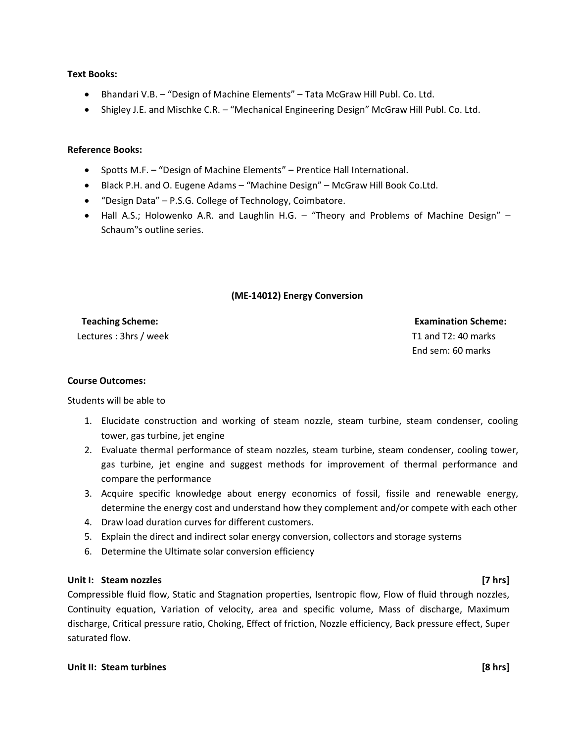### **Text Books:**

- Bhandari V.B. "Design of Machine Elements" Tata McGraw Hill Publ. Co. Ltd.
- Shigley J.E. and Mischke C.R. "Mechanical Engineering Design" McGraw Hill Publ. Co. Ltd.

### **Reference Books:**

- Spotts M.F. "Design of Machine Elements" Prentice Hall International.
- Black P.H. and O. Eugene Adams "Machine Design" McGraw Hill Book Co.Ltd.
- "Design Data" P.S.G. College of Technology, Coimbatore.
- Hall A.S.; Holowenko A.R. and Laughlin H.G. "Theory and Problems of Machine Design" Schaum"s outline series.

### **(ME-14012) Energy Conversion**

 **Teaching Scheme: Examination Scheme:**

Lectures : 3hrs / week T1 and T2: 40 marks End sem: 60 marks

### **Course Outcomes:**

Students will be able to

- 1. Elucidate construction and working of steam nozzle, steam turbine, steam condenser, cooling tower, gas turbine, jet engine
- 2. Evaluate thermal performance of steam nozzles, steam turbine, steam condenser, cooling tower, gas turbine, jet engine and suggest methods for improvement of thermal performance and compare the performance
- 3. Acquire specific knowledge about energy economics of fossil, fissile and renewable energy, determine the energy cost and understand how they complement and/or compete with each other
- 4. Draw load duration curves for different customers.
- 5. Explain the direct and indirect solar energy conversion, collectors and storage systems
- 6. Determine the Ultimate solar conversion efficiency

### **Unit I: Steam nozzles [7 hrs]**

Compressible fluid flow, Static and Stagnation properties, Isentropic flow, Flow of fluid through nozzles, Continuity equation, Variation of velocity, area and specific volume, Mass of discharge, Maximum discharge, Critical pressure ratio, Choking, Effect of friction, Nozzle efficiency, Back pressure effect, Super saturated flow.

### **Unit II: Steam turbines [8 hrs]**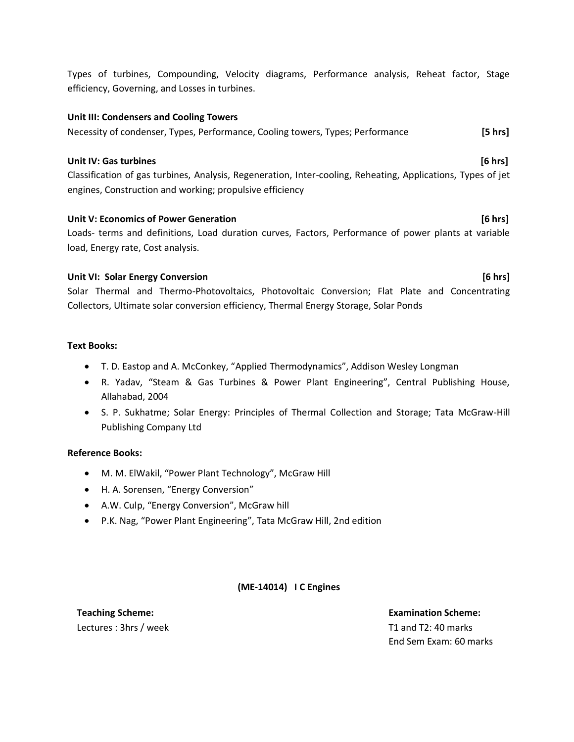Types of turbines, Compounding, Velocity diagrams, Performance analysis, Reheat factor, Stage efficiency, Governing, and Losses in turbines.

### **Unit III: Condensers and Cooling Towers**

### Necessity of condenser, Types, Performance, Cooling towers, Types; Performance **[5 hrs]**

### **Unit IV: Gas turbines [6 hrs]**

Classification of gas turbines, Analysis, Regeneration, Inter-cooling, Reheating, Applications, Types of jet engines, Construction and working; propulsive efficiency

### **Unit V: Economics of Power Generation <b>by the Conomic Conomics** (6 hrs) **[6 hrs]**

Loads- terms and definitions, Load duration curves, Factors, Performance of power plants at variable load, Energy rate, Cost analysis.

### **Unit VI: Solar Energy Conversion [6 hrs]**

Solar Thermal and Thermo-Photovoltaics, Photovoltaic Conversion; Flat Plate and Concentrating Collectors, Ultimate solar conversion efficiency, Thermal Energy Storage, Solar Ponds

### **Text Books:**

- T. D. Eastop and A. McConkey, "Applied Thermodynamics", Addison Wesley Longman
- R. Yadav, "Steam & Gas Turbines & Power Plant Engineering", Central Publishing House, Allahabad, 2004
- S. P. Sukhatme; Solar Energy: Principles of Thermal Collection and Storage; Tata McGraw-Hill Publishing Company Ltd

### **Reference Books:**

- M. M. ElWakil, "Power Plant Technology", McGraw Hill
- H. A. Sorensen, "Energy Conversion"
- A.W. Culp, "Energy Conversion", McGraw hill
- P.K. Nag, "Power Plant Engineering", Tata McGraw Hill, 2nd edition

### **(ME-14014) I C Engines**

# Lectures : 3hrs / week T1 and T2: 40 marks

**Teaching Scheme: Examination Scheme:** End Sem Exam: 60 marks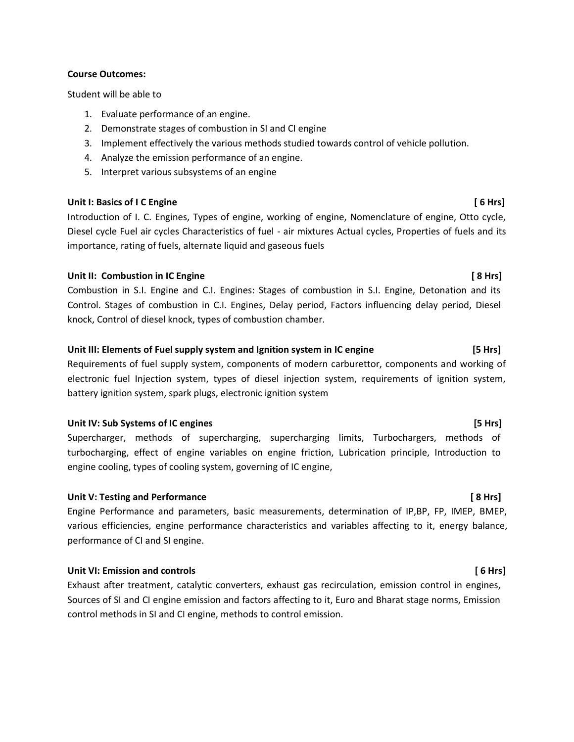### **Course Outcomes:**

Student will be able to

- 1. Evaluate performance of an engine.
- 2. Demonstrate stages of combustion in SI and CI engine
- 3. Implement effectively the various methods studied towards control of vehicle pollution.
- 4. Analyze the emission performance of an engine.
- 5. Interpret various subsystems of an engine

### Unit I: Basics of I C Engine **and Solution Contract Contract Contract Contract Contract Contract Contract Contract Contract Contract Contract Contract Contract Contract Contract Contract Contract Contract Contract Contract**

Introduction of I. C. Engines, Types of engine, working of engine, Nomenclature of engine, Otto cycle, Diesel cycle Fuel air cycles Characteristics of fuel - air mixtures Actual cycles, Properties of fuels and its importance, rating of fuels, alternate liquid and gaseous fuels

### Unit II: Combustion in IC Engine **No. 2018 Combustion** in IC Engine **and Combustion** in IC Engine **and Combustion**

Combustion in S.I. Engine and C.I. Engines: Stages of combustion in S.I. Engine, Detonation and its Control. Stages of combustion in C.I. Engines, Delay period, Factors influencing delay period, Diesel knock, Control of diesel knock, types of combustion chamber.

### **Unit III: Elements of Fuel supply system and Ignition system in IC engine [5 Hrs]**

Requirements of fuel supply system, components of modern carburettor, components and working of electronic fuel Injection system, types of diesel injection system, requirements of ignition system, battery ignition system, spark plugs, electronic ignition system

### Unit IV: Sub Systems of IC engines **[5 Hrs]**

Supercharger, methods of supercharging, supercharging limits, Turbochargers, methods of turbocharging, effect of engine variables on engine friction, Lubrication principle, Introduction to engine cooling, types of cooling system, governing of IC engine,

### **Unit V: Testing and Performance [ 8 Hrs]**

Engine Performance and parameters, basic measurements, determination of IP,BP, FP, IMEP, BMEP, various efficiencies, engine performance characteristics and variables affecting to it, energy balance, performance of CI and SI engine.

### **Unit VI: Emission and controls [ 6 Hrs]**

Exhaust after treatment, catalytic converters, exhaust gas recirculation, emission control in engines, Sources of SI and CI engine emission and factors affecting to it, Euro and Bharat stage norms, Emission control methods in SI and CI engine, methods to control emission.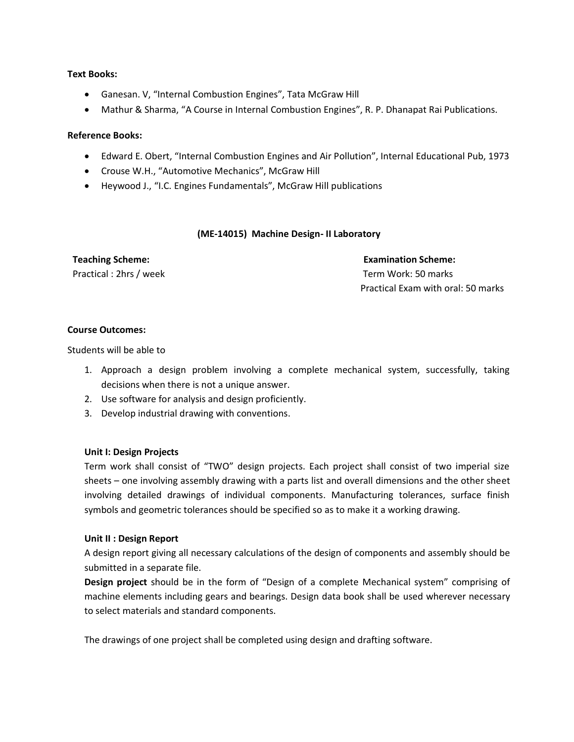### **Text Books:**

- Ganesan. V, "Internal Combustion Engines", Tata McGraw Hill
- Mathur & Sharma, "A Course in Internal Combustion Engines", R. P. Dhanapat Rai Publications.

### **Reference Books:**

- Edward E. Obert, "Internal Combustion Engines and Air Pollution", Internal Educational Pub, 1973
- Crouse W.H., "Automotive Mechanics", McGraw Hill
- Heywood J., "I.C. Engines Fundamentals", McGraw Hill publications

### **(ME-14015) Machine Design- II Laboratory**

**Teaching Scheme: Examination Scheme:**

Practical : 2hrs / week Term Work: 50 marks Practical Exam with oral: 50 marks

### **Course Outcomes:**

Students will be able to

- 1. Approach a design problem involving a complete mechanical system, successfully, taking decisions when there is not a unique answer.
- 2. Use software for analysis and design proficiently.
- 3. Develop industrial drawing with conventions.

### **Unit I: Design Projects**

Term work shall consist of "TWO" design projects. Each project shall consist of two imperial size sheets – one involving assembly drawing with a parts list and overall dimensions and the other sheet involving detailed drawings of individual components. Manufacturing tolerances, surface finish symbols and geometric tolerances should be specified so as to make it a working drawing.

### **Unit II : Design Report**

A design report giving all necessary calculations of the design of components and assembly should be submitted in a separate file.

**Design project** should be in the form of "Design of a complete Mechanical system" comprising of machine elements including gears and bearings. Design data book shall be used wherever necessary to select materials and standard components.

The drawings of one project shall be completed using design and drafting software.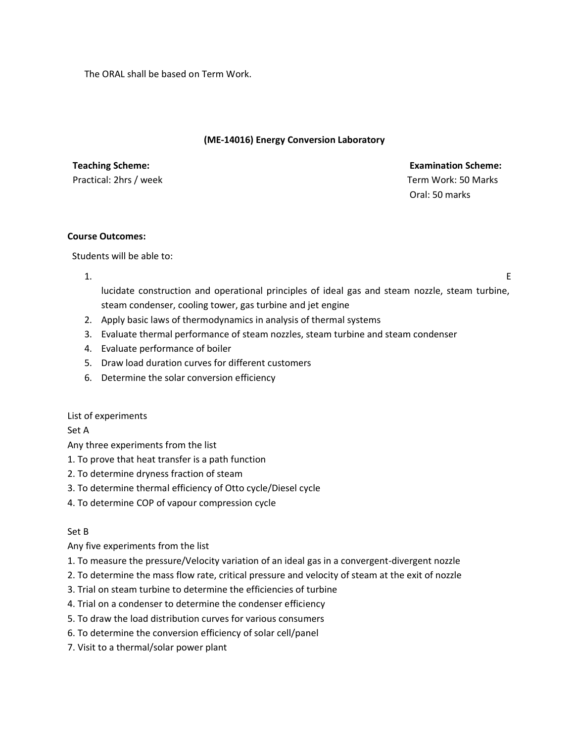The ORAL shall be based on Term Work.

### **(ME-14016) Energy Conversion Laboratory**

**Teaching Scheme: Examination Scheme:**  Practical: 2hrs / week Term Work: 50 Marks Oral: 50 marks

### **Course Outcomes:**

Students will be able to:

1.

lucidate construction and operational principles of ideal gas and steam nozzle, steam turbine, steam condenser, cooling tower, gas turbine and jet engine

- 2. Apply basic laws of thermodynamics in analysis of thermal systems
- 3. Evaluate thermal performance of steam nozzles, steam turbine and steam condenser
- 4. Evaluate performance of boiler
- 5. Draw load duration curves for different customers
- 6. Determine the solar conversion efficiency

### List of experiments

Set A

Any three experiments from the list

- 1. To prove that heat transfer is a path function
- 2. To determine dryness fraction of steam
- 3. To determine thermal efficiency of Otto cycle/Diesel cycle
- 4. To determine COP of vapour compression cycle

### Set B

Any five experiments from the list

- 1. To measure the pressure/Velocity variation of an ideal gas in a convergent-divergent nozzle
- 2. To determine the mass flow rate, critical pressure and velocity of steam at the exit of nozzle
- 3. Trial on steam turbine to determine the efficiencies of turbine
- 4. Trial on a condenser to determine the condenser efficiency
- 5. To draw the load distribution curves for various consumers
- 6. To determine the conversion efficiency of solar cell/panel
- 7. Visit to a thermal/solar power plant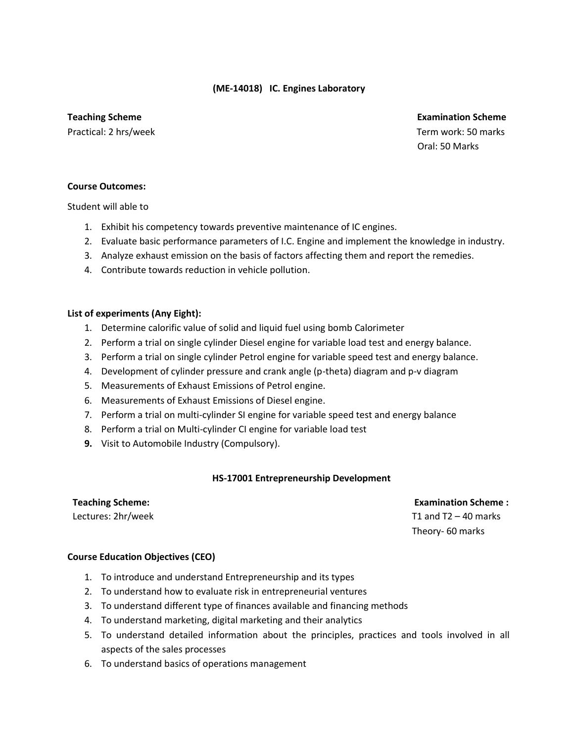### **(ME-14018) IC. Engines Laboratory**

### **Teaching Scheme Examination Scheme** Examination Scheme Examination Scheme Examination Scheme

Practical: 2 hrs/week Term work: 50 marks Oral: 50 Marks

### **Course Outcomes:**

Student will able to

- 1. Exhibit his competency towards preventive maintenance of IC engines.
- 2. Evaluate basic performance parameters of I.C. Engine and implement the knowledge in industry.
- 3. Analyze exhaust emission on the basis of factors affecting them and report the remedies.
- 4. Contribute towards reduction in vehicle pollution.

### **List of experiments (Any Eight):**

- 1. Determine calorific value of solid and liquid fuel using bomb Calorimeter
- 2. Perform a trial on single cylinder Diesel engine for variable load test and energy balance.
- 3. Perform a trial on single cylinder Petrol engine for variable speed test and energy balance.
- 4. Development of cylinder pressure and crank angle (p-theta) diagram and p-v diagram
- 5. Measurements of Exhaust Emissions of Petrol engine.
- 6. Measurements of Exhaust Emissions of Diesel engine.
- 7. Perform a trial on multi-cylinder SI engine for variable speed test and energy balance
- 8. Perform a trial on Multi-cylinder CI engine for variable load test
- **9.** Visit to Automobile Industry (Compulsory).

### **HS-17001 Entrepreneurship Development**

### **Teaching Scheme:**

Lectures: 2hr/week

 **Examination Scheme :**  T1 and  $T2 - 40$  marks Theory- 60 marks

### **Course Education Objectives (CEO)**

- 1. To introduce and understand Entrepreneurship and its types
- 2. To understand how to evaluate risk in entrepreneurial ventures
- 3. To understand different type of finances available and financing methods
- 4. To understand marketing, digital marketing and their analytics
- 5. To understand detailed information about the principles, practices and tools involved in all aspects of the sales processes
- 6. To understand basics of operations management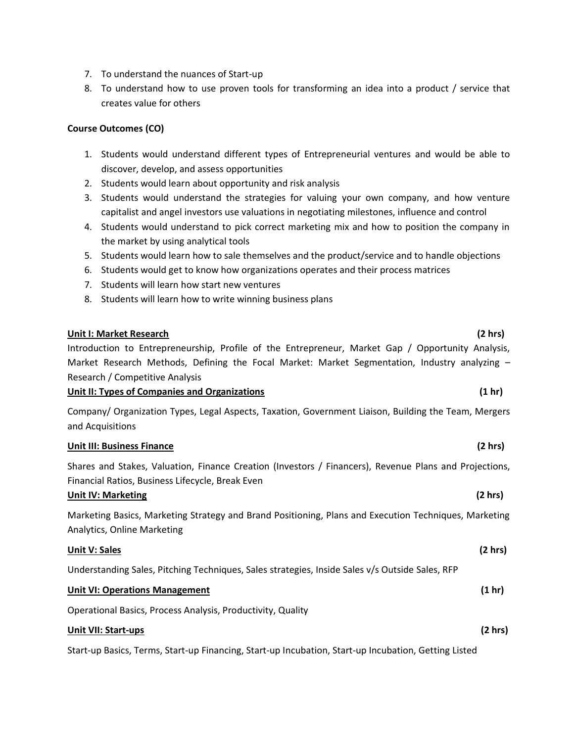- 7. To understand the nuances of Start-up
- 8. To understand how to use proven tools for transforming an idea into a product / service that creates value for others

### **Course Outcomes (CO)**

- 1. Students would understand different types of Entrepreneurial ventures and would be able to discover, develop, and assess opportunities
- 2. Students would learn about opportunity and risk analysis
- 3. Students would understand the strategies for valuing your own company, and how venture capitalist and angel investors use valuations in negotiating milestones, influence and control
- 4. Students would understand to pick correct marketing mix and how to position the company in the market by using analytical tools
- 5. Students would learn how to sale themselves and the product/service and to handle objections
- 6. Students would get to know how organizations operates and their process matrices
- 7. Students will learn how start new ventures
- 8. Students will learn how to write winning business plans

### **Unit I: Market Research (2 hrs)**

Introduction to Entrepreneurship, Profile of the Entrepreneur, Market Gap / Opportunity Analysis, Market Research Methods, Defining the Focal Market: Market Segmentation, Industry analyzing -Research / Competitive Analysis

### **Unit II: Types of Companies and Organizations (1 hr)**

Company/ Organization Types, Legal Aspects, Taxation, Government Liaison, Building the Team, Mergers and Acquisitions

### **Unit III: Business Finance (2 hrs)**

Shares and Stakes, Valuation, Finance Creation (Investors / Financers), Revenue Plans and Projections, Financial Ratios, Business Lifecycle, Break Even

### **Unit IV: Marketing (2 hrs)**

Marketing Basics, Marketing Strategy and Brand Positioning, Plans and Execution Techniques, Marketing Analytics, Online Marketing

| <b>Unit V: Sales</b>                                                                            | (2 hr)           |
|-------------------------------------------------------------------------------------------------|------------------|
| Understanding Sales, Pitching Techniques, Sales strategies, Inside Sales v/s Outside Sales, RFP |                  |
| <b>Unit VI: Operations Management</b>                                                           | $(1 \text{ hr})$ |
| Operational Basics, Process Analysis, Productivity, Quality                                     |                  |
| <b>Unit VII: Start-ups</b>                                                                      | (2 hr)           |

Start-up Basics, Terms, Start-up Financing, Start-up Incubation, Start-up Incubation, Getting Listed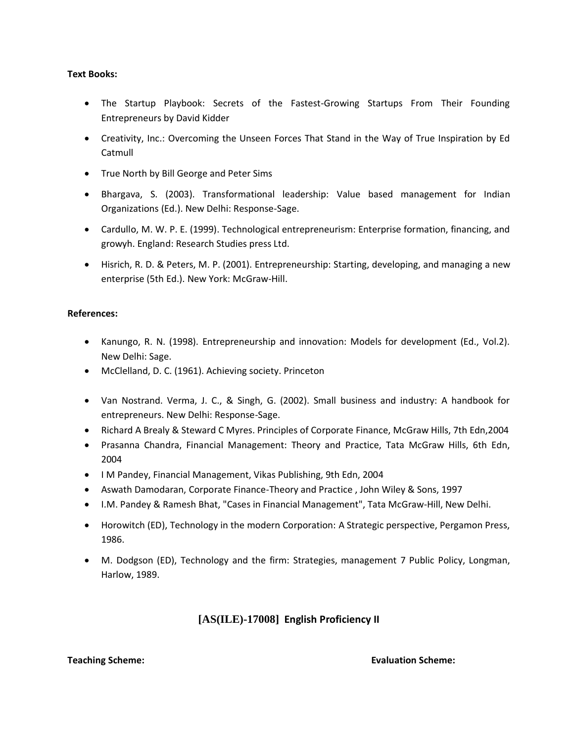### **Text Books:**

- The Startup Playbook: Secrets of the Fastest-Growing Startups From Their Founding Entrepreneurs by David Kidder
- Creativity, Inc.: Overcoming the Unseen Forces That Stand in the Way of True Inspiration by Ed Catmull
- True North by Bill George and Peter Sims
- Bhargava, S. (2003). Transformational leadership: Value based management for Indian Organizations (Ed.). New Delhi: Response-Sage.
- Cardullo, M. W. P. E. (1999). Technological entrepreneurism: Enterprise formation, financing, and growyh. England: Research Studies press Ltd.
- Hisrich, R. D. & Peters, M. P. (2001). Entrepreneurship: Starting, developing, and managing a new enterprise (5th Ed.). New York: McGraw-Hill.

### **References:**

- Kanungo, R. N. (1998). Entrepreneurship and innovation: Models for development (Ed., Vol.2). New Delhi: Sage.
- McClelland, D. C. (1961). Achieving society. Princeton
- Van Nostrand. Verma, J. C., & Singh, G. (2002). Small business and industry: A handbook for entrepreneurs. New Delhi: Response-Sage.
- Richard A Brealy & Steward C Myres. Principles of Corporate Finance, McGraw Hills, 7th Edn,2004
- Prasanna Chandra, Financial Management: Theory and Practice, Tata McGraw Hills, 6th Edn, 2004
- I M Pandey, Financial Management, Vikas Publishing, 9th Edn, 2004
- Aswath Damodaran, Corporate Finance-Theory and Practice , John Wiley & Sons, 1997
- I.M. Pandey & Ramesh Bhat, "Cases in Financial Management", Tata McGraw-Hill, New Delhi.
- Horowitch (ED), Technology in the modern Corporation: A Strategic perspective, Pergamon Press, 1986.
- M. Dodgson (ED), Technology and the firm: Strategies, management 7 Public Policy, Longman, Harlow, 1989.

# **[AS(ILE)-17008] English Proficiency II**

### **Teaching Scheme: Evaluation Scheme:**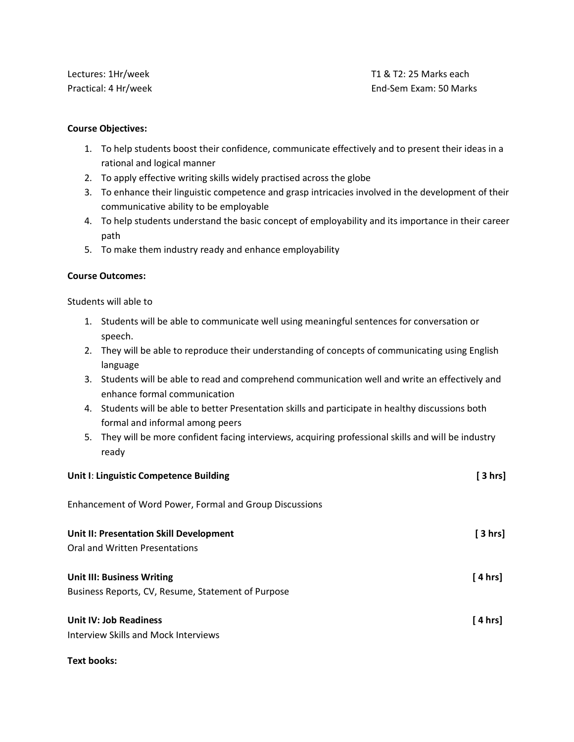Lectures: 1Hr/week The Theorem Controller Controller Controller Theorem Theorem Theorem Theorem Theorem Theorem Theorem Theorem Theorem Theorem Theorem Theorem Theorem Theorem Theorem Theorem Theorem Theorem Theorem Theore Practical: 4 Hr/week **End-Sem Exam: 50 Marks** End-Sem Exam: 50 Marks

### **Course Objectives:**

- 1. To help students boost their confidence, communicate effectively and to present their ideas in a rational and logical manner
- 2. To apply effective writing skills widely practised across the globe
- 3. To enhance their linguistic competence and grasp intricacies involved in the development of their communicative ability to be employable
- 4. To help students understand the basic concept of employability and its importance in their career path
- 5. To make them industry ready and enhance employability

### **Course Outcomes:**

Students will able to

- 1. Students will be able to communicate well using meaningful sentences for conversation or speech.
- 2. They will be able to reproduce their understanding of concepts of communicating using English language
- 3. Students will be able to read and comprehend communication well and write an effectively and enhance formal communication
- 4. Students will be able to better Presentation skills and participate in healthy discussions both formal and informal among peers
- 5. They will be more confident facing interviews, acquiring professional skills and will be industry ready

| Unit I: Linguistic Competence Building                                                  | [ 3 hrs] |
|-----------------------------------------------------------------------------------------|----------|
| Enhancement of Word Power, Formal and Group Discussions                                 |          |
| Unit II: Presentation Skill Development<br>Oral and Written Presentations               | [ 3 hrs] |
| <b>Unit III: Business Writing</b><br>Business Reports, CV, Resume, Statement of Purpose | [ 4 hrs] |
| Unit IV: Job Readiness<br>Interview Skills and Mock Interviews                          | [4 hrs]  |

**Text books:**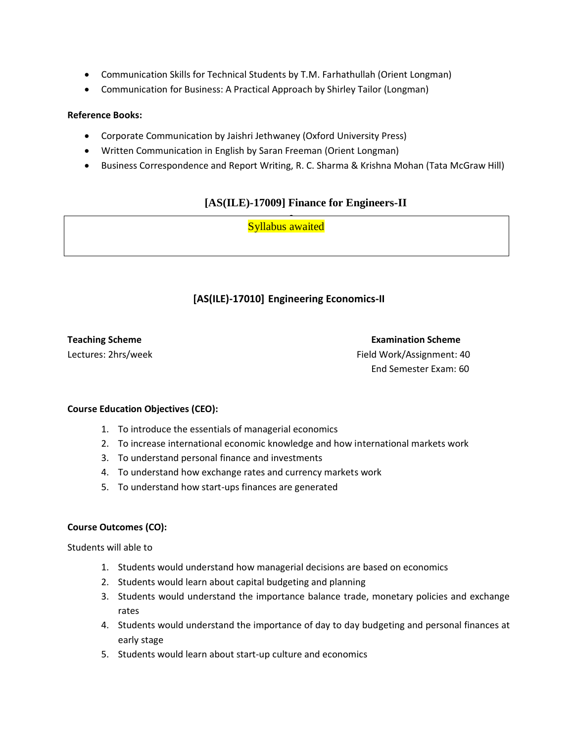- Communication Skills for Technical Students by T.M. Farhathullah (Orient Longman)
- Communication for Business: A Practical Approach by Shirley Tailor (Longman)

### **Reference Books:**

- Corporate Communication by Jaishri Jethwaney (Oxford University Press)
- Written Communication in English by Saran Freeman (Orient Longman)
- Business Correspondence and Report Writing, R. C. Sharma & Krishna Mohan (Tata McGraw Hill)

# **[AS(ILE)-17009] Finance for Engineers-II**

• <mark>Syllabus awaited</mark>

# **[AS(ILE)-17010] Engineering Economics-II**

**Teaching Scheme Examination Scheme** Lectures: 2hrs/weekField Work/Assignment: 40 End Semester Exam: 60

### **Course Education Objectives (CEO):**

- 1. To introduce the essentials of managerial economics
- 2. To increase international economic knowledge and how international markets work
- 3. To understand personal finance and investments
- 4. To understand how exchange rates and currency markets work
- 5. To understand how start-ups finances are generated

### **Course Outcomes (CO):**

Students will able to

- 1. Students would understand how managerial decisions are based on economics
- 2. Students would learn about capital budgeting and planning
- 3. Students would understand the importance balance trade, monetary policies and exchange rates
- 4. Students would understand the importance of day to day budgeting and personal finances at early stage
- 5. Students would learn about start-up culture and economics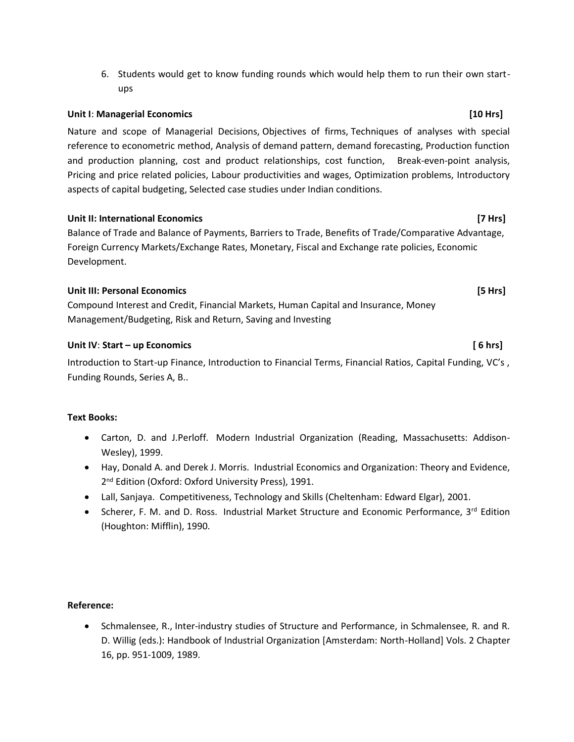6. Students would get to know funding rounds which would help them to run their own startups

### **Unit I**: **Managerial Economics [10 Hrs]**

Nature and scope of Managerial Decisions, Objectives of firms, Techniques of analyses with special reference to econometric method, Analysis of demand pattern, demand forecasting, Production function and production planning, cost and product relationships, cost function, Break-even-point analysis, Pricing and price related policies, Labour productivities and wages, Optimization problems, Introductory aspects of capital budgeting, Selected case studies under Indian conditions.

### **Unit II: International Economics [7 Hrs]**

Balance of Trade and Balance of Payments, Barriers to Trade, Benefits of Trade/Comparative Advantage, Foreign Currency Markets/Exchange Rates, Monetary, Fiscal and Exchange rate policies, Economic Development.

### **Unit III: Personal Economics [5 Hrs]**

Compound Interest and Credit, Financial Markets, Human Capital and Insurance, Money Management/Budgeting, Risk and Return, Saving and Investing

### **Unit IV**: **Start – up Economics [ 6 hrs]**

Introduction to Start-up Finance, Introduction to Financial Terms, Financial Ratios, Capital Funding, VC's , Funding Rounds, Series A, B..

### **Text Books:**

- Carton, D. and J.Perloff. Modern Industrial Organization (Reading, Massachusetts: Addison-Wesley), 1999.
- Hay, Donald A. and Derek J. Morris. Industrial Economics and Organization: Theory and Evidence, 2<sup>nd</sup> Edition (Oxford: Oxford University Press), 1991.
- Lall, Sanjaya. Competitiveness, Technology and Skills (Cheltenham: Edward Elgar), 2001.
- Scherer, F. M. and D. Ross. Industrial Market Structure and Economic Performance, 3<sup>rd</sup> Edition (Houghton: Mifflin), 1990.

### **Reference:**

• Schmalensee, R., Inter-industry studies of Structure and Performance, in Schmalensee, R. and R. D. Willig (eds.): Handbook of Industrial Organization [Amsterdam: North-Holland] Vols. 2 Chapter 16, pp. 951-1009, 1989.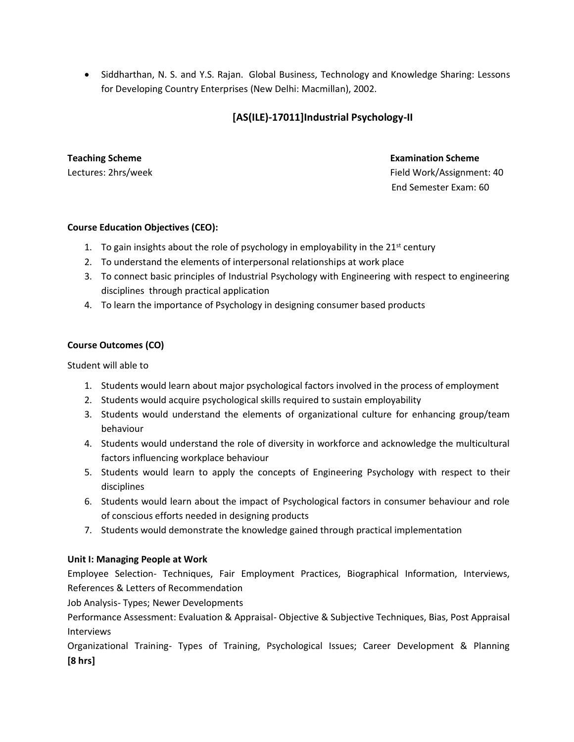• Siddharthan, N. S. and Y.S. Rajan. Global Business, Technology and Knowledge Sharing: Lessons for Developing Country Enterprises (New Delhi: Macmillan), 2002.

# **[AS(ILE)-17011]Industrial Psychology-II**

**Teaching Scheme Examination Scheme** Lectures: 2hrs/weekField Work/Assignment: 40 End Semester Exam: 60

### **Course Education Objectives (CEO):**

- 1. To gain insights about the role of psychology in employability in the  $21^{st}$  century
- 2. To understand the elements of interpersonal relationships at work place
- 3. To connect basic principles of Industrial Psychology with Engineering with respect to engineering disciplines through practical application
- 4. To learn the importance of Psychology in designing consumer based products

### **Course Outcomes (CO)**

Student will able to

- 1. Students would learn about major psychological factors involved in the process of employment
- 2. Students would acquire psychological skills required to sustain employability
- 3. Students would understand the elements of organizational culture for enhancing group/team behaviour
- 4. Students would understand the role of diversity in workforce and acknowledge the multicultural factors influencing workplace behaviour
- 5. Students would learn to apply the concepts of Engineering Psychology with respect to their disciplines
- 6. Students would learn about the impact of Psychological factors in consumer behaviour and role of conscious efforts needed in designing products
- 7. Students would demonstrate the knowledge gained through practical implementation

### **Unit I: Managing People at Work**

Employee Selection- Techniques, Fair Employment Practices, Biographical Information, Interviews, References & Letters of Recommendation

Job Analysis- Types; Newer Developments

Performance Assessment: Evaluation & Appraisal- Objective & Subjective Techniques, Bias, Post Appraisal Interviews

Organizational Training- Types of Training, Psychological Issues; Career Development & Planning **[8 hrs]**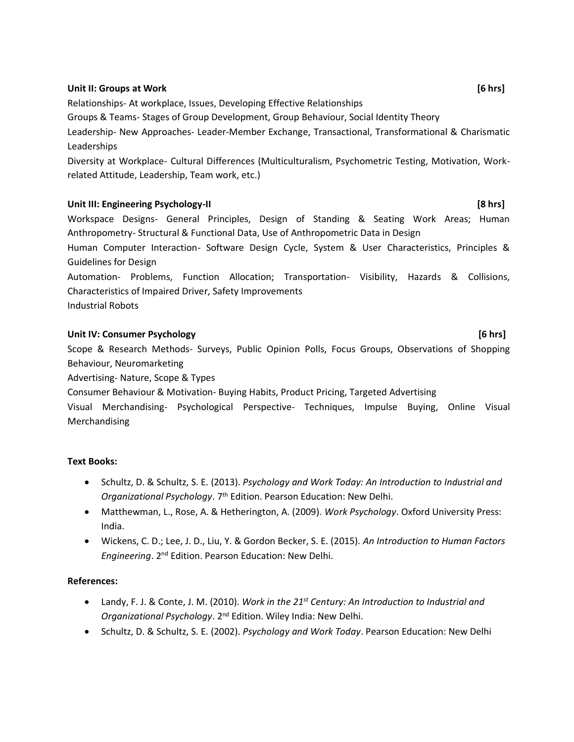### **Unit II: Groups at Work [6 hrs]**

Relationships- At workplace, Issues, Developing Effective Relationships

Groups & Teams- Stages of Group Development, Group Behaviour, Social Identity Theory

Leadership- New Approaches- Leader-Member Exchange, Transactional, Transformational & Charismatic Leaderships

Diversity at Workplace- Cultural Differences (Multiculturalism, Psychometric Testing, Motivation, Workrelated Attitude, Leadership, Team work, etc.)

### Unit III: Engineering Psychology-II **and the system of the system of the system**  $[8 \text{ hrs}]$

Workspace Designs- General Principles, Design of Standing & Seating Work Areas; Human Anthropometry- Structural & Functional Data, Use of Anthropometric Data in Design

Human Computer Interaction- Software Design Cycle, System & User Characteristics, Principles & Guidelines for Design

Automation- Problems, Function Allocation; Transportation- Visibility, Hazards & Collisions, Characteristics of Impaired Driver, Safety Improvements

Industrial Robots

### **Unit IV: Consumer Psychology [6 hrs]**

Scope & Research Methods- Surveys, Public Opinion Polls, Focus Groups, Observations of Shopping Behaviour, Neuromarketing

Advertising- Nature, Scope & Types

Consumer Behaviour & Motivation- Buying Habits, Product Pricing, Targeted Advertising

Visual Merchandising- Psychological Perspective- Techniques, Impulse Buying, Online Visual Merchandising

### **Text Books:**

- Schultz, D. & Schultz, S. E. (2013). *Psychology and Work Today: An Introduction to Industrial and Organizational Psychology*. 7th Edition. Pearson Education: New Delhi.
- Matthewman, L., Rose, A. & Hetherington, A. (2009). *Work Psychology*. Oxford University Press: India.
- Wickens, C. D.; Lee, J. D., Liu, Y. & Gordon Becker, S. E. (2015). *An Introduction to Human Factors Engineering*. 2nd Edition. Pearson Education: New Delhi.

### **References:**

- Landy, F. J. & Conte, J. M. (2010). *Work in the 21st Century: An Introduction to Industrial and Organizational Psychology*. 2nd Edition. Wiley India: New Delhi.
- Schultz, D. & Schultz, S. E. (2002). *Psychology and Work Today*. Pearson Education: New Delhi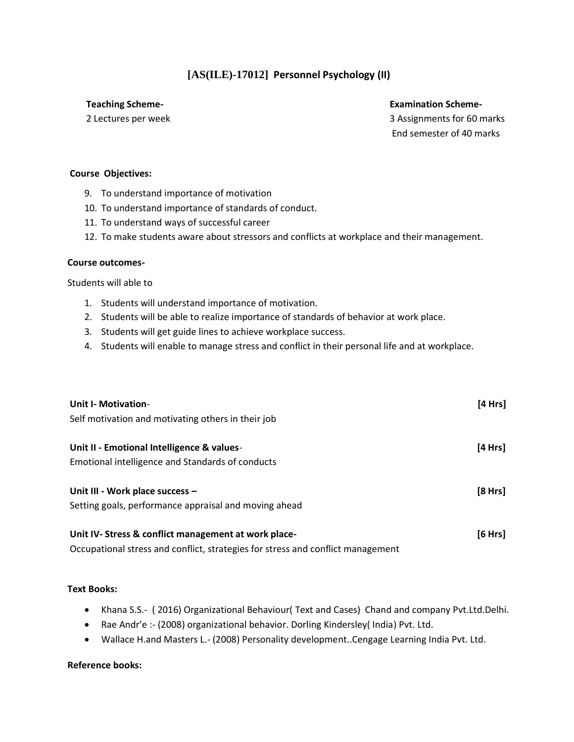# **[AS(ILE)-17012] Personnel Psychology (II)**

### **Teaching Scheme- Examination Scheme-**

2 Lectures per week **3** Assignments for 60 marks End semester of 40 marks

### **Course Objectives:**

- 9. To understand importance of motivation
- 10. To understand importance of standards of conduct.
- 11. To understand ways of successful career
- 12. To make students aware about stressors and conflicts at workplace and their management.

### **Course outcomes-**

Students will able to

- 1. Students will understand importance of motivation.
- 2. Students will be able to realize importance of standards of behavior at work place.
- 3. Students will get guide lines to achieve workplace success.
- 4. Students will enable to manage stress and conflict in their personal life and at workplace.

| <b>Unit I- Motivation-</b>                                                      | [4 Hrs] |
|---------------------------------------------------------------------------------|---------|
| Self motivation and motivating others in their job                              |         |
| Unit II - Emotional Intelligence & values-                                      | [4 Hrs] |
| Emotional intelligence and Standards of conducts                                |         |
| Unit III - Work place success -                                                 | [8 Hrs] |
| Setting goals, performance appraisal and moving ahead                           |         |
| Unit IV-Stress & conflict management at work place-                             | [6 Hrs] |
| Occupational stress and conflict, strategies for stress and conflict management |         |

### **Text Books:**

- Khana S.S.- ( 2016) Organizational Behaviour( Text and Cases) Chand and company Pvt.Ltd.Delhi.
- Rae Andr'e :- (2008) organizational behavior. Dorling Kindersley( India) Pvt. Ltd.
- Wallace H.and Masters L.- (2008) Personality development..Cengage Learning India Pvt. Ltd.

### **Reference books:**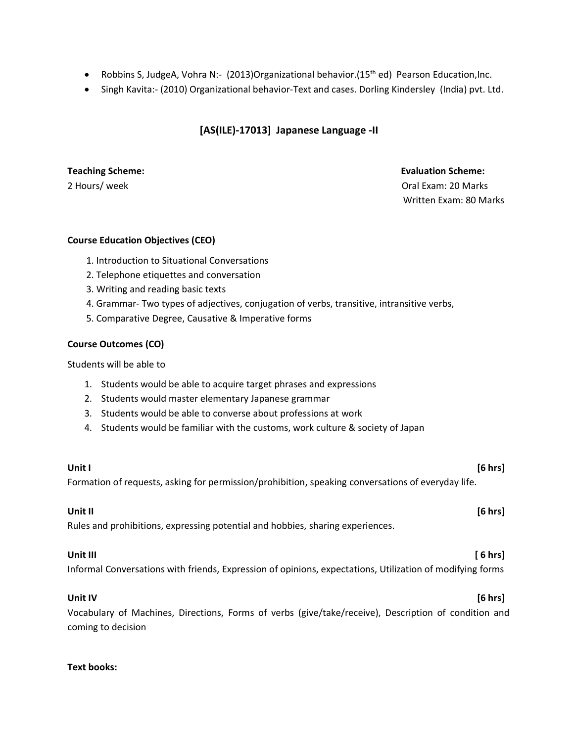- Robbins S, JudgeA, Vohra N:- (2013)Organizational behavior.(15<sup>th</sup> ed) Pearson Education, Inc.
- Singh Kavita:- (2010) Organizational behavior-Text and cases. Dorling Kindersley (India) pvt. Ltd.

## **[AS(ILE)-17013] Japanese Language -II**

### **Teaching Scheme: Evaluation Scheme:**

2 Hours/ week **Oral Exam: 20 Marks** 20 Marks 20 Marks 20 Marks 20 Marks 20 Marks 20 Marks 20 Marks 20 Marks 20 Marks 20 Marks 20 Marks 20 Marks 20 Marks 20 Marks 20 Marks 20 Marks 20 Marks 20 Marks 20 Marks 20 Marks 20 Mar Written Exam: 80 Marks

### **Course Education Objectives (CEO)**

- 1. Introduction to Situational Conversations
- 2. Telephone etiquettes and conversation
- 3. Writing and reading basic texts
- 4. Grammar- Two types of adjectives, conjugation of verbs, transitive, intransitive verbs,
- 5. Comparative Degree, Causative & Imperative forms

### **Course Outcomes (CO)**

### Students will be able to

- 1. Students would be able to acquire target phrases and expressions
- 2. Students would master elementary Japanese grammar
- 3. Students would be able to converse about professions at work
- 4. Students would be familiar with the customs, work culture & society of Japan

### **Unit I [6 hrs]**

Formation of requests, asking for permission/prohibition, speaking conversations of everyday life.

**Unit II [6 hrs]**

Rules and prohibitions, expressing potential and hobbies, sharing experiences.

### **Unit III [ 6 hrs]**

Informal Conversations with friends, Expression of opinions, expectations, Utilization of modifying forms

### **Unit IV [6 hrs]**

Vocabulary of Machines, Directions, Forms of verbs (give/take/receive), Description of condition and coming to decision

### **Text books:**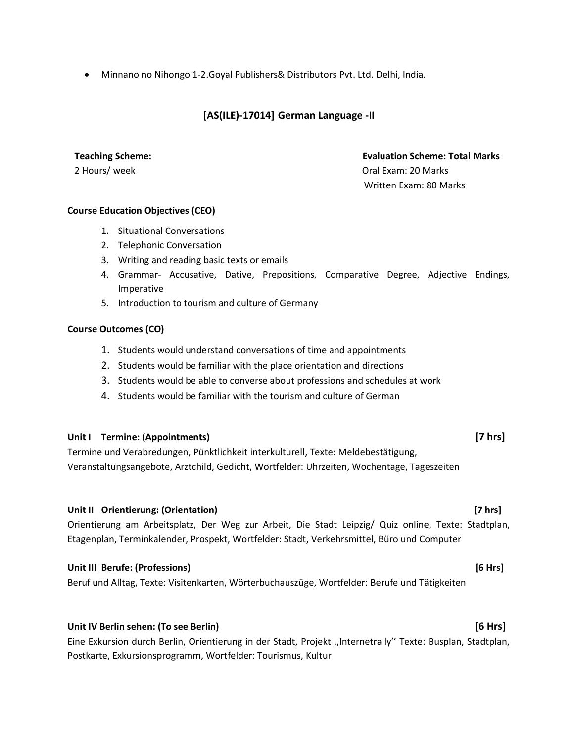• Minnano no Nihongo 1-2.Goyal Publishers& Distributors Pvt. Ltd. Delhi, India.

# **[AS(ILE)-17014] German Language -II**

**2 Hours/ week 20 Marks** 20 Marks 20 Marks 20 Marks 20 Marks 20 Marks 20 Marks 20 Marks 20 Marks 20 Marks 20 Marks 30 Marks 30 Marks 30 Marks 30 Marks 30 Marks 30 Marks 30 Marks 30 Marks 30 Marks 30 Marks 30 Marks 30 Marks

# **Teaching Scheme: Evaluation Scheme: Total Marks**

Written Exam: 80 Marks

### **Course Education Objectives (CEO)**

- 1. Situational Conversations
- 2. Telephonic Conversation
- 3. Writing and reading basic texts or emails
- 4. Grammar- Accusative, Dative, Prepositions, Comparative Degree, Adjective Endings, Imperative
- 5. Introduction to tourism and culture of Germany

### **Course Outcomes (CO)**

- 1. Students would understand conversations of time and appointments
- 2. Students would be familiar with the place orientation and directions
- 3. Students would be able to converse about professions and schedules at work
- 4. Students would be familiar with the tourism and culture of German

### **Unit I Termine: (Appointments) [7 hrs]**

Termine und Verabredungen, Pünktlichkeit interkulturell, Texte: Meldebestätigung, Veranstaltungsangebote, Arztchild, Gedicht, Wortfelder: Uhrzeiten, Wochentage, Tageszeiten

### **Unit II Orientierung: (Orientation) [7 hrs]**

Orientierung am Arbeitsplatz, Der Weg zur Arbeit, Die Stadt Leipzig/ Quiz online, Texte: Stadtplan, Etagenplan, Terminkalender, Prospekt, Wortfelder: Stadt, Verkehrsmittel, Büro und Computer

### **Unit III Berufe: (Professions) [6 Hrs]**

Beruf und Alltag, Texte: Visitenkarten, Wörterbuchauszüge, Wortfelder: Berufe und Tätigkeiten

### **Unit IV Berlin sehen: (To see Berlin) [6 Hrs]**

Eine Exkursion durch Berlin, Orientierung in der Stadt, Projekt ,,Internetrally'' Texte: Busplan, Stadtplan, Postkarte, Exkursionsprogramm, Wortfelder: Tourismus, Kultur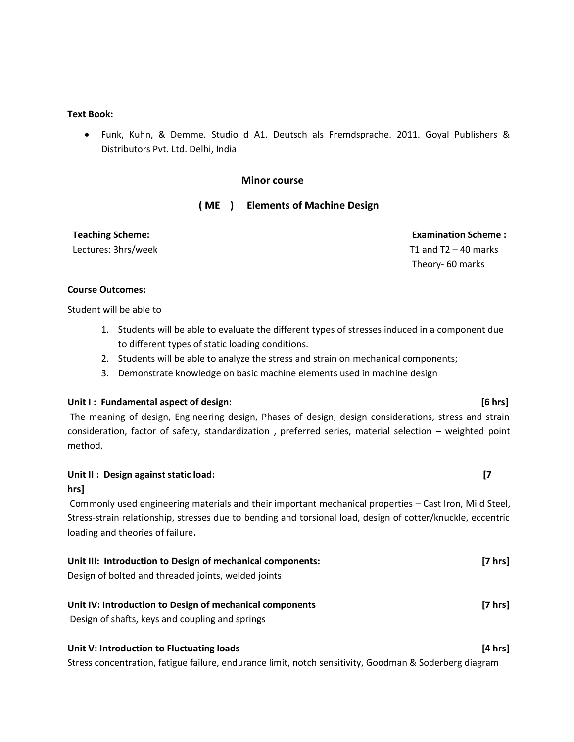### **Text Book:**

• Funk, Kuhn, & Demme. Studio d A1. Deutsch als Fremdsprache. 2011. Goyal Publishers & Distributors Pvt. Ltd. Delhi, India

### **Minor course**

### **( ME ) Elements of Machine Design**

**Teaching Scheme:**  Lectures: 3hrs/week

 **Examination Scheme :**  T1 and  $T2 - 40$  marks Theory- 60 marks

### **Course Outcomes:**

Student will be able to

- 1. Students will be able to evaluate the different types of stresses induced in a component due to different types of static loading conditions.
- 2. Students will be able to analyze the stress and strain on mechanical components;
- 3. Demonstrate knowledge on basic machine elements used in machine design

### **Unit I : Fundamental aspect of design: [6 hrs]**

The meaning of design, Engineering design, Phases of design, design considerations, stress and strain consideration, factor of safety, standardization , preferred series, material selection – weighted point method.

### **Unit II : Design against static load: [7**

### **hrs]**

Commonly used engineering materials and their important mechanical properties – Cast Iron, Mild Steel, Stress-strain relationship, stresses due to bending and torsional load, design of cotter/knuckle, eccentric loading and theories of failure**.** 

| Unit III: Introduction to Design of mechanical components: | $[7 \text{ hrs}]$ |
|------------------------------------------------------------|-------------------|
| Design of bolted and threaded joints, welded joints        |                   |
| Unit IV: Introduction to Design of mechanical components   | $[7 \text{ hrs}]$ |
| Design of shafts, keys and coupling and springs            |                   |

### **Unit V: Introduction to Fluctuating loads [4 hrs]**

Stress concentration, fatigue failure, endurance limit, notch sensitivity, Goodman & Soderberg diagram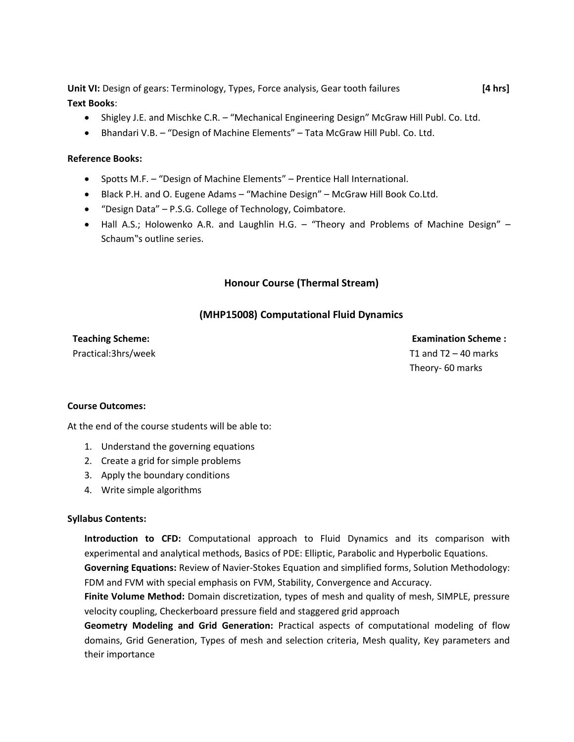**Unit VI:** Design of gears: Terminology, Types, Force analysis, Gear tooth failures **[4 hrs] Text Books**:

- Shigley J.E. and Mischke C.R. "Mechanical Engineering Design" McGraw Hill Publ. Co. Ltd.
- Bhandari V.B. "Design of Machine Elements" Tata McGraw Hill Publ. Co. Ltd.

### **Reference Books:**

- Spotts M.F. "Design of Machine Elements" Prentice Hall International.
- Black P.H. and O. Eugene Adams "Machine Design" McGraw Hill Book Co.Ltd.
- "Design Data" P.S.G. College of Technology, Coimbatore.
- Hall A.S.; Holowenko A.R. and Laughlin H.G. "Theory and Problems of Machine Design" Schaum"s outline series.

### **Honour Course (Thermal Stream)**

### **(MHP15008) Computational Fluid Dynamics**

### **Teaching Scheme:**  Practical:3hrs/week

 **Examination Scheme :**  T1 and  $T2 - 40$  marks Theory- 60 marks

### **Course Outcomes:**

At the end of the course students will be able to:

- 1. Understand the governing equations
- 2. Create a grid for simple problems
- 3. Apply the boundary conditions
- 4. Write simple algorithms

### **Syllabus Contents:**

**Introduction to CFD:** Computational approach to Fluid Dynamics and its comparison with experimental and analytical methods, Basics of PDE: Elliptic, Parabolic and Hyperbolic Equations. **Governing Equations:** Review of Navier-Stokes Equation and simplified forms, Solution Methodology:

FDM and FVM with special emphasis on FVM, Stability, Convergence and Accuracy.

**Finite Volume Method:** Domain discretization, types of mesh and quality of mesh, SIMPLE, pressure velocity coupling, Checkerboard pressure field and staggered grid approach

**Geometry Modeling and Grid Generation:** Practical aspects of computational modeling of flow domains, Grid Generation, Types of mesh and selection criteria, Mesh quality, Key parameters and their importance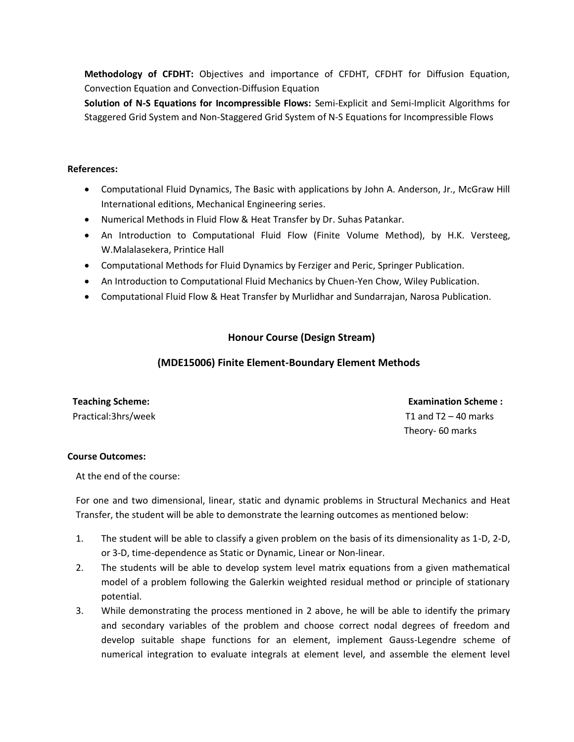**Methodology of CFDHT:** Objectives and importance of CFDHT, CFDHT for Diffusion Equation, Convection Equation and Convection-Diffusion Equation

**Solution of N-S Equations for Incompressible Flows:** Semi-Explicit and Semi-Implicit Algorithms for Staggered Grid System and Non-Staggered Grid System of N-S Equations for Incompressible Flows

### **References:**

- Computational Fluid Dynamics, The Basic with applications by John A. Anderson, Jr., McGraw Hill International editions, Mechanical Engineering series.
- Numerical Methods in Fluid Flow & Heat Transfer by Dr. Suhas Patankar.
- An Introduction to Computational Fluid Flow (Finite Volume Method), by H.K. Versteeg, W.Malalasekera, Printice Hall
- Computational Methods for Fluid Dynamics by Ferziger and Peric, Springer Publication.
- An Introduction to Computational Fluid Mechanics by Chuen-Yen Chow, Wiley Publication.
- Computational Fluid Flow & Heat Transfer by Murlidhar and Sundarrajan, Narosa Publication.

# **Honour Course (Design Stream)**

### **(MDE15006) Finite Element-Boundary Element Methods**

| <b>Teaching Scheme:</b> |  |
|-------------------------|--|
| Practical:3hrs/week     |  |

 **Examination Scheme :** T1 and  $T2 - 40$  marks Theory- 60 marks

### **Course Outcomes:**

At the end of the course:

For one and two dimensional, linear, static and dynamic problems in Structural Mechanics and Heat Transfer, the student will be able to demonstrate the learning outcomes as mentioned below:

- 1. The student will be able to classify a given problem on the basis of its dimensionality as 1-D, 2-D, or 3-D, time-dependence as Static or Dynamic, Linear or Non-linear.
- 2. The students will be able to develop system level matrix equations from a given mathematical model of a problem following the Galerkin weighted residual method or principle of stationary potential.
- 3. While demonstrating the process mentioned in 2 above, he will be able to identify the primary and secondary variables of the problem and choose correct nodal degrees of freedom and develop suitable shape functions for an element, implement Gauss-Legendre scheme of numerical integration to evaluate integrals at element level, and assemble the element level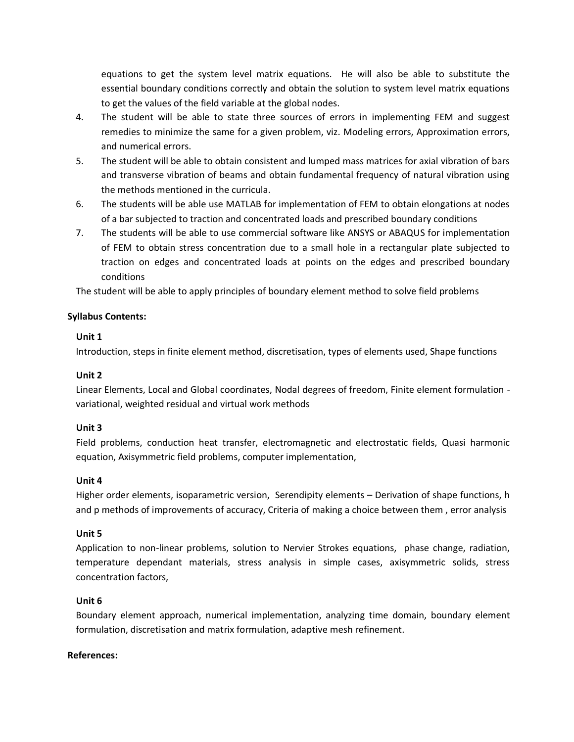equations to get the system level matrix equations. He will also be able to substitute the essential boundary conditions correctly and obtain the solution to system level matrix equations to get the values of the field variable at the global nodes.

- 4. The student will be able to state three sources of errors in implementing FEM and suggest remedies to minimize the same for a given problem, viz. Modeling errors, Approximation errors, and numerical errors.
- 5. The student will be able to obtain consistent and lumped mass matrices for axial vibration of bars and transverse vibration of beams and obtain fundamental frequency of natural vibration using the methods mentioned in the curricula.
- 6. The students will be able use MATLAB for implementation of FEM to obtain elongations at nodes of a bar subjected to traction and concentrated loads and prescribed boundary conditions
- 7. The students will be able to use commercial software like ANSYS or ABAQUS for implementation of FEM to obtain stress concentration due to a small hole in a rectangular plate subjected to traction on edges and concentrated loads at points on the edges and prescribed boundary conditions

The student will be able to apply principles of boundary element method to solve field problems

### **Syllabus Contents:**

### **Unit 1**

Introduction, steps in finite element method, discretisation, types of elements used, Shape functions

### **Unit 2**

Linear Elements, Local and Global coordinates, Nodal degrees of freedom, Finite element formulation variational, weighted residual and virtual work methods

### **Unit 3**

Field problems, conduction heat transfer, electromagnetic and electrostatic fields, Quasi harmonic equation, Axisymmetric field problems, computer implementation,

### **Unit 4**

Higher order elements, isoparametric version, Serendipity elements – Derivation of shape functions, h and p methods of improvements of accuracy, Criteria of making a choice between them , error analysis

### **Unit 5**

Application to non-linear problems, solution to Nervier Strokes equations, phase change, radiation, temperature dependant materials, stress analysis in simple cases, axisymmetric solids, stress concentration factors,

### **Unit 6**

Boundary element approach, numerical implementation, analyzing time domain, boundary element formulation, discretisation and matrix formulation, adaptive mesh refinement.

### **References:**